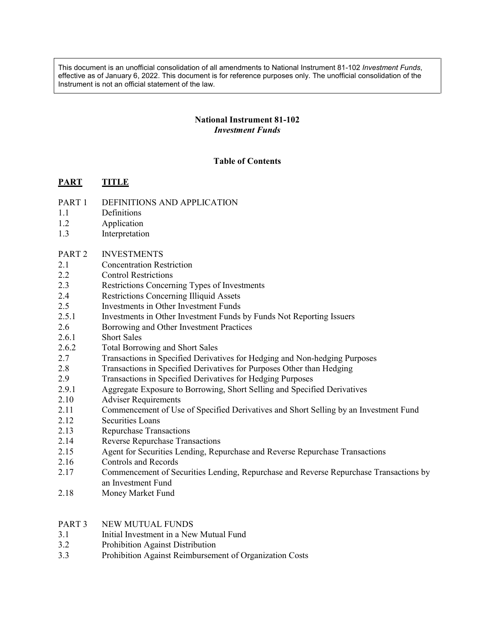This document is an unofficial consolidation of all amendments to National Instrument 81-102 *Investment Funds*, effective as of January 6, 2022. This document is for reference purposes only. The unofficial consolidation of the Instrument is not an official statement of the law.

### **National Instrument 81-102** *Investment Funds*

#### **Table of Contents**

## **PART TITLE**

- PART 1 DEFINITIONS AND APPLICATION
- 1.1 Definitions
- 1.2 Application
- 1.3 Interpretation

#### PART 2 INVESTMENTS

- 2.1 Concentration Restriction
- 2.2 Control Restrictions
- 2.3 Restrictions Concerning Types of Investments
- 2.4 Restrictions Concerning Illiquid Assets
- 2.5 Investments in Other Investment Funds
- 2.5.1 Investments in Other Investment Funds by Funds Not Reporting Issuers
- 2.6 Borrowing and Other Investment Practices
- 2.6.1 Short Sales
- 2.6.2 Total Borrowing and Short Sales
- 2.7 Transactions in Specified Derivatives for Hedging and Non-hedging Purposes
- 2.8 Transactions in Specified Derivatives for Purposes Other than Hedging
- 2.9 Transactions in Specified Derivatives for Hedging Purposes
- 2.9.1 Aggregate Exposure to Borrowing, Short Selling and Specified Derivatives
- 2.10 Adviser Requirements
- 2.11 Commencement of Use of Specified Derivatives and Short Selling by an Investment Fund
- 2.12 Securities Loans
- 2.13 Repurchase Transactions
- 2.14 Reverse Repurchase Transactions
- 2.15 Agent for Securities Lending, Repurchase and Reverse Repurchase Transactions
- 2.16 Controls and Records
- 2.17 Commencement of Securities Lending, Repurchase and Reverse Repurchase Transactions by an Investment Fund
- 2.18 Money Market Fund

#### PART 3 NEW MUTUAL FUNDS

- 3.1 Initial Investment in a New Mutual Fund
- 3.2 Prohibition Against Distribution
- 3.3 Prohibition Against Reimbursement of Organization Costs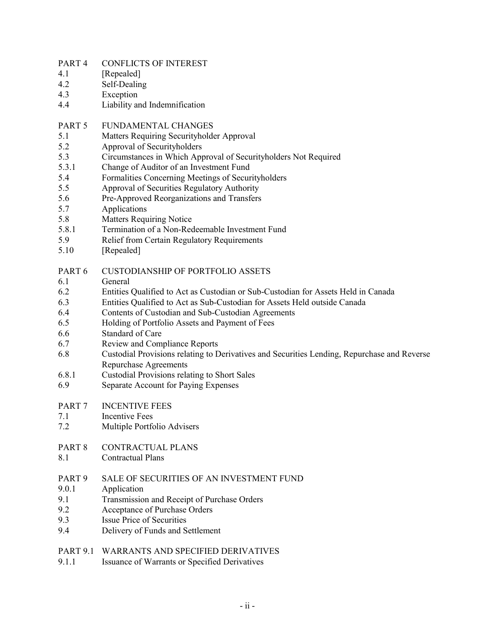| PART <sub>4</sub>                                                                         | <b>CONFLICTS OF INTEREST</b>                                                                                                                                                                                                                                                                                                                                                                                                                                                                                                                                                                               |
|-------------------------------------------------------------------------------------------|------------------------------------------------------------------------------------------------------------------------------------------------------------------------------------------------------------------------------------------------------------------------------------------------------------------------------------------------------------------------------------------------------------------------------------------------------------------------------------------------------------------------------------------------------------------------------------------------------------|
| 4.1                                                                                       | [Repealed]                                                                                                                                                                                                                                                                                                                                                                                                                                                                                                                                                                                                 |
| 4.2                                                                                       | Self-Dealing                                                                                                                                                                                                                                                                                                                                                                                                                                                                                                                                                                                               |
| 4.3                                                                                       | Exception                                                                                                                                                                                                                                                                                                                                                                                                                                                                                                                                                                                                  |
| 4.4                                                                                       | Liability and Indemnification                                                                                                                                                                                                                                                                                                                                                                                                                                                                                                                                                                              |
| PART <sub>5</sub>                                                                         | <b>FUNDAMENTAL CHANGES</b>                                                                                                                                                                                                                                                                                                                                                                                                                                                                                                                                                                                 |
| 5.1                                                                                       | Matters Requiring Securityholder Approval                                                                                                                                                                                                                                                                                                                                                                                                                                                                                                                                                                  |
| 5.2                                                                                       | Approval of Securityholders                                                                                                                                                                                                                                                                                                                                                                                                                                                                                                                                                                                |
| 5.3                                                                                       | Circumstances in Which Approval of Securityholders Not Required                                                                                                                                                                                                                                                                                                                                                                                                                                                                                                                                            |
| 5.3.1                                                                                     | Change of Auditor of an Investment Fund                                                                                                                                                                                                                                                                                                                                                                                                                                                                                                                                                                    |
| 5.4                                                                                       | Formalities Concerning Meetings of Securityholders                                                                                                                                                                                                                                                                                                                                                                                                                                                                                                                                                         |
| 5.5                                                                                       | Approval of Securities Regulatory Authority                                                                                                                                                                                                                                                                                                                                                                                                                                                                                                                                                                |
| 5.6                                                                                       | Pre-Approved Reorganizations and Transfers                                                                                                                                                                                                                                                                                                                                                                                                                                                                                                                                                                 |
| 5.7                                                                                       | Applications                                                                                                                                                                                                                                                                                                                                                                                                                                                                                                                                                                                               |
| 5.8                                                                                       | <b>Matters Requiring Notice</b>                                                                                                                                                                                                                                                                                                                                                                                                                                                                                                                                                                            |
| 5.8.1                                                                                     | Termination of a Non-Redeemable Investment Fund                                                                                                                                                                                                                                                                                                                                                                                                                                                                                                                                                            |
| 5.9                                                                                       | Relief from Certain Regulatory Requirements                                                                                                                                                                                                                                                                                                                                                                                                                                                                                                                                                                |
| 5.10                                                                                      | [Repealed]                                                                                                                                                                                                                                                                                                                                                                                                                                                                                                                                                                                                 |
| PART <sub>6</sub><br>6.1<br>6.2<br>6.3<br>6.4<br>6.5<br>6.6<br>6.7<br>6.8<br>6.8.1<br>6.9 | <b>CUSTODIANSHIP OF PORTFOLIO ASSETS</b><br>General<br>Entities Qualified to Act as Custodian or Sub-Custodian for Assets Held in Canada<br>Entities Qualified to Act as Sub-Custodian for Assets Held outside Canada<br>Contents of Custodian and Sub-Custodian Agreements<br>Holding of Portfolio Assets and Payment of Fees<br>Standard of Care<br>Review and Compliance Reports<br>Custodial Provisions relating to Derivatives and Securities Lending, Repurchase and Reverse<br><b>Repurchase Agreements</b><br>Custodial Provisions relating to Short Sales<br>Separate Account for Paying Expenses |
| PART <sub>7</sub>                                                                         | <b>INCENTIVE FEES</b>                                                                                                                                                                                                                                                                                                                                                                                                                                                                                                                                                                                      |
| 7.1                                                                                       | <b>Incentive Fees</b>                                                                                                                                                                                                                                                                                                                                                                                                                                                                                                                                                                                      |
| 7.2                                                                                       | Multiple Portfolio Advisers                                                                                                                                                                                                                                                                                                                                                                                                                                                                                                                                                                                |
| PART <sub>8</sub>                                                                         | <b>CONTRACTUAL PLANS</b>                                                                                                                                                                                                                                                                                                                                                                                                                                                                                                                                                                                   |
| 8.1                                                                                       | <b>Contractual Plans</b>                                                                                                                                                                                                                                                                                                                                                                                                                                                                                                                                                                                   |
| PART <sub>9</sub>                                                                         | SALE OF SECURITIES OF AN INVESTMENT FUND                                                                                                                                                                                                                                                                                                                                                                                                                                                                                                                                                                   |
| 9.0.1                                                                                     | Application                                                                                                                                                                                                                                                                                                                                                                                                                                                                                                                                                                                                |
| 9.1                                                                                       | Transmission and Receipt of Purchase Orders                                                                                                                                                                                                                                                                                                                                                                                                                                                                                                                                                                |
| 9.2                                                                                       | Acceptance of Purchase Orders                                                                                                                                                                                                                                                                                                                                                                                                                                                                                                                                                                              |
| 9.3                                                                                       | <b>Issue Price of Securities</b>                                                                                                                                                                                                                                                                                                                                                                                                                                                                                                                                                                           |
| 9.4                                                                                       | Delivery of Funds and Settlement                                                                                                                                                                                                                                                                                                                                                                                                                                                                                                                                                                           |
|                                                                                           |                                                                                                                                                                                                                                                                                                                                                                                                                                                                                                                                                                                                            |

PART 9.1 WARRANTS AND SPECIFIED DERIVATIVES<br>9.1.1 Issuance of Warrants or Specified Derivatives Issuance of Warrants or Specified Derivatives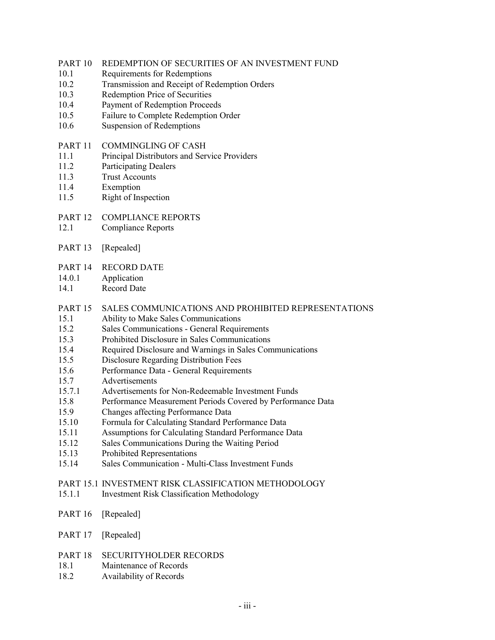#### PART 10 REDEMPTION OF SECURITIES OF AN INVESTMENT FUND

- 10.1 Requirements for Redemptions
- 10.2 Transmission and Receipt of Redemption Orders
- 10.3 Redemption Price of Securities
- 10.4 Payment of Redemption Proceeds
- 10.5 Failure to Complete Redemption Order
- 10.6 Suspension of Redemptions

#### PART 11 COMMINGLING OF CASH

- 11.1 Principal Distributors and Service Providers
- 11.2 Participating Dealers
- 11.3 Trust Accounts
- 11.4 Exemption
- 11.5 Right of Inspection
- PART 12 COMPLIANCE REPORTS
- 12.1 Compliance Reports
- PART 13 [Repealed]
- PART 14 RECORD DATE
- 14.0.1 Application
- 14.1 Record Date

#### PART 15 SALES COMMUNICATIONS AND PROHIBITED REPRESENTATIONS

- 15.1 Ability to Make Sales Communications
- 15.2 Sales Communications General Requirements
- 15.3 Prohibited Disclosure in Sales Communications
- 15.4 Required Disclosure and Warnings in Sales Communications
- 15.5 Disclosure Regarding Distribution Fees
- 15.6 Performance Data General Requirements
- 15.7 Advertisements
- 15.7.1 Advertisements for Non-Redeemable Investment Funds
- 15.8 Performance Measurement Periods Covered by Performance Data
- 15.9 Changes affecting Performance Data
- 15.10 Formula for Calculating Standard Performance Data
- 15.11 Assumptions for Calculating Standard Performance Data
- 15.12 Sales Communications During the Waiting Period
- 15.13 Prohibited Representations
- 15.14 Sales Communication Multi-Class Investment Funds

### PART 15.1 INVESTMENT RISK CLASSIFICATION METHODOLOGY

- 15.1.1 Investment Risk Classification Methodology
- PART 16 [Repealed]
- PART 17 [Repealed]

### PART 18 SECURITYHOLDER RECORDS

- 18.1 Maintenance of Records
- 18.2 Availability of Records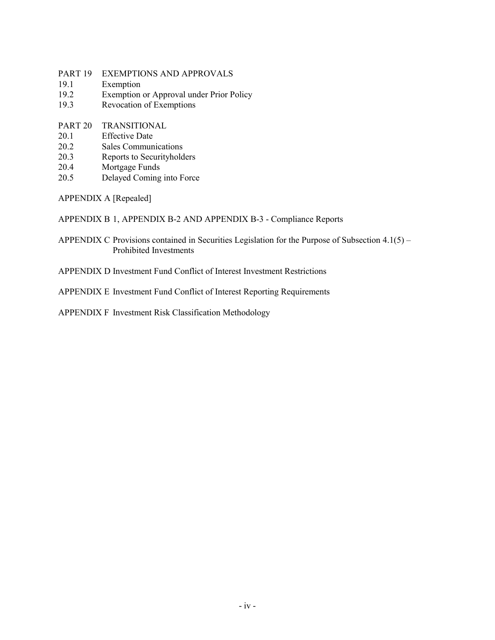### PART 19 EXEMPTIONS AND APPROVALS

- 19.1 Exemption
- 19.2 Exemption or Approval under Prior Policy
- 19.3 Revocation of Exemptions
- PART 20 TRANSITIONAL
- 20.1 Effective Date
- 20.2 Sales Communications
- 20.3 Reports to Securityholders
- 20.4 Mortgage Funds
- 20.5 Delayed Coming into Force

APPENDIX A [Repealed]

## APPENDIX B 1, APPENDIX B-2 AND APPENDIX B-3 - Compliance Reports

APPENDIX C Provisions contained in Securities Legislation for the Purpose of Subsection 4.1(5) – Prohibited Investments

APPENDIX D Investment Fund Conflict of Interest Investment Restrictions

APPENDIX E Investment Fund Conflict of Interest Reporting Requirements

APPENDIX F Investment Risk Classification Methodology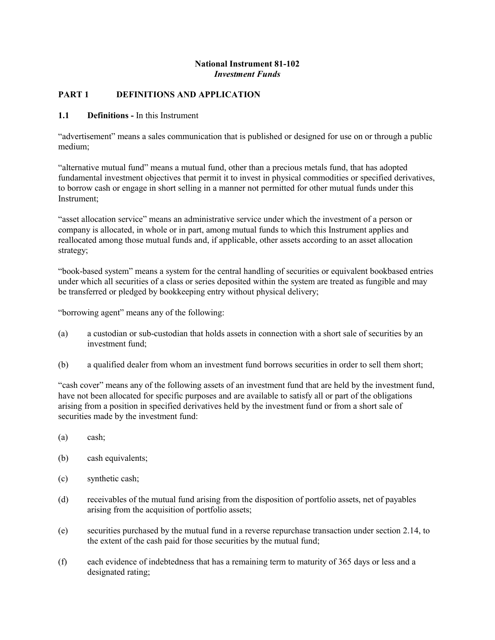## **National Instrument 81-102** *Investment Funds*

# **PART 1 DEFINITIONS AND APPLICATION**

### **1.1 Definitions -** In this Instrument

"advertisement" means a sales communication that is published or designed for use on or through a public medium;

"alternative mutual fund" means a mutual fund, other than a precious metals fund, that has adopted fundamental investment objectives that permit it to invest in physical commodities or specified derivatives, to borrow cash or engage in short selling in a manner not permitted for other mutual funds under this Instrument;

"asset allocation service" means an administrative service under which the investment of a person or company is allocated, in whole or in part, among mutual funds to which this Instrument applies and reallocated among those mutual funds and, if applicable, other assets according to an asset allocation strategy;

"book-based system" means a system for the central handling of securities or equivalent bookbased entries under which all securities of a class or series deposited within the system are treated as fungible and may be transferred or pledged by bookkeeping entry without physical delivery;

"borrowing agent" means any of the following:

- (a) a custodian or sub-custodian that holds assets in connection with a short sale of securities by an investment fund;
- (b) a qualified dealer from whom an investment fund borrows securities in order to sell them short;

"cash cover" means any of the following assets of an investment fund that are held by the investment fund, have not been allocated for specific purposes and are available to satisfy all or part of the obligations arising from a position in specified derivatives held by the investment fund or from a short sale of securities made by the investment fund:

- (a) cash;
- (b) cash equivalents;
- (c) synthetic cash;
- (d) receivables of the mutual fund arising from the disposition of portfolio assets, net of payables arising from the acquisition of portfolio assets;
- (e) securities purchased by the mutual fund in a reverse repurchase transaction under section 2.14, to the extent of the cash paid for those securities by the mutual fund;
- (f) each evidence of indebtedness that has a remaining term to maturity of 365 days or less and a designated rating;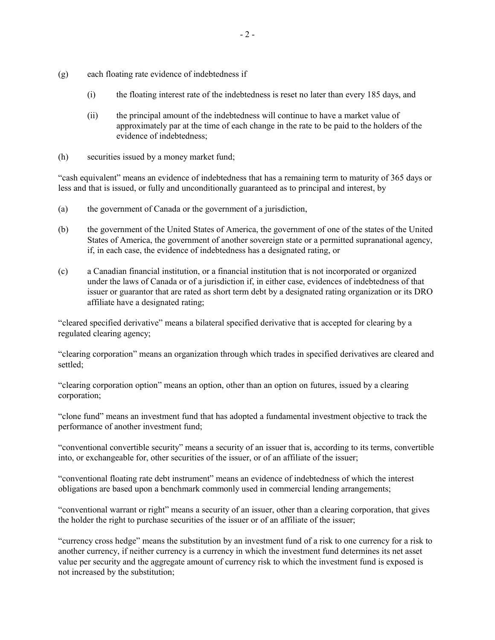- (g) each floating rate evidence of indebtedness if
	- (i) the floating interest rate of the indebtedness is reset no later than every 185 days, and
	- (ii) the principal amount of the indebtedness will continue to have a market value of approximately par at the time of each change in the rate to be paid to the holders of the evidence of indebtedness;
- (h) securities issued by a money market fund;

"cash equivalent" means an evidence of indebtedness that has a remaining term to maturity of 365 days or less and that is issued, or fully and unconditionally guaranteed as to principal and interest, by

- (a) the government of Canada or the government of a jurisdiction,
- (b) the government of the United States of America, the government of one of the states of the United States of America, the government of another sovereign state or a permitted supranational agency, if, in each case, the evidence of indebtedness has a designated rating, or
- (c) a Canadian financial institution, or a financial institution that is not incorporated or organized under the laws of Canada or of a jurisdiction if, in either case, evidences of indebtedness of that issuer or guarantor that are rated as short term debt by a designated rating organization or its DRO affiliate have a designated rating;

"cleared specified derivative" means a bilateral specified derivative that is accepted for clearing by a regulated clearing agency;

"clearing corporation" means an organization through which trades in specified derivatives are cleared and settled;

"clearing corporation option" means an option, other than an option on futures, issued by a clearing corporation;

"clone fund" means an investment fund that has adopted a fundamental investment objective to track the performance of another investment fund;

"conventional convertible security" means a security of an issuer that is, according to its terms, convertible into, or exchangeable for, other securities of the issuer, or of an affiliate of the issuer;

"conventional floating rate debt instrument" means an evidence of indebtedness of which the interest obligations are based upon a benchmark commonly used in commercial lending arrangements;

"conventional warrant or right" means a security of an issuer, other than a clearing corporation, that gives the holder the right to purchase securities of the issuer or of an affiliate of the issuer;

"currency cross hedge" means the substitution by an investment fund of a risk to one currency for a risk to another currency, if neither currency is a currency in which the investment fund determines its net asset value per security and the aggregate amount of currency risk to which the investment fund is exposed is not increased by the substitution;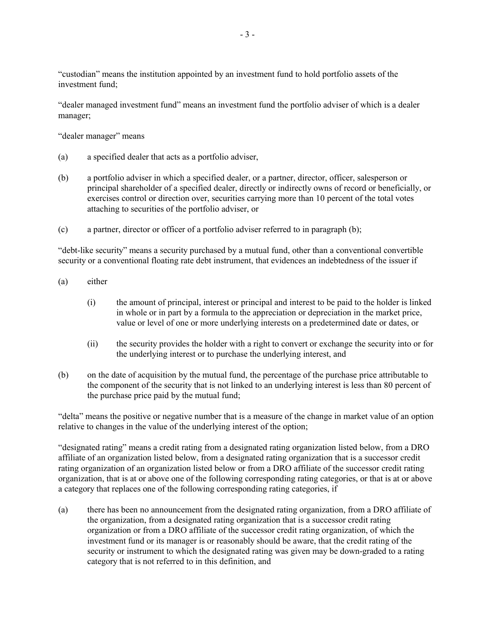"custodian" means the institution appointed by an investment fund to hold portfolio assets of the investment fund;

"dealer managed investment fund" means an investment fund the portfolio adviser of which is a dealer manager;

"dealer manager" means

- (a) a specified dealer that acts as a portfolio adviser,
- (b) a portfolio adviser in which a specified dealer, or a partner, director, officer, salesperson or principal shareholder of a specified dealer, directly or indirectly owns of record or beneficially, or exercises control or direction over, securities carrying more than 10 percent of the total votes attaching to securities of the portfolio adviser, or
- (c) a partner, director or officer of a portfolio adviser referred to in paragraph (b);

"debt-like security" means a security purchased by a mutual fund, other than a conventional convertible security or a conventional floating rate debt instrument, that evidences an indebtedness of the issuer if

- (a) either
	- (i) the amount of principal, interest or principal and interest to be paid to the holder is linked in whole or in part by a formula to the appreciation or depreciation in the market price, value or level of one or more underlying interests on a predetermined date or dates, or
	- (ii) the security provides the holder with a right to convert or exchange the security into or for the underlying interest or to purchase the underlying interest, and
- (b) on the date of acquisition by the mutual fund, the percentage of the purchase price attributable to the component of the security that is not linked to an underlying interest is less than 80 percent of the purchase price paid by the mutual fund;

"delta" means the positive or negative number that is a measure of the change in market value of an option relative to changes in the value of the underlying interest of the option;

"designated rating" means a credit rating from a designated rating organization listed below, from a DRO affiliate of an organization listed below, from a designated rating organization that is a successor credit rating organization of an organization listed below or from a DRO affiliate of the successor credit rating organization, that is at or above one of the following corresponding rating categories, or that is at or above a category that replaces one of the following corresponding rating categories, if

(a) there has been no announcement from the designated rating organization, from a DRO affiliate of the organization, from a designated rating organization that is a successor credit rating organization or from a DRO affiliate of the successor credit rating organization, of which the investment fund or its manager is or reasonably should be aware, that the credit rating of the security or instrument to which the designated rating was given may be down-graded to a rating category that is not referred to in this definition, and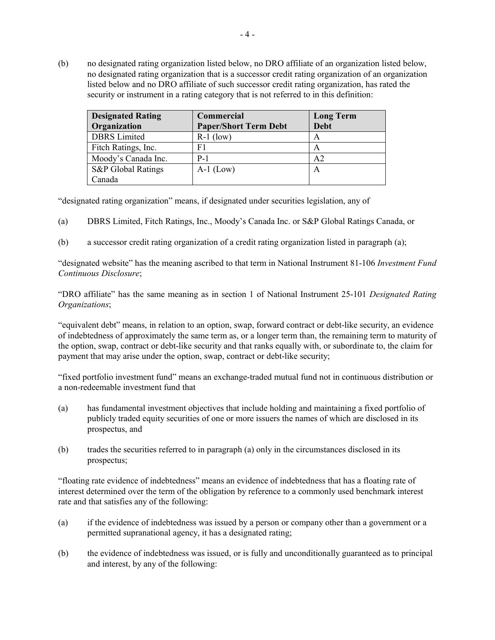(b) no designated rating organization listed below, no DRO affiliate of an organization listed below, no designated rating organization that is a successor credit rating organization of an organization listed below and no DRO affiliate of such successor credit rating organization, has rated the security or instrument in a rating category that is not referred to in this definition:

| <b>Designated Rating</b> | Commercial                   | <b>Long Term</b> |
|--------------------------|------------------------------|------------------|
| Organization             | <b>Paper/Short Term Debt</b> | <b>Debt</b>      |
| <b>DBRS</b> Limited      | $R-1$ (low)                  | А                |
| Fitch Ratings, Inc.      | F1                           | А                |
| Moody's Canada Inc.      | $P-1$                        | A <sub>2</sub>   |
| S&P Global Ratings       | $A-1$ (Low)                  | А                |
| Canada                   |                              |                  |

"designated rating organization" means, if designated under securities legislation, any of

- (a) DBRS Limited, Fitch Ratings, Inc., Moody's Canada Inc. or S&P Global Ratings Canada, or
- (b) a successor credit rating organization of a credit rating organization listed in paragraph (a);

"designated website" has the meaning ascribed to that term in National Instrument 81-106 *Investment Fund Continuous Disclosure*;

"DRO affiliate" has the same meaning as in section 1 of National Instrument 25-101 *Designated Rating Organizations*;

"equivalent debt" means, in relation to an option, swap, forward contract or debt-like security, an evidence of indebtedness of approximately the same term as, or a longer term than, the remaining term to maturity of the option, swap, contract or debt-like security and that ranks equally with, or subordinate to, the claim for payment that may arise under the option, swap, contract or debt-like security;

"fixed portfolio investment fund" means an exchange-traded mutual fund not in continuous distribution or a non-redeemable investment fund that

- (a) has fundamental investment objectives that include holding and maintaining a fixed portfolio of publicly traded equity securities of one or more issuers the names of which are disclosed in its prospectus, and
- (b) trades the securities referred to in paragraph (a) only in the circumstances disclosed in its prospectus;

"floating rate evidence of indebtedness" means an evidence of indebtedness that has a floating rate of interest determined over the term of the obligation by reference to a commonly used benchmark interest rate and that satisfies any of the following:

- (a) if the evidence of indebtedness was issued by a person or company other than a government or a permitted supranational agency, it has a designated rating;
- (b) the evidence of indebtedness was issued, or is fully and unconditionally guaranteed as to principal and interest, by any of the following: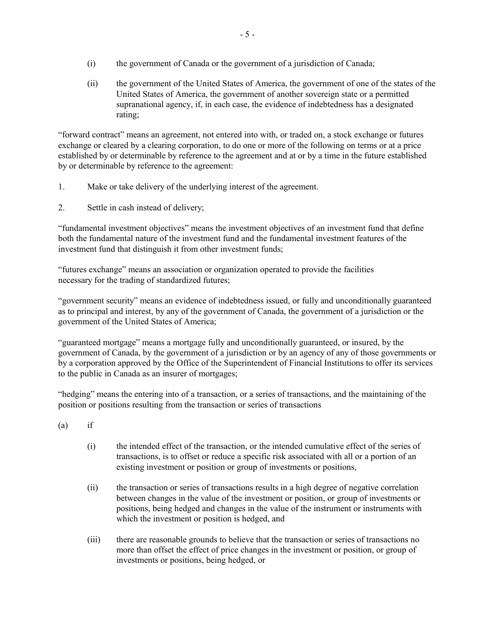- (i) the government of Canada or the government of a jurisdiction of Canada;
- (ii) the government of the United States of America, the government of one of the states of the United States of America, the government of another sovereign state or a permitted supranational agency, if, in each case, the evidence of indebtedness has a designated rating;

"forward contract" means an agreement, not entered into with, or traded on, a stock exchange or futures exchange or cleared by a clearing corporation, to do one or more of the following on terms or at a price established by or determinable by reference to the agreement and at or by a time in the future established by or determinable by reference to the agreement:

- 1. Make or take delivery of the underlying interest of the agreement.
- 2. Settle in cash instead of delivery;

"fundamental investment objectives" means the investment objectives of an investment fund that define both the fundamental nature of the investment fund and the fundamental investment features of the investment fund that distinguish it from other investment funds;

"futures exchange" means an association or organization operated to provide the facilities necessary for the trading of standardized futures;

"government security" means an evidence of indebtedness issued, or fully and unconditionally guaranteed as to principal and interest, by any of the government of Canada, the government of a jurisdiction or the government of the United States of America;

"guaranteed mortgage" means a mortgage fully and unconditionally guaranteed, or insured, by the government of Canada, by the government of a jurisdiction or by an agency of any of those governments or by a corporation approved by the Office of the Superintendent of Financial Institutions to offer its services to the public in Canada as an insurer of mortgages;

"hedging" means the entering into of a transaction, or a series of transactions, and the maintaining of the position or positions resulting from the transaction or series of transactions

- (a) if
	- (i) the intended effect of the transaction, or the intended cumulative effect of the series of transactions, is to offset or reduce a specific risk associated with all or a portion of an existing investment or position or group of investments or positions,
	- (ii) the transaction or series of transactions results in a high degree of negative correlation between changes in the value of the investment or position, or group of investments or positions, being hedged and changes in the value of the instrument or instruments with which the investment or position is hedged, and
	- (iii) there are reasonable grounds to believe that the transaction or series of transactions no more than offset the effect of price changes in the investment or position, or group of investments or positions, being hedged, or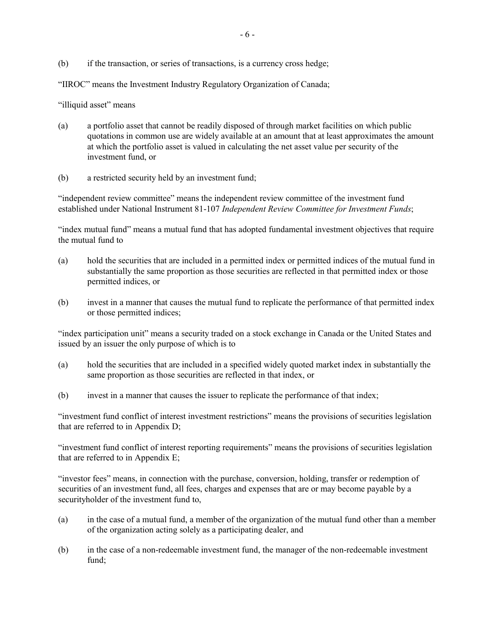(b) if the transaction, or series of transactions, is a currency cross hedge;

"IIROC" means the Investment Industry Regulatory Organization of Canada;

"illiquid asset" means

- (a) a portfolio asset that cannot be readily disposed of through market facilities on which public quotations in common use are widely available at an amount that at least approximates the amount at which the portfolio asset is valued in calculating the net asset value per security of the investment fund, or
- (b) a restricted security held by an investment fund;

"independent review committee" means the independent review committee of the investment fund established under National Instrument 81-107 *Independent Review Committee for Investment Funds*;

"index mutual fund" means a mutual fund that has adopted fundamental investment objectives that require the mutual fund to

- (a) hold the securities that are included in a permitted index or permitted indices of the mutual fund in substantially the same proportion as those securities are reflected in that permitted index or those permitted indices, or
- (b) invest in a manner that causes the mutual fund to replicate the performance of that permitted index or those permitted indices;

"index participation unit" means a security traded on a stock exchange in Canada or the United States and issued by an issuer the only purpose of which is to

- (a) hold the securities that are included in a specified widely quoted market index in substantially the same proportion as those securities are reflected in that index, or
- (b) invest in a manner that causes the issuer to replicate the performance of that index;

"investment fund conflict of interest investment restrictions" means the provisions of securities legislation that are referred to in Appendix D;

"investment fund conflict of interest reporting requirements" means the provisions of securities legislation that are referred to in Appendix E;

"investor fees" means, in connection with the purchase, conversion, holding, transfer or redemption of securities of an investment fund, all fees, charges and expenses that are or may become payable by a securityholder of the investment fund to,

- (a) in the case of a mutual fund, a member of the organization of the mutual fund other than a member of the organization acting solely as a participating dealer, and
- (b) in the case of a non-redeemable investment fund, the manager of the non-redeemable investment fund;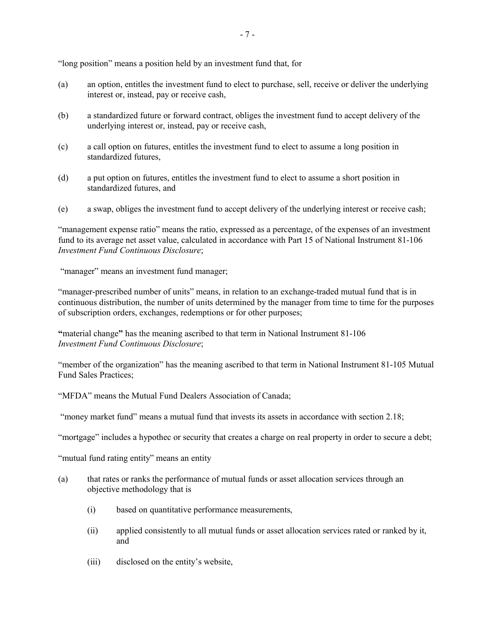"long position" means a position held by an investment fund that, for

- (a) an option, entitles the investment fund to elect to purchase, sell, receive or deliver the underlying interest or, instead, pay or receive cash,
- (b) a standardized future or forward contract, obliges the investment fund to accept delivery of the underlying interest or, instead, pay or receive cash,
- (c) a call option on futures, entitles the investment fund to elect to assume a long position in standardized futures,
- (d) a put option on futures, entitles the investment fund to elect to assume a short position in standardized futures, and
- (e) a swap, obliges the investment fund to accept delivery of the underlying interest or receive cash;

"management expense ratio" means the ratio, expressed as a percentage, of the expenses of an investment fund to its average net asset value, calculated in accordance with Part 15 of National Instrument 81-106 *Investment Fund Continuous Disclosure*;

"manager" means an investment fund manager;

"manager-prescribed number of units" means, in relation to an exchange-traded mutual fund that is in continuous distribution, the number of units determined by the manager from time to time for the purposes of subscription orders, exchanges, redemptions or for other purposes;

**"**material change**"** has the meaning ascribed to that term in National Instrument 81-106 *Investment Fund Continuous Disclosure*;

"member of the organization" has the meaning ascribed to that term in National Instrument 81-105 Mutual Fund Sales Practices;

"MFDA" means the Mutual Fund Dealers Association of Canada;

"money market fund" means a mutual fund that invests its assets in accordance with section 2.18;

"mortgage" includes a hypothec or security that creates a charge on real property in order to secure a debt;

"mutual fund rating entity" means an entity

- (a) that rates or ranks the performance of mutual funds or asset allocation services through an objective methodology that is
	- (i) based on quantitative performance measurements,
	- (ii) applied consistently to all mutual funds or asset allocation services rated or ranked by it, and
	- (iii) disclosed on the entity's website,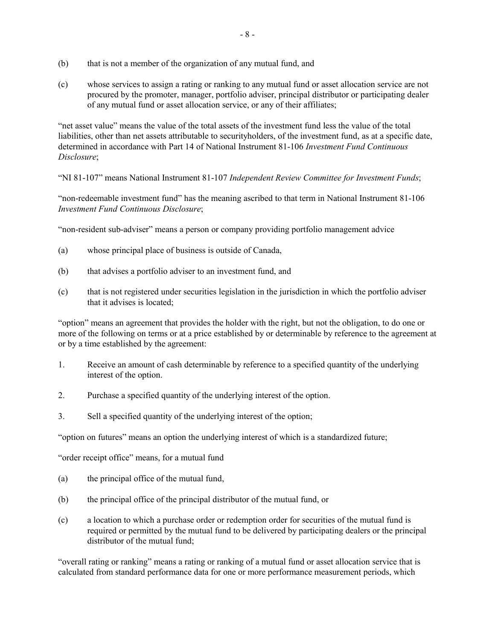- (b) that is not a member of the organization of any mutual fund, and
- (c) whose services to assign a rating or ranking to any mutual fund or asset allocation service are not procured by the promoter, manager, portfolio adviser, principal distributor or participating dealer of any mutual fund or asset allocation service, or any of their affiliates;

"net asset value" means the value of the total assets of the investment fund less the value of the total liabilities, other than net assets attributable to securityholders, of the investment fund, as at a specific date, determined in accordance with Part 14 of National Instrument 81-106 *Investment Fund Continuous Disclosure*;

"NI 81-107" means National Instrument 81-107 *Independent Review Committee for Investment Funds*;

"non-redeemable investment fund" has the meaning ascribed to that term in National Instrument 81-106 *Investment Fund Continuous Disclosure*;

"non-resident sub-adviser" means a person or company providing portfolio management advice

- (a) whose principal place of business is outside of Canada,
- (b) that advises a portfolio adviser to an investment fund, and
- (c) that is not registered under securities legislation in the jurisdiction in which the portfolio adviser that it advises is located;

"option" means an agreement that provides the holder with the right, but not the obligation, to do one or more of the following on terms or at a price established by or determinable by reference to the agreement at or by a time established by the agreement:

- 1. Receive an amount of cash determinable by reference to a specified quantity of the underlying interest of the option.
- 2. Purchase a specified quantity of the underlying interest of the option.
- 3. Sell a specified quantity of the underlying interest of the option;

"option on futures" means an option the underlying interest of which is a standardized future;

"order receipt office" means, for a mutual fund

- (a) the principal office of the mutual fund,
- (b) the principal office of the principal distributor of the mutual fund, or
- (c) a location to which a purchase order or redemption order for securities of the mutual fund is required or permitted by the mutual fund to be delivered by participating dealers or the principal distributor of the mutual fund;

"overall rating or ranking" means a rating or ranking of a mutual fund or asset allocation service that is calculated from standard performance data for one or more performance measurement periods, which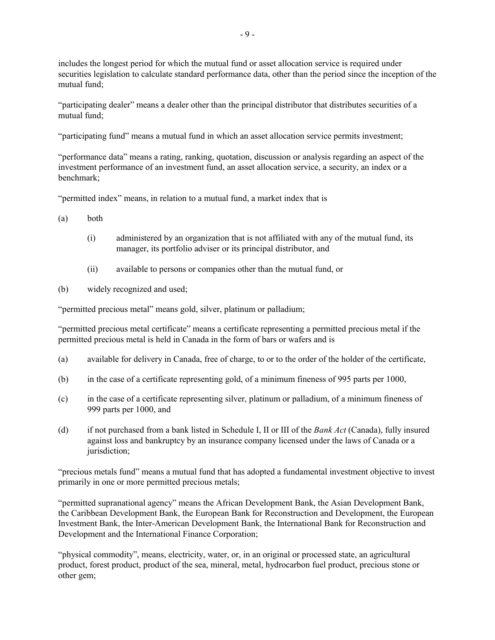includes the longest period for which the mutual fund or asset allocation service is required under securities legislation to calculate standard performance data, other than the period since the inception of the mutual fund;

"participating dealer" means a dealer other than the principal distributor that distributes securities of a mutual fund;

"participating fund" means a mutual fund in which an asset allocation service permits investment;

"performance data" means a rating, ranking, quotation, discussion or analysis regarding an aspect of the investment performance of an investment fund, an asset allocation service, a security, an index or a benchmark;

"permitted index" means, in relation to a mutual fund, a market index that is

- (a) both
	- (i) administered by an organization that is not affiliated with any of the mutual fund, its manager, its portfolio adviser or its principal distributor, and
	- (ii) available to persons or companies other than the mutual fund, or
- (b) widely recognized and used;

"permitted precious metal" means gold, silver, platinum or palladium;

"permitted precious metal certificate" means a certificate representing a permitted precious metal if the permitted precious metal is held in Canada in the form of bars or wafers and is

- (a) available for delivery in Canada, free of charge, to or to the order of the holder of the certificate,
- (b) in the case of a certificate representing gold, of a minimum fineness of 995 parts per 1000,
- (c) in the case of a certificate representing silver, platinum or palladium, of a minimum fineness of 999 parts per 1000, and
- (d) if not purchased from a bank listed in Schedule I, II or III of the *Bank Act* (Canada), fully insured against loss and bankruptcy by an insurance company licensed under the laws of Canada or a jurisdiction;

"precious metals fund" means a mutual fund that has adopted a fundamental investment objective to invest primarily in one or more permitted precious metals;

"permitted supranational agency" means the African Development Bank, the Asian Development Bank, the Caribbean Development Bank, the European Bank for Reconstruction and Development, the European Investment Bank, the Inter-American Development Bank, the International Bank for Reconstruction and Development and the International Finance Corporation;

"physical commodity", means, electricity, water, or, in an original or processed state, an agricultural product, forest product, product of the sea, mineral, metal, hydrocarbon fuel product, precious stone or other gem;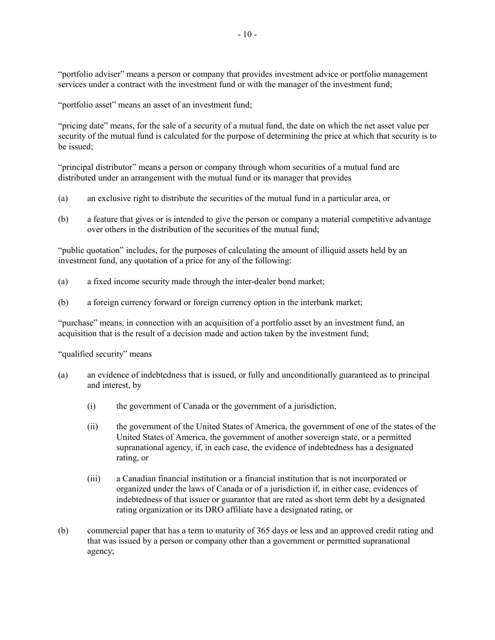"portfolio adviser" means a person or company that provides investment advice or portfolio management services under a contract with the investment fund or with the manager of the investment fund;

"portfolio asset" means an asset of an investment fund;

"pricing date" means, for the sale of a security of a mutual fund, the date on which the net asset value per security of the mutual fund is calculated for the purpose of determining the price at which that security is to be issued;

"principal distributor" means a person or company through whom securities of a mutual fund are distributed under an arrangement with the mutual fund or its manager that provides

- (a) an exclusive right to distribute the securities of the mutual fund in a particular area, or
- (b) a feature that gives or is intended to give the person or company a material competitive advantage over others in the distribution of the securities of the mutual fund;

"public quotation" includes, for the purposes of calculating the amount of illiquid assets held by an investment fund, any quotation of a price for any of the following:

- (a) a fixed income security made through the inter-dealer bond market;
- (b) a foreign currency forward or foreign currency option in the interbank market;

"purchase" means, in connection with an acquisition of a portfolio asset by an investment fund, an acquisition that is the result of a decision made and action taken by the investment fund;

"qualified security" means

- (a) an evidence of indebtedness that is issued, or fully and unconditionally guaranteed as to principal and interest, by
	- (i) the government of Canada or the government of a jurisdiction,
	- (ii) the government of the United States of America, the government of one of the states of the United States of America, the government of another sovereign state, or a permitted supranational agency, if, in each case, the evidence of indebtedness has a designated rating, or
	- (iii) a Canadian financial institution or a financial institution that is not incorporated or organized under the laws of Canada or of a jurisdiction if, in either case, evidences of indebtedness of that issuer or guarantor that are rated as short term debt by a designated rating organization or its DRO affiliate have a designated rating, or
- (b) commercial paper that has a term to maturity of 365 days or less and an approved credit rating and that was issued by a person or company other than a government or permitted supranational agency;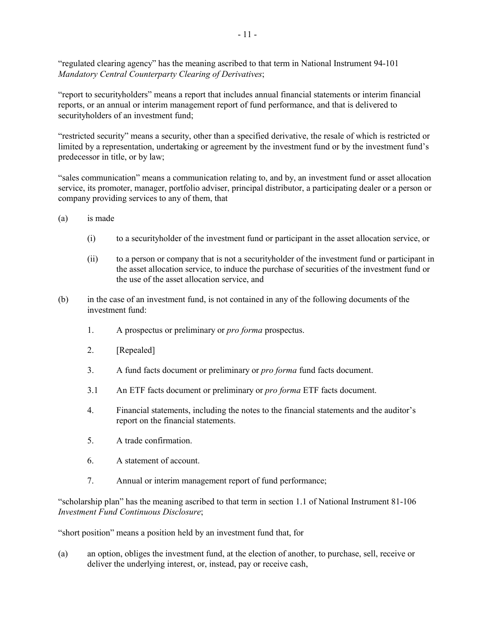"regulated clearing agency" has the meaning ascribed to that term in National Instrument 94-101 *Mandatory Central Counterparty Clearing of Derivatives*;

"report to securityholders" means a report that includes annual financial statements or interim financial reports, or an annual or interim management report of fund performance, and that is delivered to securityholders of an investment fund;

"restricted security" means a security, other than a specified derivative, the resale of which is restricted or limited by a representation, undertaking or agreement by the investment fund or by the investment fund's predecessor in title, or by law;

"sales communication" means a communication relating to, and by, an investment fund or asset allocation service, its promoter, manager, portfolio adviser, principal distributor, a participating dealer or a person or company providing services to any of them, that

- (a) is made
	- (i) to a securityholder of the investment fund or participant in the asset allocation service, or
	- (ii) to a person or company that is not a securityholder of the investment fund or participant in the asset allocation service, to induce the purchase of securities of the investment fund or the use of the asset allocation service, and
- (b) in the case of an investment fund, is not contained in any of the following documents of the investment fund:
	- 1. A prospectus or preliminary or *pro forma* prospectus.
	- 2. [Repealed]
	- 3. A fund facts document or preliminary or *pro forma* fund facts document.
	- 3.1 An ETF facts document or preliminary or *pro forma* ETF facts document.
	- 4. Financial statements, including the notes to the financial statements and the auditor's report on the financial statements.
	- 5. A trade confirmation.
	- 6. A statement of account.
	- 7. Annual or interim management report of fund performance;

"scholarship plan" has the meaning ascribed to that term in section 1.1 of National Instrument 81-106 *Investment Fund Continuous Disclosure*;

"short position" means a position held by an investment fund that, for

(a) an option, obliges the investment fund, at the election of another, to purchase, sell, receive or deliver the underlying interest, or, instead, pay or receive cash,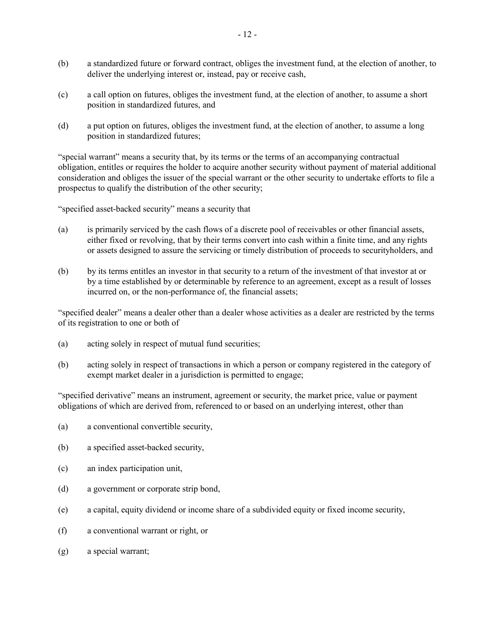- (b) a standardized future or forward contract, obliges the investment fund, at the election of another, to deliver the underlying interest or, instead, pay or receive cash,
- (c) a call option on futures, obliges the investment fund, at the election of another, to assume a short position in standardized futures, and
- (d) a put option on futures, obliges the investment fund, at the election of another, to assume a long position in standardized futures;

"special warrant" means a security that, by its terms or the terms of an accompanying contractual obligation, entitles or requires the holder to acquire another security without payment of material additional consideration and obliges the issuer of the special warrant or the other security to undertake efforts to file a prospectus to qualify the distribution of the other security;

"specified asset-backed security" means a security that

- (a) is primarily serviced by the cash flows of a discrete pool of receivables or other financial assets, either fixed or revolving, that by their terms convert into cash within a finite time, and any rights or assets designed to assure the servicing or timely distribution of proceeds to securityholders, and
- (b) by its terms entitles an investor in that security to a return of the investment of that investor at or by a time established by or determinable by reference to an agreement, except as a result of losses incurred on, or the non-performance of, the financial assets;

"specified dealer" means a dealer other than a dealer whose activities as a dealer are restricted by the terms of its registration to one or both of

- (a) acting solely in respect of mutual fund securities;
- (b) acting solely in respect of transactions in which a person or company registered in the category of exempt market dealer in a jurisdiction is permitted to engage;

"specified derivative" means an instrument, agreement or security, the market price, value or payment obligations of which are derived from, referenced to or based on an underlying interest, other than

- (a) a conventional convertible security,
- (b) a specified asset-backed security,
- (c) an index participation unit,
- (d) a government or corporate strip bond,
- (e) a capital, equity dividend or income share of a subdivided equity or fixed income security,
- (f) a conventional warrant or right, or
- (g) a special warrant;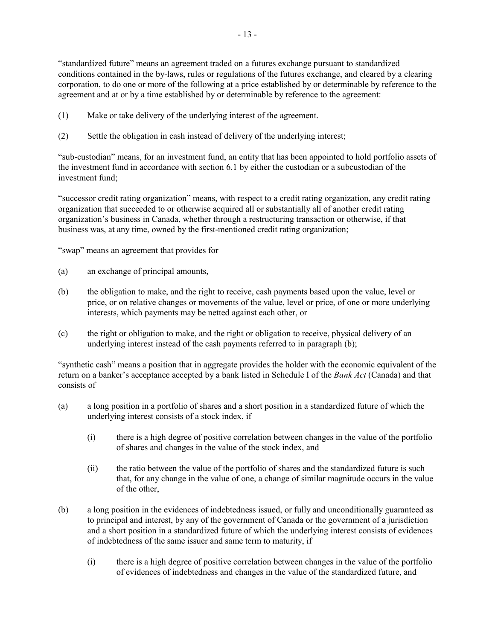"standardized future" means an agreement traded on a futures exchange pursuant to standardized conditions contained in the by-laws, rules or regulations of the futures exchange, and cleared by a clearing corporation, to do one or more of the following at a price established by or determinable by reference to the agreement and at or by a time established by or determinable by reference to the agreement:

- (1) Make or take delivery of the underlying interest of the agreement.
- (2) Settle the obligation in cash instead of delivery of the underlying interest;

"sub-custodian" means, for an investment fund, an entity that has been appointed to hold portfolio assets of the investment fund in accordance with section 6.1 by either the custodian or a subcustodian of the investment fund;

"successor credit rating organization" means, with respect to a credit rating organization, any credit rating organization that succeeded to or otherwise acquired all or substantially all of another credit rating organization's business in Canada, whether through a restructuring transaction or otherwise, if that business was, at any time, owned by the first-mentioned credit rating organization;

"swap" means an agreement that provides for

- (a) an exchange of principal amounts,
- (b) the obligation to make, and the right to receive, cash payments based upon the value, level or price, or on relative changes or movements of the value, level or price, of one or more underlying interests, which payments may be netted against each other, or
- (c) the right or obligation to make, and the right or obligation to receive, physical delivery of an underlying interest instead of the cash payments referred to in paragraph (b);

"synthetic cash" means a position that in aggregate provides the holder with the economic equivalent of the return on a banker's acceptance accepted by a bank listed in Schedule I of the *Bank Act* (Canada) and that consists of

- (a) a long position in a portfolio of shares and a short position in a standardized future of which the underlying interest consists of a stock index, if
	- (i) there is a high degree of positive correlation between changes in the value of the portfolio of shares and changes in the value of the stock index, and
	- (ii) the ratio between the value of the portfolio of shares and the standardized future is such that, for any change in the value of one, a change of similar magnitude occurs in the value of the other,
- (b) a long position in the evidences of indebtedness issued, or fully and unconditionally guaranteed as to principal and interest, by any of the government of Canada or the government of a jurisdiction and a short position in a standardized future of which the underlying interest consists of evidences of indebtedness of the same issuer and same term to maturity, if
	- (i) there is a high degree of positive correlation between changes in the value of the portfolio of evidences of indebtedness and changes in the value of the standardized future, and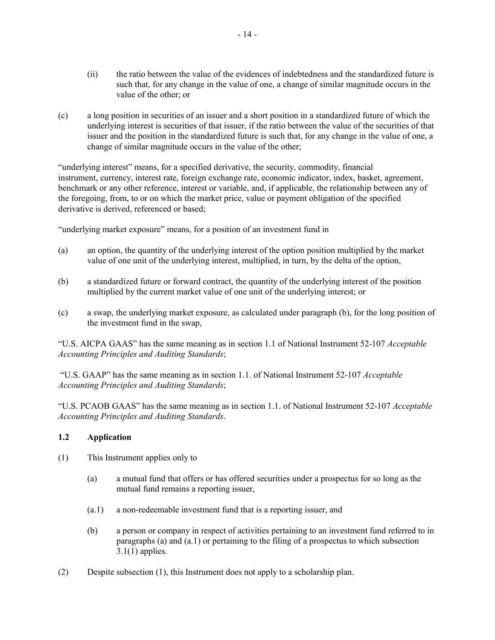- (ii) the ratio between the value of the evidences of indebtedness and the standardized future is such that, for any change in the value of one, a change of similar magnitude occurs in the value of the other; or
- (c) a long position in securities of an issuer and a short position in a standardized future of which the underlying interest is securities of that issuer, if the ratio between the value of the securities of that issuer and the position in the standardized future is such that, for any change in the value of one, a change of similar magnitude occurs in the value of the other;

"underlying interest" means, for a specified derivative, the security, commodity, financial instrument, currency, interest rate, foreign exchange rate, economic indicator, index, basket, agreement, benchmark or any other reference, interest or variable, and, if applicable, the relationship between any of the foregoing, from, to or on which the market price, value or payment obligation of the specified derivative is derived, referenced or based;

"underlying market exposure" means, for a position of an investment fund in

- (a) an option, the quantity of the underlying interest of the option position multiplied by the market value of one unit of the underlying interest, multiplied, in turn, by the delta of the option,
- (b) a standardized future or forward contract, the quantity of the underlying interest of the position multiplied by the current market value of one unit of the underlying interest; or
- (c) a swap, the underlying market exposure, as calculated under paragraph (b), for the long position of the investment fund in the swap,

"U.S. AICPA GAAS" has the same meaning as in section 1.1 of National Instrument 52-107 *Acceptable Accounting Principles and Auditing Standards*;

"U.S. GAAP" has the same meaning as in section 1.1. of National Instrument 52-107 *Acceptable Accounting Principles and Auditing Standards*;

"U.S. PCAOB GAAS" has the same meaning as in section 1.1. of National Instrument 52-107 *Acceptable Accounting Principles and Auditing Standards*.

#### **1.2 Application**

- (1) This Instrument applies only to
	- (a) a mutual fund that offers or has offered securities under a prospectus for so long as the mutual fund remains a reporting issuer,
	- (a.1) a non-redeemable investment fund that is a reporting issuer, and
	- (b) a person or company in respect of activities pertaining to an investment fund referred to in paragraphs (a) and (a.1) or pertaining to the filing of a prospectus to which subsection  $3.1(1)$  applies.
- (2) Despite subsection (1), this Instrument does not apply to a scholarship plan.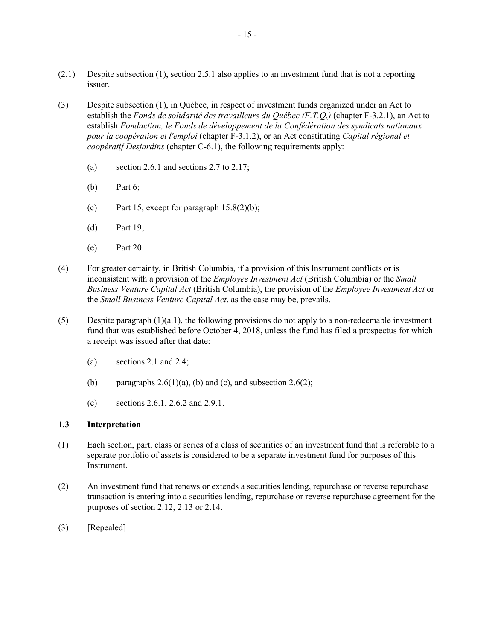- (2.1) Despite subsection (1), section 2.5.1 also applies to an investment fund that is not a reporting issuer.
- (3) Despite subsection (1), in Québec, in respect of investment funds organized under an Act to establish the *Fonds de solidarité des travailleurs du Québec (F.T.Q.)* (chapter F-3.2.1), an Act to establish *Fondaction, le Fonds de développement de la Confédération des syndicats nationaux pour la coopération et l'emploi* (chapter F-3.1.2), or an Act constituting *Capital régional et coopératif Desjardins* (chapter C-6.1), the following requirements apply:
	- (a) section 2.6.1 and sections 2.7 to 2.17;
	- (b) Part 6;
	- (c) Part 15, except for paragraph  $15.8(2)(b)$ ;
	- (d) Part 19;
	- (e) Part 20.
- (4) For greater certainty, in British Columbia, if a provision of this Instrument conflicts or is inconsistent with a provision of the *Employee Investment Act* (British Columbia) or the *Small Business Venture Capital Act* (British Columbia), the provision of the *Employee Investment Act* or the *Small Business Venture Capital Act*, as the case may be, prevails.
- (5) Despite paragraph (1)(a.1), the following provisions do not apply to a non-redeemable investment fund that was established before October 4, 2018, unless the fund has filed a prospectus for which a receipt was issued after that date:
	- (a) sections 2.1 and 2.4;
	- (b) paragraphs  $2.6(1)(a)$ , (b) and (c), and subsection  $2.6(2)$ ;
	- (c) sections 2.6.1, 2.6.2 and 2.9.1.

### **1.3 Interpretation**

- (1) Each section, part, class or series of a class of securities of an investment fund that is referable to a separate portfolio of assets is considered to be a separate investment fund for purposes of this Instrument.
- (2) An investment fund that renews or extends a securities lending, repurchase or reverse repurchase transaction is entering into a securities lending, repurchase or reverse repurchase agreement for the purposes of section 2.12, 2.13 or 2.14.
- (3) [Repealed]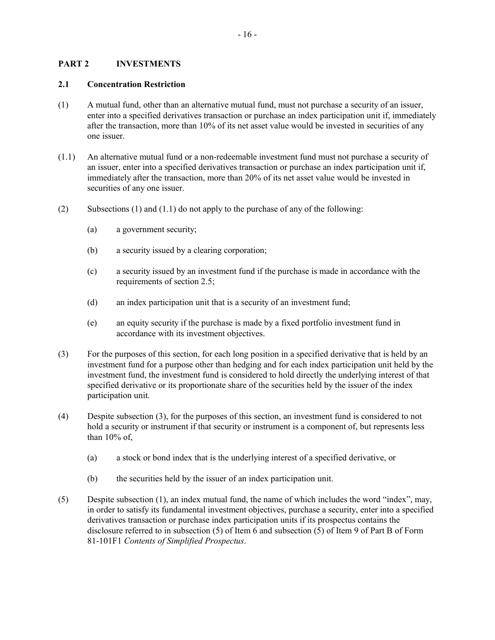#### **PART 2 INVESTMENTS**

#### **2.1 Concentration Restriction**

- (1) A mutual fund, other than an alternative mutual fund, must not purchase a security of an issuer, enter into a specified derivatives transaction or purchase an index participation unit if, immediately after the transaction, more than 10% of its net asset value would be invested in securities of any one issuer.
- (1.1) An alternative mutual fund or a non-redeemable investment fund must not purchase a security of an issuer, enter into a specified derivatives transaction or purchase an index participation unit if, immediately after the transaction, more than 20% of its net asset value would be invested in securities of any one issuer.
- (2) Subsections (1) and (1.1) do not apply to the purchase of any of the following:
	- (a) a government security;
	- (b) a security issued by a clearing corporation;
	- (c) a security issued by an investment fund if the purchase is made in accordance with the requirements of section 2.5;
	- (d) an index participation unit that is a security of an investment fund;
	- (e) an equity security if the purchase is made by a fixed portfolio investment fund in accordance with its investment objectives.
- (3) For the purposes of this section, for each long position in a specified derivative that is held by an investment fund for a purpose other than hedging and for each index participation unit held by the investment fund, the investment fund is considered to hold directly the underlying interest of that specified derivative or its proportionate share of the securities held by the issuer of the index participation unit.
- (4) Despite subsection (3), for the purposes of this section, an investment fund is considered to not hold a security or instrument if that security or instrument is a component of, but represents less than  $10\%$  of,
	- (a) a stock or bond index that is the underlying interest of a specified derivative, or
	- (b) the securities held by the issuer of an index participation unit.
- (5) Despite subsection (1), an index mutual fund, the name of which includes the word "index", may, in order to satisfy its fundamental investment objectives, purchase a security, enter into a specified derivatives transaction or purchase index participation units if its prospectus contains the disclosure referred to in subsection (5) of Item 6 and subsection (5) of Item 9 of Part B of Form 81-101F1 *Contents of Simplified Prospectus*.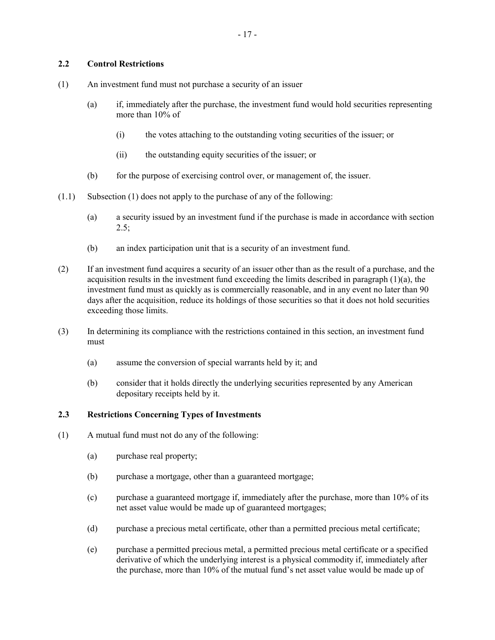### **2.2 Control Restrictions**

- (1) An investment fund must not purchase a security of an issuer
	- (a) if, immediately after the purchase, the investment fund would hold securities representing more than 10% of
		- (i) the votes attaching to the outstanding voting securities of the issuer; or
		- (ii) the outstanding equity securities of the issuer; or
	- (b) for the purpose of exercising control over, or management of, the issuer.
- (1.1) Subsection (1) does not apply to the purchase of any of the following:
	- (a) a security issued by an investment fund if the purchase is made in accordance with section  $2.5;$
	- (b) an index participation unit that is a security of an investment fund.
- (2) If an investment fund acquires a security of an issuer other than as the result of a purchase, and the acquisition results in the investment fund exceeding the limits described in paragraph  $(1)(a)$ , the investment fund must as quickly as is commercially reasonable, and in any event no later than 90 days after the acquisition, reduce its holdings of those securities so that it does not hold securities exceeding those limits.
- (3) In determining its compliance with the restrictions contained in this section, an investment fund must
	- (a) assume the conversion of special warrants held by it; and
	- (b) consider that it holds directly the underlying securities represented by any American depositary receipts held by it.

### **2.3 Restrictions Concerning Types of Investments**

- (1) A mutual fund must not do any of the following:
	- (a) purchase real property;
	- (b) purchase a mortgage, other than a guaranteed mortgage;
	- (c) purchase a guaranteed mortgage if, immediately after the purchase, more than 10% of its net asset value would be made up of guaranteed mortgages;
	- (d) purchase a precious metal certificate, other than a permitted precious metal certificate;
	- (e) purchase a permitted precious metal, a permitted precious metal certificate or a specified derivative of which the underlying interest is a physical commodity if, immediately after the purchase, more than 10% of the mutual fund's net asset value would be made up of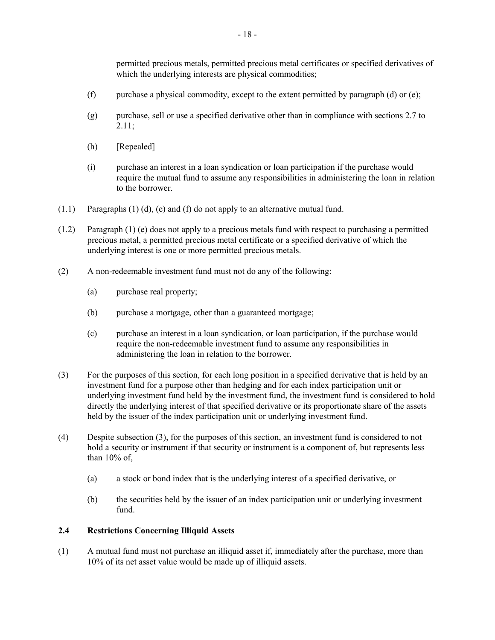- (f) purchase a physical commodity, except to the extent permitted by paragraph (d) or (e);
- (g) purchase, sell or use a specified derivative other than in compliance with sections 2.7 to 2.11;
- (h) [Repealed]
- (i) purchase an interest in a loan syndication or loan participation if the purchase would require the mutual fund to assume any responsibilities in administering the loan in relation to the borrower.
- (1.1) Paragraphs (1) (d), (e) and (f) do not apply to an alternative mutual fund.
- (1.2) Paragraph (1) (e) does not apply to a precious metals fund with respect to purchasing a permitted precious metal, a permitted precious metal certificate or a specified derivative of which the underlying interest is one or more permitted precious metals.
- (2) A non-redeemable investment fund must not do any of the following:
	- (a) purchase real property;
	- (b) purchase a mortgage, other than a guaranteed mortgage;
	- (c) purchase an interest in a loan syndication, or loan participation, if the purchase would require the non-redeemable investment fund to assume any responsibilities in administering the loan in relation to the borrower.
- (3) For the purposes of this section, for each long position in a specified derivative that is held by an investment fund for a purpose other than hedging and for each index participation unit or underlying investment fund held by the investment fund, the investment fund is considered to hold directly the underlying interest of that specified derivative or its proportionate share of the assets held by the issuer of the index participation unit or underlying investment fund.
- (4) Despite subsection (3), for the purposes of this section, an investment fund is considered to not hold a security or instrument if that security or instrument is a component of, but represents less than 10% of,
	- (a) a stock or bond index that is the underlying interest of a specified derivative, or
	- (b) the securities held by the issuer of an index participation unit or underlying investment fund.

### **2.4 Restrictions Concerning Illiquid Assets**

(1) A mutual fund must not purchase an illiquid asset if, immediately after the purchase, more than 10% of its net asset value would be made up of illiquid assets.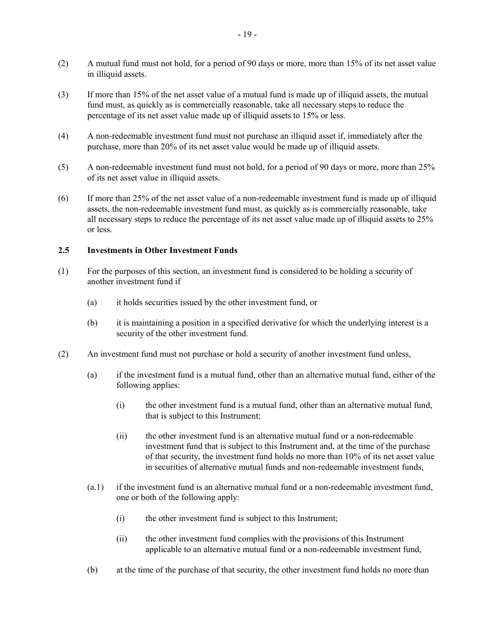- (2) A mutual fund must not hold, for a period of 90 days or more, more than 15% of its net asset value in illiquid assets.
- (3) If more than 15% of the net asset value of a mutual fund is made up of illiquid assets, the mutual fund must, as quickly as is commercially reasonable, take all necessary steps to reduce the percentage of its net asset value made up of illiquid assets to 15% or less.
- (4) A non-redeemable investment fund must not purchase an illiquid asset if, immediately after the purchase, more than 20% of its net asset value would be made up of illiquid assets.
- (5) A non-redeemable investment fund must not hold, for a period of 90 days or more, more than 25% of its net asset value in illiquid assets.
- (6) If more than 25% of the net asset value of a non-redeemable investment fund is made up of illiquid assets, the non-redeemable investment fund must, as quickly as is commercially reasonable, take all necessary steps to reduce the percentage of its net asset value made up of illiquid assets to 25% or less.

#### **2.5 Investments in Other Investment Funds**

- (1) For the purposes of this section, an investment fund is considered to be holding a security of another investment fund if
	- (a) it holds securities issued by the other investment fund, or
	- (b) it is maintaining a position in a specified derivative for which the underlying interest is a security of the other investment fund.
- (2) An investment fund must not purchase or hold a security of another investment fund unless,
	- (a) if the investment fund is a mutual fund, other than an alternative mutual fund, either of the following applies:
		- (i) the other investment fund is a mutual fund, other than an alternative mutual fund, that is subject to this Instrument;
		- (ii) the other investment fund is an alternative mutual fund or a non-redeemable investment fund that is subject to this Instrument and, at the time of the purchase of that security, the investment fund holds no more than 10% of its net asset value in securities of alternative mutual funds and non-redeemable investment funds,
	- (a.1) if the investment fund is an alternative mutual fund or a non-redeemable investment fund, one or both of the following apply:
		- (i) the other investment fund is subject to this Instrument;
		- (ii) the other investment fund complies with the provisions of this Instrument applicable to an alternative mutual fund or a non-redeemable investment fund,
	- (b) at the time of the purchase of that security, the other investment fund holds no more than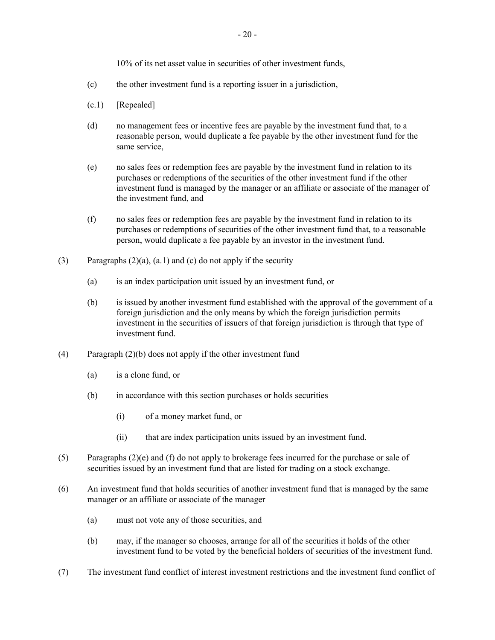- (c) the other investment fund is a reporting issuer in a jurisdiction,
- (c.1) [Repealed]
- (d) no management fees or incentive fees are payable by the investment fund that, to a reasonable person, would duplicate a fee payable by the other investment fund for the same service,
- (e) no sales fees or redemption fees are payable by the investment fund in relation to its purchases or redemptions of the securities of the other investment fund if the other investment fund is managed by the manager or an affiliate or associate of the manager of the investment fund, and
- (f) no sales fees or redemption fees are payable by the investment fund in relation to its purchases or redemptions of securities of the other investment fund that, to a reasonable person, would duplicate a fee payable by an investor in the investment fund.
- (3) Paragraphs  $(2)(a)$ ,  $(a.1)$  and  $(c)$  do not apply if the security
	- (a) is an index participation unit issued by an investment fund, or
	- (b) is issued by another investment fund established with the approval of the government of a foreign jurisdiction and the only means by which the foreign jurisdiction permits investment in the securities of issuers of that foreign jurisdiction is through that type of investment fund.
- (4) Paragraph (2)(b) does not apply if the other investment fund
	- (a) is a clone fund, or
	- (b) in accordance with this section purchases or holds securities
		- (i) of a money market fund, or
		- (ii) that are index participation units issued by an investment fund.
- (5) Paragraphs (2)(e) and (f) do not apply to brokerage fees incurred for the purchase or sale of securities issued by an investment fund that are listed for trading on a stock exchange.
- (6) An investment fund that holds securities of another investment fund that is managed by the same manager or an affiliate or associate of the manager
	- (a) must not vote any of those securities, and
	- (b) may, if the manager so chooses, arrange for all of the securities it holds of the other investment fund to be voted by the beneficial holders of securities of the investment fund.
- (7) The investment fund conflict of interest investment restrictions and the investment fund conflict of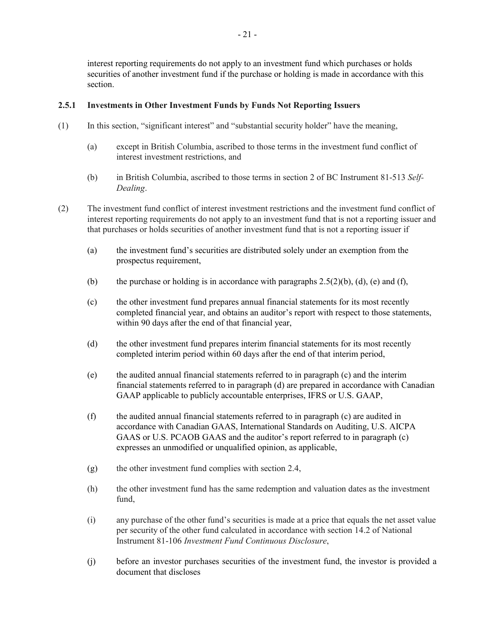interest reporting requirements do not apply to an investment fund which purchases or holds securities of another investment fund if the purchase or holding is made in accordance with this section.

## **2.5.1 Investments in Other Investment Funds by Funds Not Reporting Issuers**

- (1) In this section, "significant interest" and "substantial security holder" have the meaning,
	- (a) except in British Columbia, ascribed to those terms in the investment fund conflict of interest investment restrictions, and
	- (b) in British Columbia, ascribed to those terms in section 2 of BC Instrument 81-513 *Self-Dealing*.
- (2) The investment fund conflict of interest investment restrictions and the investment fund conflict of interest reporting requirements do not apply to an investment fund that is not a reporting issuer and that purchases or holds securities of another investment fund that is not a reporting issuer if
	- (a) the investment fund's securities are distributed solely under an exemption from the prospectus requirement,
	- (b) the purchase or holding is in accordance with paragraphs  $2.5(2)(b)$ , (d), (e) and (f),
	- (c) the other investment fund prepares annual financial statements for its most recently completed financial year, and obtains an auditor's report with respect to those statements, within 90 days after the end of that financial year,
	- (d) the other investment fund prepares interim financial statements for its most recently completed interim period within 60 days after the end of that interim period,
	- (e) the audited annual financial statements referred to in paragraph (c) and the interim financial statements referred to in paragraph (d) are prepared in accordance with Canadian GAAP applicable to publicly accountable enterprises, IFRS or U.S. GAAP,
	- (f) the audited annual financial statements referred to in paragraph (c) are audited in accordance with Canadian GAAS, International Standards on Auditing, U.S. AICPA GAAS or U.S. PCAOB GAAS and the auditor's report referred to in paragraph (c) expresses an unmodified or unqualified opinion, as applicable,
	- (g) the other investment fund complies with section 2.4,
	- (h) the other investment fund has the same redemption and valuation dates as the investment fund,
	- (i) any purchase of the other fund's securities is made at a price that equals the net asset value per security of the other fund calculated in accordance with section 14.2 of National Instrument 81-106 *Investment Fund Continuous Disclosure*,
	- (j) before an investor purchases securities of the investment fund, the investor is provided a document that discloses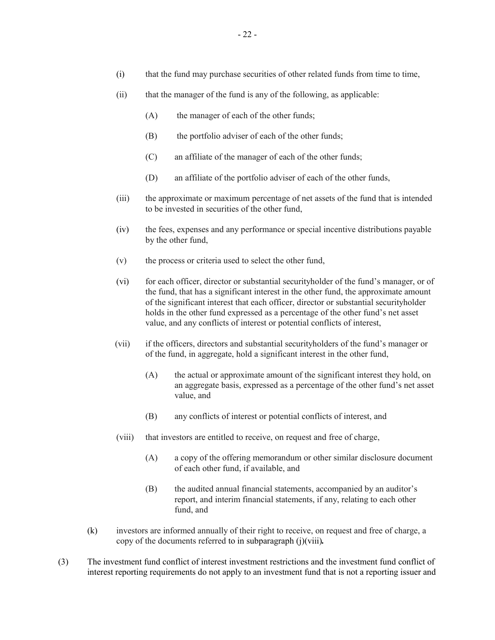- (i) that the fund may purchase securities of other related funds from time to time,
- (ii) that the manager of the fund is any of the following, as applicable:
	- (A) the manager of each of the other funds;
	- (B) the portfolio adviser of each of the other funds;
	- (C) an affiliate of the manager of each of the other funds;
	- (D) an affiliate of the portfolio adviser of each of the other funds,
- (iii) the approximate or maximum percentage of net assets of the fund that is intended to be invested in securities of the other fund,
- (iv) the fees, expenses and any performance or special incentive distributions payable by the other fund,
- (v) the process or criteria used to select the other fund,
- (vi) for each officer, director or substantial securityholder of the fund's manager, or of the fund, that has a significant interest in the other fund, the approximate amount of the significant interest that each officer, director or substantial securityholder holds in the other fund expressed as a percentage of the other fund's net asset value, and any conflicts of interest or potential conflicts of interest,
- (vii) if the officers, directors and substantial securityholders of the fund's manager or of the fund, in aggregate, hold a significant interest in the other fund,
	- (A) the actual or approximate amount of the significant interest they hold, on an aggregate basis, expressed as a percentage of the other fund's net asset value, and
	- (B) any conflicts of interest or potential conflicts of interest, and
- (viii) that investors are entitled to receive, on request and free of charge,
	- (A) a copy of the offering memorandum or other similar disclosure document of each other fund, if available, and
	- (B) the audited annual financial statements, accompanied by an auditor's report, and interim financial statements, if any, relating to each other fund, and
- (k) investors are informed annually of their right to receive, on request and free of charge, a copy of the documents referred to in subparagraph (j)(viii)*.*
- (3) The investment fund conflict of interest investment restrictions and the investment fund conflict of interest reporting requirements do not apply to an investment fund that is not a reporting issuer and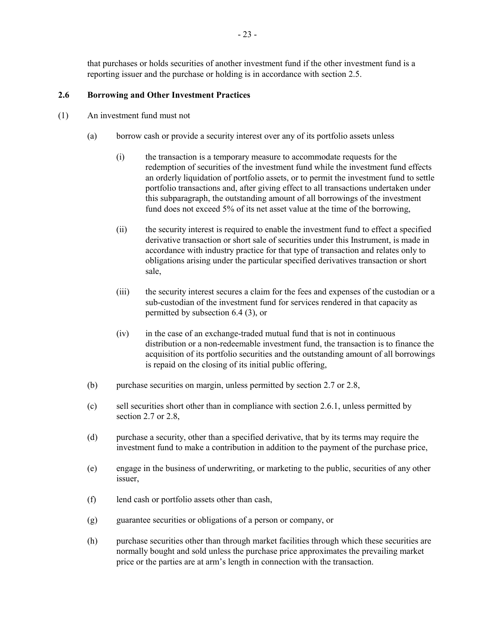that purchases or holds securities of another investment fund if the other investment fund is a reporting issuer and the purchase or holding is in accordance with section 2.5.

#### **2.6 Borrowing and Other Investment Practices**

- (1) An investment fund must not
	- (a) borrow cash or provide a security interest over any of its portfolio assets unless
		- (i) the transaction is a temporary measure to accommodate requests for the redemption of securities of the investment fund while the investment fund effects an orderly liquidation of portfolio assets, or to permit the investment fund to settle portfolio transactions and, after giving effect to all transactions undertaken under this subparagraph, the outstanding amount of all borrowings of the investment fund does not exceed 5% of its net asset value at the time of the borrowing,
		- (ii) the security interest is required to enable the investment fund to effect a specified derivative transaction or short sale of securities under this Instrument, is made in accordance with industry practice for that type of transaction and relates only to obligations arising under the particular specified derivatives transaction or short sale,
		- (iii) the security interest secures a claim for the fees and expenses of the custodian or a sub-custodian of the investment fund for services rendered in that capacity as permitted by subsection 6.4 (3), or
		- (iv) in the case of an exchange-traded mutual fund that is not in continuous distribution or a non-redeemable investment fund, the transaction is to finance the acquisition of its portfolio securities and the outstanding amount of all borrowings is repaid on the closing of its initial public offering,
	- (b) purchase securities on margin, unless permitted by section 2.7 or 2.8,
	- (c) sell securities short other than in compliance with section 2.6.1, unless permitted by section 2.7 or 2.8,
	- (d) purchase a security, other than a specified derivative, that by its terms may require the investment fund to make a contribution in addition to the payment of the purchase price,
	- (e) engage in the business of underwriting, or marketing to the public, securities of any other issuer,
	- (f) lend cash or portfolio assets other than cash,
	- (g) guarantee securities or obligations of a person or company, or
	- (h) purchase securities other than through market facilities through which these securities are normally bought and sold unless the purchase price approximates the prevailing market price or the parties are at arm's length in connection with the transaction.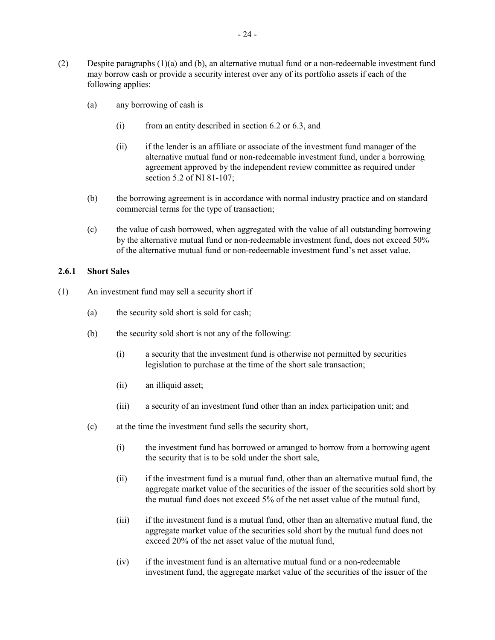- (2) Despite paragraphs  $(1)(a)$  and  $(b)$ , an alternative mutual fund or a non-redeemable investment fund may borrow cash or provide a security interest over any of its portfolio assets if each of the following applies:
	- (a) any borrowing of cash is
		- (i) from an entity described in section 6.2 or 6.3, and
		- (ii) if the lender is an affiliate or associate of the investment fund manager of the alternative mutual fund or non-redeemable investment fund, under a borrowing agreement approved by the independent review committee as required under section 5.2 of NI 81-107;
	- (b) the borrowing agreement is in accordance with normal industry practice and on standard commercial terms for the type of transaction;
	- (c) the value of cash borrowed, when aggregated with the value of all outstanding borrowing by the alternative mutual fund or non-redeemable investment fund, does not exceed 50% of the alternative mutual fund or non-redeemable investment fund's net asset value.

#### **2.6.1 Short Sales**

- (1) An investment fund may sell a security short if
	- (a) the security sold short is sold for cash;
	- (b) the security sold short is not any of the following:
		- (i) a security that the investment fund is otherwise not permitted by securities legislation to purchase at the time of the short sale transaction;
		- (ii) an illiquid asset;
		- (iii) a security of an investment fund other than an index participation unit; and
	- (c) at the time the investment fund sells the security short,
		- (i) the investment fund has borrowed or arranged to borrow from a borrowing agent the security that is to be sold under the short sale,
		- (ii) if the investment fund is a mutual fund, other than an alternative mutual fund, the aggregate market value of the securities of the issuer of the securities sold short by the mutual fund does not exceed 5% of the net asset value of the mutual fund,
		- (iii) if the investment fund is a mutual fund, other than an alternative mutual fund, the aggregate market value of the securities sold short by the mutual fund does not exceed 20% of the net asset value of the mutual fund,
		- (iv) if the investment fund is an alternative mutual fund or a non-redeemable investment fund, the aggregate market value of the securities of the issuer of the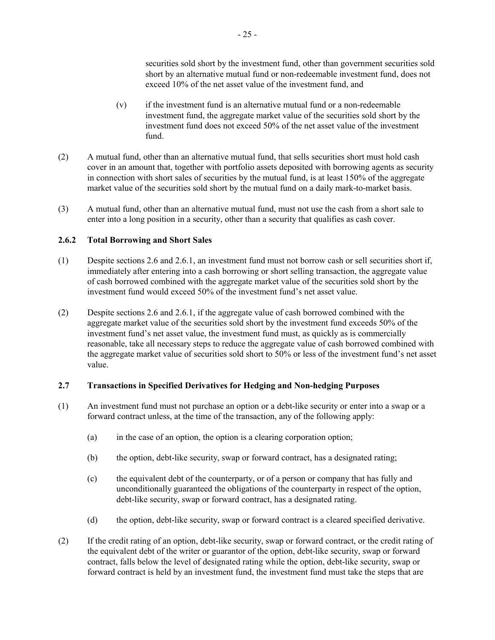securities sold short by the investment fund, other than government securities sold short by an alternative mutual fund or non-redeemable investment fund, does not exceed 10% of the net asset value of the investment fund, and

- (v) if the investment fund is an alternative mutual fund or a non-redeemable investment fund, the aggregate market value of the securities sold short by the investment fund does not exceed 50% of the net asset value of the investment fund.
- (2) A mutual fund, other than an alternative mutual fund, that sells securities short must hold cash cover in an amount that, together with portfolio assets deposited with borrowing agents as security in connection with short sales of securities by the mutual fund, is at least 150% of the aggregate market value of the securities sold short by the mutual fund on a daily mark-to-market basis.
- (3) A mutual fund, other than an alternative mutual fund, must not use the cash from a short sale to enter into a long position in a security, other than a security that qualifies as cash cover.

### **2.6.2 Total Borrowing and Short Sales**

- (1) Despite sections 2.6 and 2.6.1, an investment fund must not borrow cash or sell securities short if, immediately after entering into a cash borrowing or short selling transaction, the aggregate value of cash borrowed combined with the aggregate market value of the securities sold short by the investment fund would exceed 50% of the investment fund's net asset value.
- (2) Despite sections 2.6 and 2.6.1, if the aggregate value of cash borrowed combined with the aggregate market value of the securities sold short by the investment fund exceeds 50% of the investment fund's net asset value, the investment fund must, as quickly as is commercially reasonable, take all necessary steps to reduce the aggregate value of cash borrowed combined with the aggregate market value of securities sold short to 50% or less of the investment fund's net asset value.

#### **2.7 Transactions in Specified Derivatives for Hedging and Non-hedging Purposes**

- (1) An investment fund must not purchase an option or a debt-like security or enter into a swap or a forward contract unless, at the time of the transaction, any of the following apply:
	- (a) in the case of an option, the option is a clearing corporation option;
	- (b) the option, debt-like security, swap or forward contract, has a designated rating;
	- (c) the equivalent debt of the counterparty, or of a person or company that has fully and unconditionally guaranteed the obligations of the counterparty in respect of the option, debt-like security, swap or forward contract, has a designated rating.
	- (d) the option, debt-like security, swap or forward contract is a cleared specified derivative.
- (2) If the credit rating of an option, debt-like security, swap or forward contract, or the credit rating of the equivalent debt of the writer or guarantor of the option, debt-like security, swap or forward contract, falls below the level of designated rating while the option, debt-like security, swap or forward contract is held by an investment fund, the investment fund must take the steps that are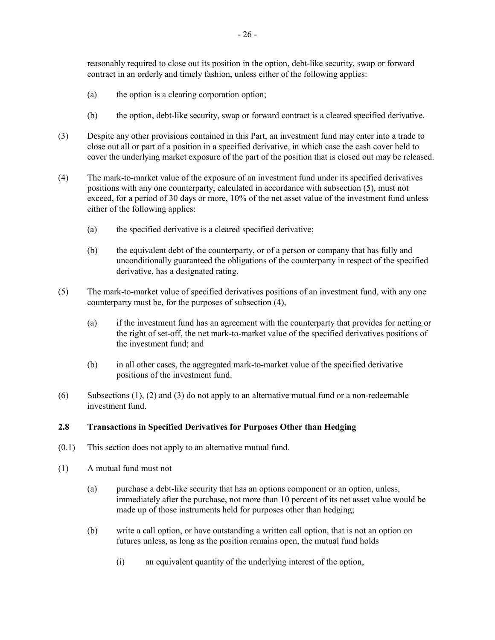reasonably required to close out its position in the option, debt-like security, swap or forward contract in an orderly and timely fashion, unless either of the following applies:

- (a) the option is a clearing corporation option;
- (b) the option, debt-like security, swap or forward contract is a cleared specified derivative.
- (3) Despite any other provisions contained in this Part, an investment fund may enter into a trade to close out all or part of a position in a specified derivative, in which case the cash cover held to cover the underlying market exposure of the part of the position that is closed out may be released.
- (4) The mark-to-market value of the exposure of an investment fund under its specified derivatives positions with any one counterparty, calculated in accordance with subsection (5), must not exceed, for a period of 30 days or more, 10% of the net asset value of the investment fund unless either of the following applies:
	- (a) the specified derivative is a cleared specified derivative;
	- (b) the equivalent debt of the counterparty, or of a person or company that has fully and unconditionally guaranteed the obligations of the counterparty in respect of the specified derivative, has a designated rating.
- (5) The mark-to-market value of specified derivatives positions of an investment fund, with any one counterparty must be, for the purposes of subsection (4),
	- (a) if the investment fund has an agreement with the counterparty that provides for netting or the right of set-off, the net mark-to-market value of the specified derivatives positions of the investment fund; and
	- (b) in all other cases, the aggregated mark-to-market value of the specified derivative positions of the investment fund.
- (6) Subsections  $(1)$ ,  $(2)$  and  $(3)$  do not apply to an alternative mutual fund or a non-redeemable investment fund.

# **2.8 Transactions in Specified Derivatives for Purposes Other than Hedging**

- (0.1) This section does not apply to an alternative mutual fund.
- (1) A mutual fund must not
	- (a) purchase a debt-like security that has an options component or an option, unless, immediately after the purchase, not more than 10 percent of its net asset value would be made up of those instruments held for purposes other than hedging;
	- (b) write a call option, or have outstanding a written call option, that is not an option on futures unless, as long as the position remains open, the mutual fund holds
		- (i) an equivalent quantity of the underlying interest of the option,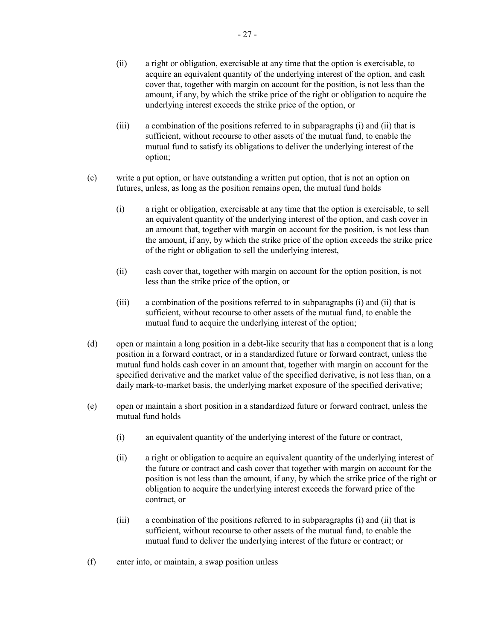- (ii) a right or obligation, exercisable at any time that the option is exercisable, to acquire an equivalent quantity of the underlying interest of the option, and cash cover that, together with margin on account for the position, is not less than the amount, if any, by which the strike price of the right or obligation to acquire the underlying interest exceeds the strike price of the option, or
- (iii) a combination of the positions referred to in subparagraphs (i) and (ii) that is sufficient, without recourse to other assets of the mutual fund, to enable the mutual fund to satisfy its obligations to deliver the underlying interest of the option;
- (c) write a put option, or have outstanding a written put option, that is not an option on futures, unless, as long as the position remains open, the mutual fund holds
	- (i) a right or obligation, exercisable at any time that the option is exercisable, to sell an equivalent quantity of the underlying interest of the option, and cash cover in an amount that, together with margin on account for the position, is not less than the amount, if any, by which the strike price of the option exceeds the strike price of the right or obligation to sell the underlying interest,
	- (ii) cash cover that, together with margin on account for the option position, is not less than the strike price of the option, or
	- (iii) a combination of the positions referred to in subparagraphs (i) and (ii) that is sufficient, without recourse to other assets of the mutual fund, to enable the mutual fund to acquire the underlying interest of the option;
- (d) open or maintain a long position in a debt-like security that has a component that is a long position in a forward contract, or in a standardized future or forward contract, unless the mutual fund holds cash cover in an amount that, together with margin on account for the specified derivative and the market value of the specified derivative, is not less than, on a daily mark-to-market basis, the underlying market exposure of the specified derivative;
- (e) open or maintain a short position in a standardized future or forward contract, unless the mutual fund holds
	- (i) an equivalent quantity of the underlying interest of the future or contract,
	- (ii) a right or obligation to acquire an equivalent quantity of the underlying interest of the future or contract and cash cover that together with margin on account for the position is not less than the amount, if any, by which the strike price of the right or obligation to acquire the underlying interest exceeds the forward price of the contract, or
	- (iii) a combination of the positions referred to in subparagraphs (i) and (ii) that is sufficient, without recourse to other assets of the mutual fund, to enable the mutual fund to deliver the underlying interest of the future or contract; or
- (f) enter into, or maintain, a swap position unless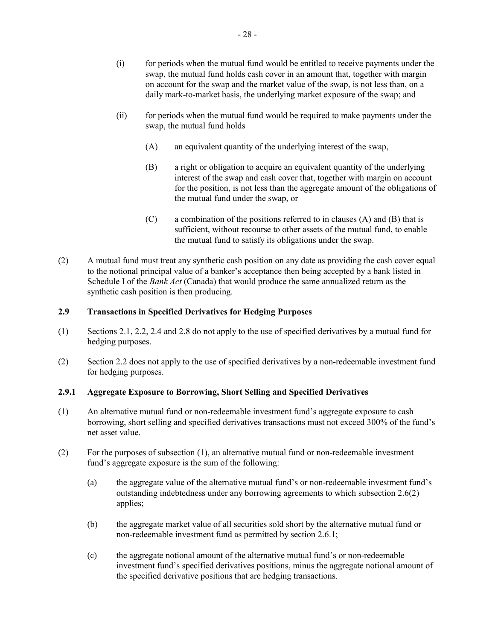- (i) for periods when the mutual fund would be entitled to receive payments under the swap, the mutual fund holds cash cover in an amount that, together with margin on account for the swap and the market value of the swap, is not less than, on a daily mark-to-market basis, the underlying market exposure of the swap; and
- (ii) for periods when the mutual fund would be required to make payments under the swap, the mutual fund holds
	- (A) an equivalent quantity of the underlying interest of the swap,
	- (B) a right or obligation to acquire an equivalent quantity of the underlying interest of the swap and cash cover that, together with margin on account for the position, is not less than the aggregate amount of the obligations of the mutual fund under the swap, or
	- (C) a combination of the positions referred to in clauses (A) and (B) that is sufficient, without recourse to other assets of the mutual fund, to enable the mutual fund to satisfy its obligations under the swap.
- (2) A mutual fund must treat any synthetic cash position on any date as providing the cash cover equal to the notional principal value of a banker's acceptance then being accepted by a bank listed in Schedule I of the *Bank Act* (Canada) that would produce the same annualized return as the synthetic cash position is then producing.

## **2.9 Transactions in Specified Derivatives for Hedging Purposes**

- (1) Sections 2.1, 2.2, 2.4 and 2.8 do not apply to the use of specified derivatives by a mutual fund for hedging purposes.
- (2) Section 2.2 does not apply to the use of specified derivatives by a non-redeemable investment fund for hedging purposes.

### **2.9.1 Aggregate Exposure to Borrowing, Short Selling and Specified Derivatives**

- (1) An alternative mutual fund or non-redeemable investment fund's aggregate exposure to cash borrowing, short selling and specified derivatives transactions must not exceed 300% of the fund's net asset value.
- (2) For the purposes of subsection (1), an alternative mutual fund or non-redeemable investment fund's aggregate exposure is the sum of the following:
	- (a) the aggregate value of the alternative mutual fund's or non-redeemable investment fund's outstanding indebtedness under any borrowing agreements to which subsection 2.6(2) applies;
	- (b) the aggregate market value of all securities sold short by the alternative mutual fund or non-redeemable investment fund as permitted by section 2.6.1;
	- (c) the aggregate notional amount of the alternative mutual fund's or non-redeemable investment fund's specified derivatives positions, minus the aggregate notional amount of the specified derivative positions that are hedging transactions.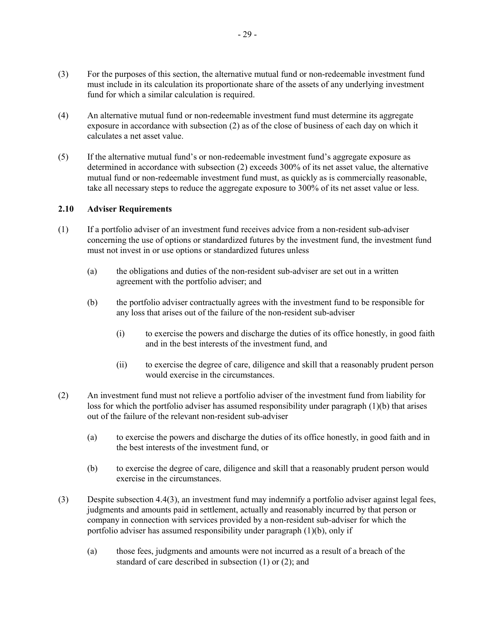- (3) For the purposes of this section, the alternative mutual fund or non-redeemable investment fund must include in its calculation its proportionate share of the assets of any underlying investment fund for which a similar calculation is required.
- (4) An alternative mutual fund or non-redeemable investment fund must determine its aggregate exposure in accordance with subsection (2) as of the close of business of each day on which it calculates a net asset value.
- (5) If the alternative mutual fund's or non-redeemable investment fund's aggregate exposure as determined in accordance with subsection (2) exceeds 300% of its net asset value, the alternative mutual fund or non-redeemable investment fund must, as quickly as is commercially reasonable, take all necessary steps to reduce the aggregate exposure to 300% of its net asset value or less.

### **2.10 Adviser Requirements**

- (1) If a portfolio adviser of an investment fund receives advice from a non-resident sub-adviser concerning the use of options or standardized futures by the investment fund, the investment fund must not invest in or use options or standardized futures unless
	- (a) the obligations and duties of the non-resident sub-adviser are set out in a written agreement with the portfolio adviser; and
	- (b) the portfolio adviser contractually agrees with the investment fund to be responsible for any loss that arises out of the failure of the non-resident sub-adviser
		- (i) to exercise the powers and discharge the duties of its office honestly, in good faith and in the best interests of the investment fund, and
		- (ii) to exercise the degree of care, diligence and skill that a reasonably prudent person would exercise in the circumstances.
- (2) An investment fund must not relieve a portfolio adviser of the investment fund from liability for loss for which the portfolio adviser has assumed responsibility under paragraph  $(1)(b)$  that arises out of the failure of the relevant non-resident sub-adviser
	- (a) to exercise the powers and discharge the duties of its office honestly, in good faith and in the best interests of the investment fund, or
	- (b) to exercise the degree of care, diligence and skill that a reasonably prudent person would exercise in the circumstances.
- (3) Despite subsection 4.4(3), an investment fund may indemnify a portfolio adviser against legal fees, judgments and amounts paid in settlement, actually and reasonably incurred by that person or company in connection with services provided by a non-resident sub-adviser for which the portfolio adviser has assumed responsibility under paragraph (1)(b), only if
	- (a) those fees, judgments and amounts were not incurred as a result of a breach of the standard of care described in subsection (1) or (2); and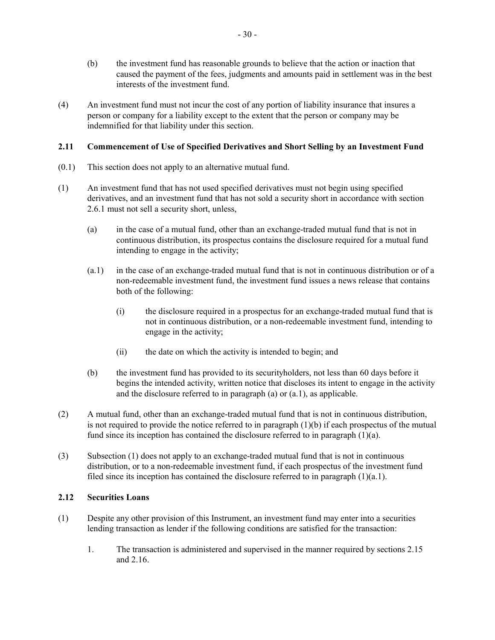- (b) the investment fund has reasonable grounds to believe that the action or inaction that caused the payment of the fees, judgments and amounts paid in settlement was in the best interests of the investment fund.
- (4) An investment fund must not incur the cost of any portion of liability insurance that insures a person or company for a liability except to the extent that the person or company may be indemnified for that liability under this section.

# **2.11 Commencement of Use of Specified Derivatives and Short Selling by an Investment Fund**

- (0.1) This section does not apply to an alternative mutual fund.
- (1) An investment fund that has not used specified derivatives must not begin using specified derivatives, and an investment fund that has not sold a security short in accordance with section 2.6.1 must not sell a security short, unless,
	- (a) in the case of a mutual fund, other than an exchange-traded mutual fund that is not in continuous distribution, its prospectus contains the disclosure required for a mutual fund intending to engage in the activity;
	- (a.1) in the case of an exchange-traded mutual fund that is not in continuous distribution or of a non-redeemable investment fund, the investment fund issues a news release that contains both of the following:
		- (i) the disclosure required in a prospectus for an exchange-traded mutual fund that is not in continuous distribution, or a non-redeemable investment fund, intending to engage in the activity;
		- (ii) the date on which the activity is intended to begin; and
	- (b) the investment fund has provided to its securityholders, not less than 60 days before it begins the intended activity, written notice that discloses its intent to engage in the activity and the disclosure referred to in paragraph (a) or (a.1), as applicable.
- (2) A mutual fund, other than an exchange-traded mutual fund that is not in continuous distribution, is not required to provide the notice referred to in paragraph  $(1)(b)$  if each prospectus of the mutual fund since its inception has contained the disclosure referred to in paragraph (1)(a).
- (3) Subsection (1) does not apply to an exchange-traded mutual fund that is not in continuous distribution, or to a non-redeemable investment fund, if each prospectus of the investment fund filed since its inception has contained the disclosure referred to in paragraph (1)(a.1).

## **2.12 Securities Loans**

- (1) Despite any other provision of this Instrument, an investment fund may enter into a securities lending transaction as lender if the following conditions are satisfied for the transaction:
	- 1. The transaction is administered and supervised in the manner required by sections 2.15 and 2.16.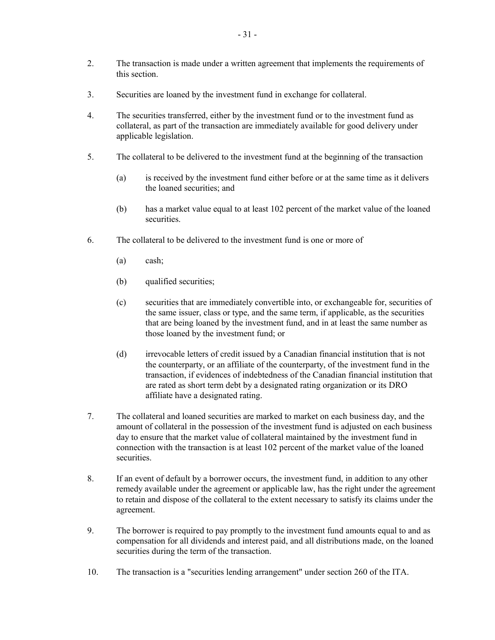- 2. The transaction is made under a written agreement that implements the requirements of this section.
- 3. Securities are loaned by the investment fund in exchange for collateral.
- 4. The securities transferred, either by the investment fund or to the investment fund as collateral, as part of the transaction are immediately available for good delivery under applicable legislation.
- 5. The collateral to be delivered to the investment fund at the beginning of the transaction
	- (a) is received by the investment fund either before or at the same time as it delivers the loaned securities; and
	- (b) has a market value equal to at least 102 percent of the market value of the loaned securities.
- 6. The collateral to be delivered to the investment fund is one or more of
	- (a) cash;
	- (b) qualified securities;
	- (c) securities that are immediately convertible into, or exchangeable for, securities of the same issuer, class or type, and the same term, if applicable, as the securities that are being loaned by the investment fund, and in at least the same number as those loaned by the investment fund; or
	- (d) irrevocable letters of credit issued by a Canadian financial institution that is not the counterparty, or an affiliate of the counterparty, of the investment fund in the transaction, if evidences of indebtedness of the Canadian financial institution that are rated as short term debt by a designated rating organization or its DRO affiliate have a designated rating.
- 7. The collateral and loaned securities are marked to market on each business day, and the amount of collateral in the possession of the investment fund is adjusted on each business day to ensure that the market value of collateral maintained by the investment fund in connection with the transaction is at least 102 percent of the market value of the loaned securities.
- 8. If an event of default by a borrower occurs, the investment fund, in addition to any other remedy available under the agreement or applicable law, has the right under the agreement to retain and dispose of the collateral to the extent necessary to satisfy its claims under the agreement.
- 9. The borrower is required to pay promptly to the investment fund amounts equal to and as compensation for all dividends and interest paid, and all distributions made, on the loaned securities during the term of the transaction.
- 10. The transaction is a "securities lending arrangement" under section 260 of the ITA.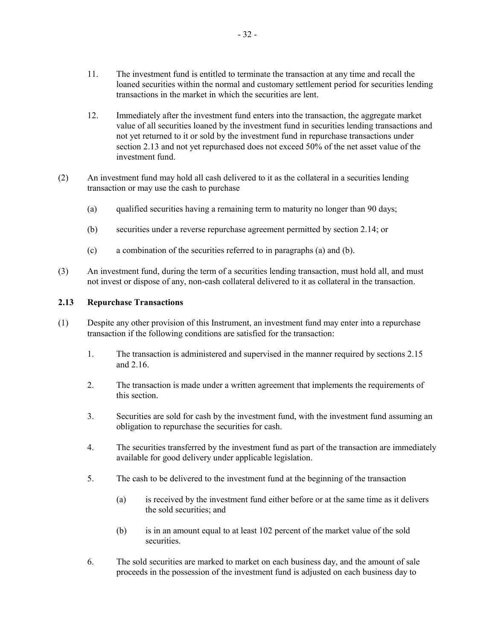- 11. The investment fund is entitled to terminate the transaction at any time and recall the loaned securities within the normal and customary settlement period for securities lending transactions in the market in which the securities are lent.
- 12. Immediately after the investment fund enters into the transaction, the aggregate market value of all securities loaned by the investment fund in securities lending transactions and not yet returned to it or sold by the investment fund in repurchase transactions under section 2.13 and not yet repurchased does not exceed 50% of the net asset value of the investment fund.
- (2) An investment fund may hold all cash delivered to it as the collateral in a securities lending transaction or may use the cash to purchase
	- (a) qualified securities having a remaining term to maturity no longer than 90 days;
	- (b) securities under a reverse repurchase agreement permitted by section 2.14; or
	- (c) a combination of the securities referred to in paragraphs (a) and (b).
- (3) An investment fund, during the term of a securities lending transaction, must hold all, and must not invest or dispose of any, non-cash collateral delivered to it as collateral in the transaction.

#### **2.13 Repurchase Transactions**

- (1) Despite any other provision of this Instrument, an investment fund may enter into a repurchase transaction if the following conditions are satisfied for the transaction:
	- 1. The transaction is administered and supervised in the manner required by sections 2.15 and 2.16.
	- 2. The transaction is made under a written agreement that implements the requirements of this section.
	- 3. Securities are sold for cash by the investment fund, with the investment fund assuming an obligation to repurchase the securities for cash.
	- 4. The securities transferred by the investment fund as part of the transaction are immediately available for good delivery under applicable legislation.
	- 5. The cash to be delivered to the investment fund at the beginning of the transaction
		- (a) is received by the investment fund either before or at the same time as it delivers the sold securities; and
		- (b) is in an amount equal to at least 102 percent of the market value of the sold securities.
	- 6. The sold securities are marked to market on each business day, and the amount of sale proceeds in the possession of the investment fund is adjusted on each business day to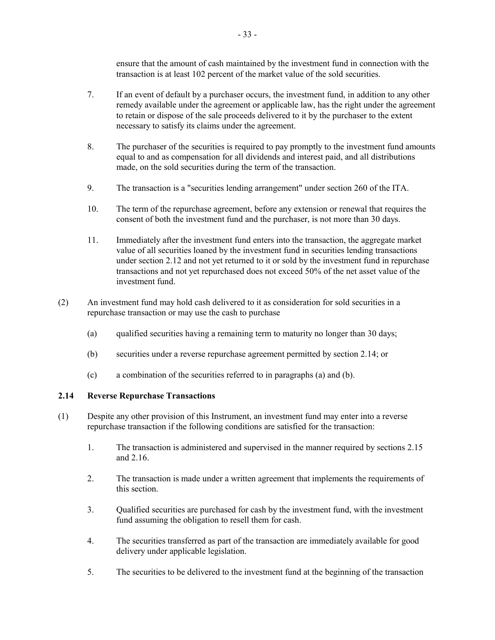ensure that the amount of cash maintained by the investment fund in connection with the transaction is at least 102 percent of the market value of the sold securities.

- 7. If an event of default by a purchaser occurs, the investment fund, in addition to any other remedy available under the agreement or applicable law, has the right under the agreement to retain or dispose of the sale proceeds delivered to it by the purchaser to the extent necessary to satisfy its claims under the agreement.
- 8. The purchaser of the securities is required to pay promptly to the investment fund amounts equal to and as compensation for all dividends and interest paid, and all distributions made, on the sold securities during the term of the transaction.
- 9. The transaction is a "securities lending arrangement" under section 260 of the ITA.
- 10. The term of the repurchase agreement, before any extension or renewal that requires the consent of both the investment fund and the purchaser, is not more than 30 days.
- 11. Immediately after the investment fund enters into the transaction, the aggregate market value of all securities loaned by the investment fund in securities lending transactions under section 2.12 and not yet returned to it or sold by the investment fund in repurchase transactions and not yet repurchased does not exceed 50% of the net asset value of the investment fund.
- (2) An investment fund may hold cash delivered to it as consideration for sold securities in a repurchase transaction or may use the cash to purchase
	- (a) qualified securities having a remaining term to maturity no longer than 30 days;
	- (b) securities under a reverse repurchase agreement permitted by section 2.14; or
	- (c) a combination of the securities referred to in paragraphs (a) and (b).

## **2.14 Reverse Repurchase Transactions**

- (1) Despite any other provision of this Instrument, an investment fund may enter into a reverse repurchase transaction if the following conditions are satisfied for the transaction:
	- 1. The transaction is administered and supervised in the manner required by sections 2.15 and 2.16.
	- 2. The transaction is made under a written agreement that implements the requirements of this section.
	- 3. Qualified securities are purchased for cash by the investment fund, with the investment fund assuming the obligation to resell them for cash.
	- 4. The securities transferred as part of the transaction are immediately available for good delivery under applicable legislation.
	- 5. The securities to be delivered to the investment fund at the beginning of the transaction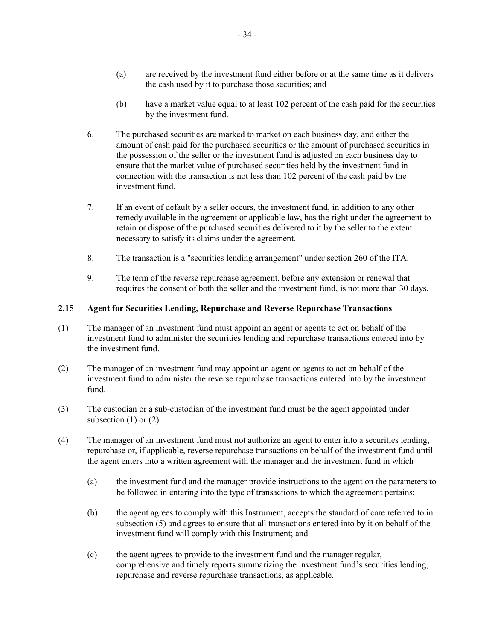- (a) are received by the investment fund either before or at the same time as it delivers the cash used by it to purchase those securities; and
- (b) have a market value equal to at least 102 percent of the cash paid for the securities by the investment fund.
- 6. The purchased securities are marked to market on each business day, and either the amount of cash paid for the purchased securities or the amount of purchased securities in the possession of the seller or the investment fund is adjusted on each business day to ensure that the market value of purchased securities held by the investment fund in connection with the transaction is not less than 102 percent of the cash paid by the investment fund.
- 7. If an event of default by a seller occurs, the investment fund, in addition to any other remedy available in the agreement or applicable law, has the right under the agreement to retain or dispose of the purchased securities delivered to it by the seller to the extent necessary to satisfy its claims under the agreement.
- 8. The transaction is a "securities lending arrangement" under section 260 of the ITA.
- 9. The term of the reverse repurchase agreement, before any extension or renewal that requires the consent of both the seller and the investment fund, is not more than 30 days.

#### **2.15 Agent for Securities Lending, Repurchase and Reverse Repurchase Transactions**

- (1) The manager of an investment fund must appoint an agent or agents to act on behalf of the investment fund to administer the securities lending and repurchase transactions entered into by the investment fund.
- (2) The manager of an investment fund may appoint an agent or agents to act on behalf of the investment fund to administer the reverse repurchase transactions entered into by the investment fund.
- (3) The custodian or a sub-custodian of the investment fund must be the agent appointed under subsection  $(1)$  or  $(2)$ .
- (4) The manager of an investment fund must not authorize an agent to enter into a securities lending, repurchase or, if applicable, reverse repurchase transactions on behalf of the investment fund until the agent enters into a written agreement with the manager and the investment fund in which
	- (a) the investment fund and the manager provide instructions to the agent on the parameters to be followed in entering into the type of transactions to which the agreement pertains;
	- (b) the agent agrees to comply with this Instrument, accepts the standard of care referred to in subsection (5) and agrees to ensure that all transactions entered into by it on behalf of the investment fund will comply with this Instrument; and
	- (c) the agent agrees to provide to the investment fund and the manager regular, comprehensive and timely reports summarizing the investment fund's securities lending, repurchase and reverse repurchase transactions, as applicable.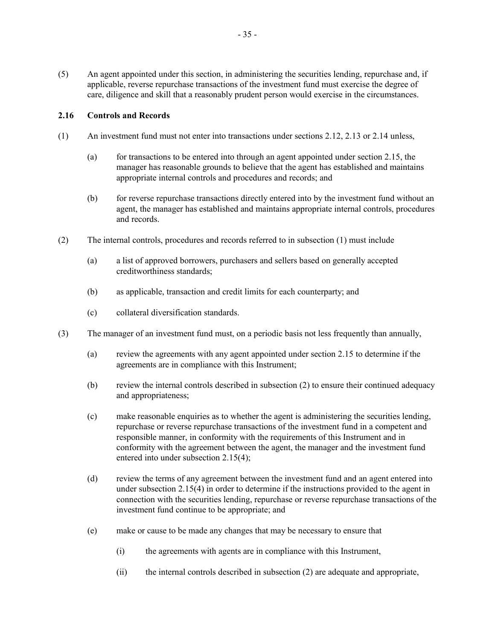(5) An agent appointed under this section, in administering the securities lending, repurchase and, if applicable, reverse repurchase transactions of the investment fund must exercise the degree of care, diligence and skill that a reasonably prudent person would exercise in the circumstances.

#### **2.16 Controls and Records**

- (1) An investment fund must not enter into transactions under sections 2.12, 2.13 or 2.14 unless,
	- (a) for transactions to be entered into through an agent appointed under section 2.15, the manager has reasonable grounds to believe that the agent has established and maintains appropriate internal controls and procedures and records; and
	- (b) for reverse repurchase transactions directly entered into by the investment fund without an agent, the manager has established and maintains appropriate internal controls, procedures and records.
- (2) The internal controls, procedures and records referred to in subsection (1) must include
	- (a) a list of approved borrowers, purchasers and sellers based on generally accepted creditworthiness standards;
	- (b) as applicable, transaction and credit limits for each counterparty; and
	- (c) collateral diversification standards.
- (3) The manager of an investment fund must, on a periodic basis not less frequently than annually,
	- (a) review the agreements with any agent appointed under section 2.15 to determine if the agreements are in compliance with this Instrument;
	- (b) review the internal controls described in subsection (2) to ensure their continued adequacy and appropriateness;
	- (c) make reasonable enquiries as to whether the agent is administering the securities lending, repurchase or reverse repurchase transactions of the investment fund in a competent and responsible manner, in conformity with the requirements of this Instrument and in conformity with the agreement between the agent, the manager and the investment fund entered into under subsection 2.15(4);
	- (d) review the terms of any agreement between the investment fund and an agent entered into under subsection 2.15(4) in order to determine if the instructions provided to the agent in connection with the securities lending, repurchase or reverse repurchase transactions of the investment fund continue to be appropriate; and
	- (e) make or cause to be made any changes that may be necessary to ensure that
		- (i) the agreements with agents are in compliance with this Instrument,
		- (ii) the internal controls described in subsection (2) are adequate and appropriate,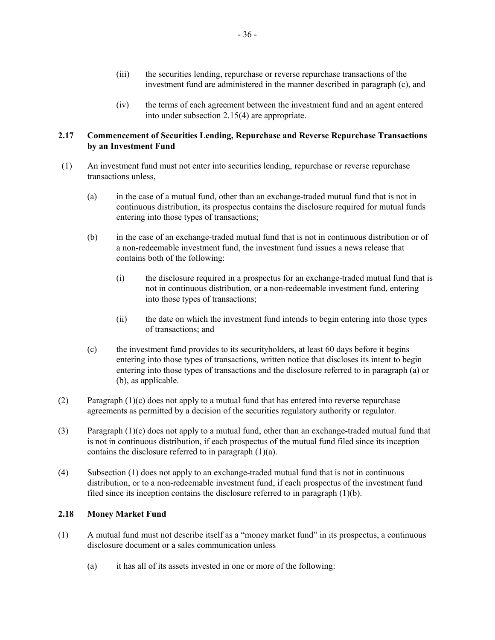- (iii) the securities lending, repurchase or reverse repurchase transactions of the investment fund are administered in the manner described in paragraph (c), and
- (iv) the terms of each agreement between the investment fund and an agent entered into under subsection 2.15(4) are appropriate.

## **2.17 Commencement of Securities Lending, Repurchase and Reverse Repurchase Transactions by an Investment Fund**

- (1) An investment fund must not enter into securities lending, repurchase or reverse repurchase transactions unless,
	- (a) in the case of a mutual fund, other than an exchange-traded mutual fund that is not in continuous distribution, its prospectus contains the disclosure required for mutual funds entering into those types of transactions;
	- (b) in the case of an exchange-traded mutual fund that is not in continuous distribution or of a non-redeemable investment fund, the investment fund issues a news release that contains both of the following:
		- (i) the disclosure required in a prospectus for an exchange-traded mutual fund that is not in continuous distribution, or a non-redeemable investment fund, entering into those types of transactions;
		- (ii) the date on which the investment fund intends to begin entering into those types of transactions; and
	- (c) the investment fund provides to its securityholders, at least 60 days before it begins entering into those types of transactions, written notice that discloses its intent to begin entering into those types of transactions and the disclosure referred to in paragraph (a) or (b), as applicable.
- $(2)$  Paragraph  $(1)(c)$  does not apply to a mutual fund that has entered into reverse repurchase agreements as permitted by a decision of the securities regulatory authority or regulator.
- (3) Paragraph (1)(c) does not apply to a mutual fund, other than an exchange-traded mutual fund that is not in continuous distribution, if each prospectus of the mutual fund filed since its inception contains the disclosure referred to in paragraph (1)(a).
- (4) Subsection (1) does not apply to an exchange-traded mutual fund that is not in continuous distribution, or to a non-redeemable investment fund, if each prospectus of the investment fund filed since its inception contains the disclosure referred to in paragraph (1)(b).

## **2.18 Money Market Fund**

- (1) A mutual fund must not describe itself as a "money market fund" in its prospectus, a continuous disclosure document or a sales communication unless
	- (a) it has all of its assets invested in one or more of the following: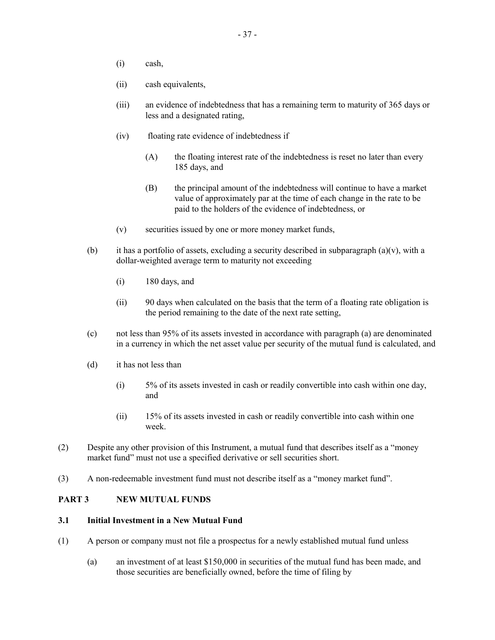- (i) cash,
- (ii) cash equivalents,
- (iii) an evidence of indebtedness that has a remaining term to maturity of 365 days or less and a designated rating,
- (iv) floating rate evidence of indebtedness if
	- (A) the floating interest rate of the indebtedness is reset no later than every 185 days, and
	- (B) the principal amount of the indebtedness will continue to have a market value of approximately par at the time of each change in the rate to be paid to the holders of the evidence of indebtedness, or
- (v) securities issued by one or more money market funds,
- (b) it has a portfolio of assets, excluding a security described in subparagraph  $(a)(v)$ , with a dollar-weighted average term to maturity not exceeding
	- (i) 180 days, and
	- (ii) 90 days when calculated on the basis that the term of a floating rate obligation is the period remaining to the date of the next rate setting,
- (c) not less than 95% of its assets invested in accordance with paragraph (a) are denominated in a currency in which the net asset value per security of the mutual fund is calculated, and
- (d) it has not less than
	- (i) 5% of its assets invested in cash or readily convertible into cash within one day, and
	- (ii) 15% of its assets invested in cash or readily convertible into cash within one week.
- (2) Despite any other provision of this Instrument, a mutual fund that describes itself as a "money market fund" must not use a specified derivative or sell securities short.
- (3) A non-redeemable investment fund must not describe itself as a "money market fund".

## **PART 3 NEW MUTUAL FUNDS**

## **3.1 Initial Investment in a New Mutual Fund**

- (1) A person or company must not file a prospectus for a newly established mutual fund unless
	- (a) an investment of at least \$150,000 in securities of the mutual fund has been made, and those securities are beneficially owned, before the time of filing by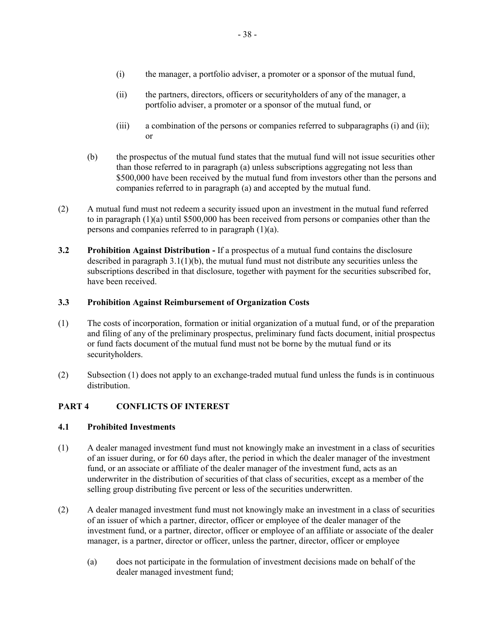- (i) the manager, a portfolio adviser, a promoter or a sponsor of the mutual fund,
- (ii) the partners, directors, officers or securityholders of any of the manager, a portfolio adviser, a promoter or a sponsor of the mutual fund, or
- (iii) a combination of the persons or companies referred to subparagraphs (i) and (ii); or
- (b) the prospectus of the mutual fund states that the mutual fund will not issue securities other than those referred to in paragraph (a) unless subscriptions aggregating not less than \$500,000 have been received by the mutual fund from investors other than the persons and companies referred to in paragraph (a) and accepted by the mutual fund.
- (2) A mutual fund must not redeem a security issued upon an investment in the mutual fund referred to in paragraph (1)(a) until \$500,000 has been received from persons or companies other than the persons and companies referred to in paragraph (1)(a).
- **3.2 Prohibition Against Distribution -** If a prospectus of a mutual fund contains the disclosure described in paragraph 3.1(1)(b), the mutual fund must not distribute any securities unless the subscriptions described in that disclosure, together with payment for the securities subscribed for, have been received.

# **3.3 Prohibition Against Reimbursement of Organization Costs**

- (1) The costs of incorporation, formation or initial organization of a mutual fund, or of the preparation and filing of any of the preliminary prospectus, preliminary fund facts document, initial prospectus or fund facts document of the mutual fund must not be borne by the mutual fund or its securityholders.
- (2) Subsection (1) does not apply to an exchange-traded mutual fund unless the funds is in continuous distribution.

## **PART 4 CONFLICTS OF INTEREST**

## **4.1 Prohibited Investments**

- (1) A dealer managed investment fund must not knowingly make an investment in a class of securities of an issuer during, or for 60 days after, the period in which the dealer manager of the investment fund, or an associate or affiliate of the dealer manager of the investment fund, acts as an underwriter in the distribution of securities of that class of securities, except as a member of the selling group distributing five percent or less of the securities underwritten.
- (2) A dealer managed investment fund must not knowingly make an investment in a class of securities of an issuer of which a partner, director, officer or employee of the dealer manager of the investment fund, or a partner, director, officer or employee of an affiliate or associate of the dealer manager, is a partner, director or officer, unless the partner, director, officer or employee
	- (a) does not participate in the formulation of investment decisions made on behalf of the dealer managed investment fund;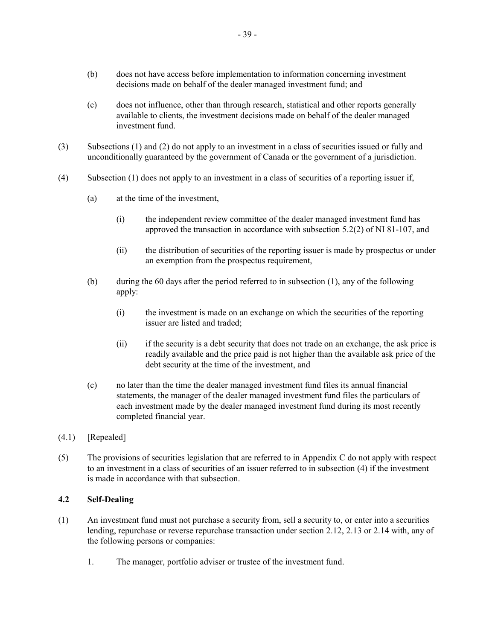- (b) does not have access before implementation to information concerning investment decisions made on behalf of the dealer managed investment fund; and
- (c) does not influence, other than through research, statistical and other reports generally available to clients, the investment decisions made on behalf of the dealer managed investment fund.
- (3) Subsections (1) and (2) do not apply to an investment in a class of securities issued or fully and unconditionally guaranteed by the government of Canada or the government of a jurisdiction.
- (4) Subsection (1) does not apply to an investment in a class of securities of a reporting issuer if,
	- (a) at the time of the investment,
		- (i) the independent review committee of the dealer managed investment fund has approved the transaction in accordance with subsection 5.2(2) of NI 81-107, and
		- (ii) the distribution of securities of the reporting issuer is made by prospectus or under an exemption from the prospectus requirement,
	- (b) during the 60 days after the period referred to in subsection (1), any of the following apply:
		- (i) the investment is made on an exchange on which the securities of the reporting issuer are listed and traded;
		- (ii) if the security is a debt security that does not trade on an exchange, the ask price is readily available and the price paid is not higher than the available ask price of the debt security at the time of the investment, and
	- (c) no later than the time the dealer managed investment fund files its annual financial statements, the manager of the dealer managed investment fund files the particulars of each investment made by the dealer managed investment fund during its most recently completed financial year.
- (4.1) [Repealed]
- (5) The provisions of securities legislation that are referred to in Appendix C do not apply with respect to an investment in a class of securities of an issuer referred to in subsection (4) if the investment is made in accordance with that subsection.

#### **4.2 Self-Dealing**

- (1) An investment fund must not purchase a security from, sell a security to, or enter into a securities lending, repurchase or reverse repurchase transaction under section 2.12, 2.13 or 2.14 with, any of the following persons or companies:
	- 1. The manager, portfolio adviser or trustee of the investment fund.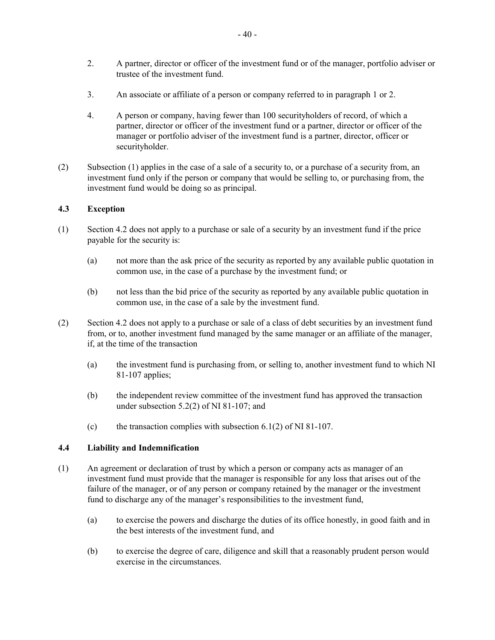- 2. A partner, director or officer of the investment fund or of the manager, portfolio adviser or trustee of the investment fund.
- 3. An associate or affiliate of a person or company referred to in paragraph 1 or 2.
- 4. A person or company, having fewer than 100 securityholders of record, of which a partner, director or officer of the investment fund or a partner, director or officer of the manager or portfolio adviser of the investment fund is a partner, director, officer or securityholder.
- (2) Subsection (1) applies in the case of a sale of a security to, or a purchase of a security from, an investment fund only if the person or company that would be selling to, or purchasing from, the investment fund would be doing so as principal.

# **4.3 Exception**

- (1) Section 4.2 does not apply to a purchase or sale of a security by an investment fund if the price payable for the security is:
	- (a) not more than the ask price of the security as reported by any available public quotation in common use, in the case of a purchase by the investment fund; or
	- (b) not less than the bid price of the security as reported by any available public quotation in common use, in the case of a sale by the investment fund.
- (2) Section 4.2 does not apply to a purchase or sale of a class of debt securities by an investment fund from, or to, another investment fund managed by the same manager or an affiliate of the manager, if, at the time of the transaction
	- (a) the investment fund is purchasing from, or selling to, another investment fund to which NI 81-107 applies;
	- (b) the independent review committee of the investment fund has approved the transaction under subsection 5.2(2) of NI 81-107; and
	- (c) the transaction complies with subsection 6.1(2) of NI 81-107.

# **4.4 Liability and Indemnification**

- (1) An agreement or declaration of trust by which a person or company acts as manager of an investment fund must provide that the manager is responsible for any loss that arises out of the failure of the manager, or of any person or company retained by the manager or the investment fund to discharge any of the manager's responsibilities to the investment fund,
	- (a) to exercise the powers and discharge the duties of its office honestly, in good faith and in the best interests of the investment fund, and
	- (b) to exercise the degree of care, diligence and skill that a reasonably prudent person would exercise in the circumstances.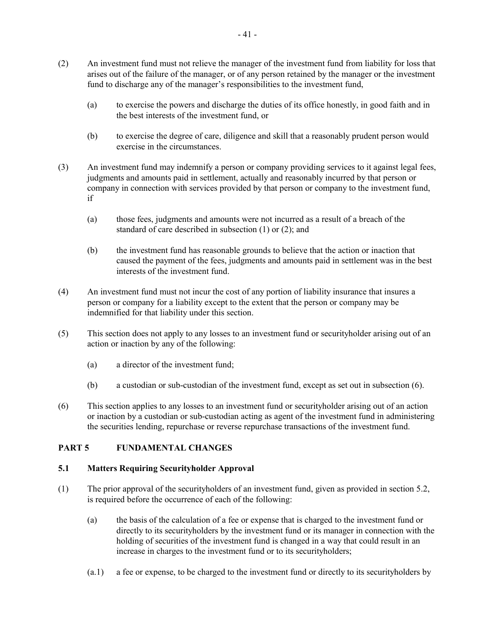- (2) An investment fund must not relieve the manager of the investment fund from liability for loss that arises out of the failure of the manager, or of any person retained by the manager or the investment fund to discharge any of the manager's responsibilities to the investment fund,
	- (a) to exercise the powers and discharge the duties of its office honestly, in good faith and in the best interests of the investment fund, or
	- (b) to exercise the degree of care, diligence and skill that a reasonably prudent person would exercise in the circumstances.
- (3) An investment fund may indemnify a person or company providing services to it against legal fees, judgments and amounts paid in settlement, actually and reasonably incurred by that person or company in connection with services provided by that person or company to the investment fund, if
	- (a) those fees, judgments and amounts were not incurred as a result of a breach of the standard of care described in subsection (1) or (2); and
	- (b) the investment fund has reasonable grounds to believe that the action or inaction that caused the payment of the fees, judgments and amounts paid in settlement was in the best interests of the investment fund.
- (4) An investment fund must not incur the cost of any portion of liability insurance that insures a person or company for a liability except to the extent that the person or company may be indemnified for that liability under this section.
- (5) This section does not apply to any losses to an investment fund or securityholder arising out of an action or inaction by any of the following:
	- (a) a director of the investment fund;
	- (b) a custodian or sub-custodian of the investment fund, except as set out in subsection (6).
- (6) This section applies to any losses to an investment fund or securityholder arising out of an action or inaction by a custodian or sub-custodian acting as agent of the investment fund in administering the securities lending, repurchase or reverse repurchase transactions of the investment fund.

# **PART 5 FUNDAMENTAL CHANGES**

## **5.1 Matters Requiring Securityholder Approval**

- (1) The prior approval of the securityholders of an investment fund, given as provided in section 5.2, is required before the occurrence of each of the following:
	- (a) the basis of the calculation of a fee or expense that is charged to the investment fund or directly to its securityholders by the investment fund or its manager in connection with the holding of securities of the investment fund is changed in a way that could result in an increase in charges to the investment fund or to its securityholders;
	- (a.1) a fee or expense, to be charged to the investment fund or directly to its securityholders by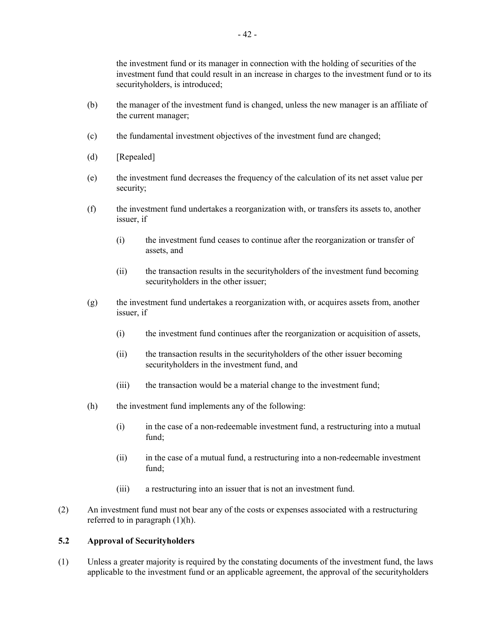- (b) the manager of the investment fund is changed, unless the new manager is an affiliate of the current manager;
- (c) the fundamental investment objectives of the investment fund are changed;
- (d) [Repealed]

securityholders, is introduced;

- (e) the investment fund decreases the frequency of the calculation of its net asset value per security;
- (f) the investment fund undertakes a reorganization with, or transfers its assets to, another issuer, if
	- (i) the investment fund ceases to continue after the reorganization or transfer of assets, and
	- (ii) the transaction results in the securityholders of the investment fund becoming securityholders in the other issuer;
- (g) the investment fund undertakes a reorganization with, or acquires assets from, another issuer, if
	- (i) the investment fund continues after the reorganization or acquisition of assets,
	- (ii) the transaction results in the securityholders of the other issuer becoming securityholders in the investment fund, and
	- (iii) the transaction would be a material change to the investment fund;
- (h) the investment fund implements any of the following:
	- (i) in the case of a non-redeemable investment fund, a restructuring into a mutual fund;
	- (ii) in the case of a mutual fund, a restructuring into a non-redeemable investment fund;
	- (iii) a restructuring into an issuer that is not an investment fund.
- (2) An investment fund must not bear any of the costs or expenses associated with a restructuring referred to in paragraph  $(1)(h)$ .

## **5.2 Approval of Securityholders**

(1) Unless a greater majority is required by the constating documents of the investment fund, the laws applicable to the investment fund or an applicable agreement, the approval of the securityholders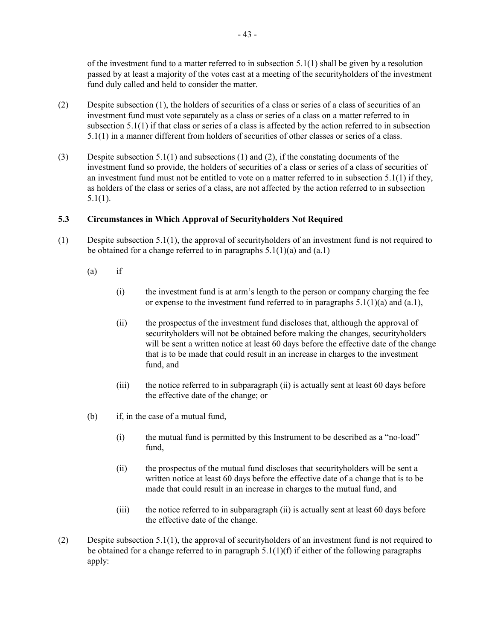of the investment fund to a matter referred to in subsection  $5.1(1)$  shall be given by a resolution passed by at least a majority of the votes cast at a meeting of the securityholders of the investment fund duly called and held to consider the matter.

- (2) Despite subsection (1), the holders of securities of a class or series of a class of securities of an investment fund must vote separately as a class or series of a class on a matter referred to in subsection 5.1(1) if that class or series of a class is affected by the action referred to in subsection 5.1(1) in a manner different from holders of securities of other classes or series of a class.
- (3) Despite subsection 5.1(1) and subsections (1) and (2), if the constating documents of the investment fund so provide, the holders of securities of a class or series of a class of securities of an investment fund must not be entitled to vote on a matter referred to in subsection 5.1(1) if they, as holders of the class or series of a class, are not affected by the action referred to in subsection 5.1(1).

# **5.3 Circumstances in Which Approval of Securityholders Not Required**

- (1) Despite subsection 5.1(1), the approval of securityholders of an investment fund is not required to be obtained for a change referred to in paragraphs  $5.1(1)(a)$  and  $(a.1)$ 
	- (a) if
		- (i) the investment fund is at arm's length to the person or company charging the fee or expense to the investment fund referred to in paragraphs  $5.1(1)(a)$  and  $(a.1)$ ,
		- (ii) the prospectus of the investment fund discloses that, although the approval of securityholders will not be obtained before making the changes, securityholders will be sent a written notice at least 60 days before the effective date of the change that is to be made that could result in an increase in charges to the investment fund, and
		- (iii) the notice referred to in subparagraph (ii) is actually sent at least 60 days before the effective date of the change; or
	- (b) if, in the case of a mutual fund,
		- (i) the mutual fund is permitted by this Instrument to be described as a "no-load" fund,
		- (ii) the prospectus of the mutual fund discloses that securityholders will be sent a written notice at least 60 days before the effective date of a change that is to be made that could result in an increase in charges to the mutual fund, and
		- (iii) the notice referred to in subparagraph (ii) is actually sent at least 60 days before the effective date of the change.
- (2) Despite subsection 5.1(1), the approval of securityholders of an investment fund is not required to be obtained for a change referred to in paragraph  $5.1(1)(f)$  if either of the following paragraphs apply: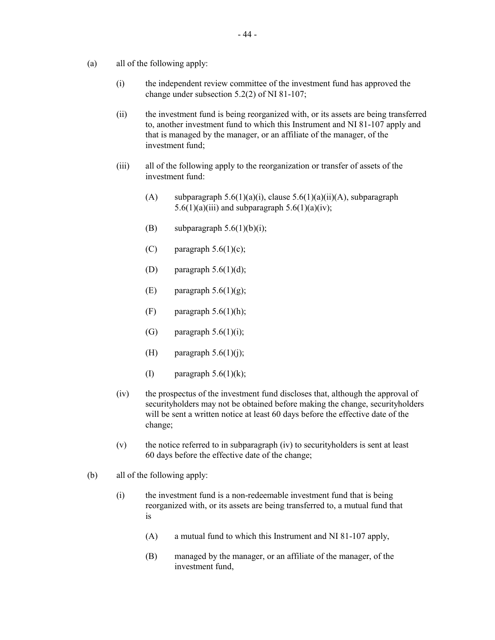- (a) all of the following apply:
	- (i) the independent review committee of the investment fund has approved the change under subsection 5.2(2) of NI 81-107;
	- (ii) the investment fund is being reorganized with, or its assets are being transferred to, another investment fund to which this Instrument and NI 81-107 apply and that is managed by the manager, or an affiliate of the manager, of the investment fund;
	- (iii) all of the following apply to the reorganization or transfer of assets of the investment fund:
		- (A) subparagraph  $5.6(1)(a)(i)$ , clause  $5.6(1)(a)(ii)(A)$ , subparagraph 5.6(1)(a)(iii) and subparagraph  $5.6(1)(a)(iv)$ ;
		- (B) subparagraph  $5.6(1)(b)(i)$ ;
		- (C) paragraph  $5.6(1)(c)$ ;
		- (D) paragraph  $5.6(1)(d)$ ;
		- (E) paragraph  $5.6(1)(g)$ ;
		- (F) paragraph  $5.6(1)(h)$ ;
		- (G) paragraph  $5.6(1)(i)$ ;
		- (H) paragraph  $5.6(1)(j)$ ;
		- (I) paragraph  $5.6(1)(k)$ ;
	- (iv) the prospectus of the investment fund discloses that, although the approval of securityholders may not be obtained before making the change, securityholders will be sent a written notice at least 60 days before the effective date of the change;
	- (v) the notice referred to in subparagraph (iv) to securityholders is sent at least 60 days before the effective date of the change;
- (b) all of the following apply:
	- (i) the investment fund is a non-redeemable investment fund that is being reorganized with, or its assets are being transferred to, a mutual fund that is
		- (A) a mutual fund to which this Instrument and NI 81-107 apply,
		- (B) managed by the manager, or an affiliate of the manager, of the investment fund,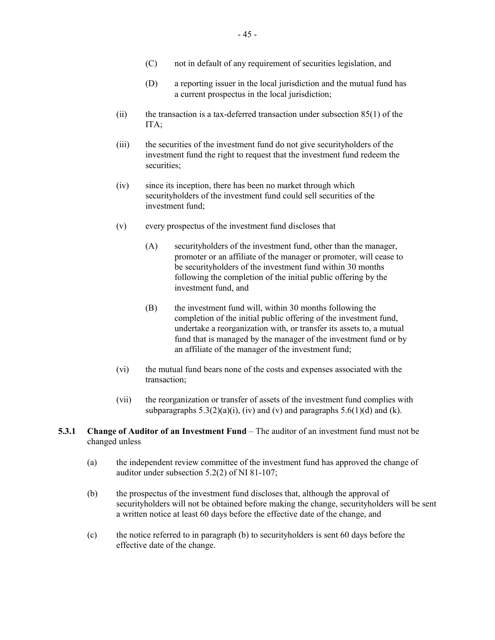- (C) not in default of any requirement of securities legislation, and
- (D) a reporting issuer in the local jurisdiction and the mutual fund has a current prospectus in the local jurisdiction;
- (ii) the transaction is a tax-deferred transaction under subsection  $85(1)$  of the ITA;
- (iii) the securities of the investment fund do not give securityholders of the investment fund the right to request that the investment fund redeem the securities;
- (iv) since its inception, there has been no market through which securityholders of the investment fund could sell securities of the investment fund;
- (v) every prospectus of the investment fund discloses that
	- (A) securityholders of the investment fund, other than the manager, promoter or an affiliate of the manager or promoter, will cease to be securityholders of the investment fund within 30 months following the completion of the initial public offering by the investment fund, and
	- (B) the investment fund will, within 30 months following the completion of the initial public offering of the investment fund, undertake a reorganization with, or transfer its assets to, a mutual fund that is managed by the manager of the investment fund or by an affiliate of the manager of the investment fund;
- (vi) the mutual fund bears none of the costs and expenses associated with the transaction;
- (vii) the reorganization or transfer of assets of the investment fund complies with subparagraphs  $5.3(2)(a)(i)$ , (iv) and (v) and paragraphs  $5.6(1)(d)$  and (k).
- **5.3.1 Change of Auditor of an Investment Fund** The auditor of an investment fund must not be changed unless
	- (a) the independent review committee of the investment fund has approved the change of auditor under subsection 5.2(2) of NI 81-107;
	- (b) the prospectus of the investment fund discloses that, although the approval of securityholders will not be obtained before making the change, securityholders will be sent a written notice at least 60 days before the effective date of the change, and
	- (c) the notice referred to in paragraph (b) to securityholders is sent 60 days before the effective date of the change.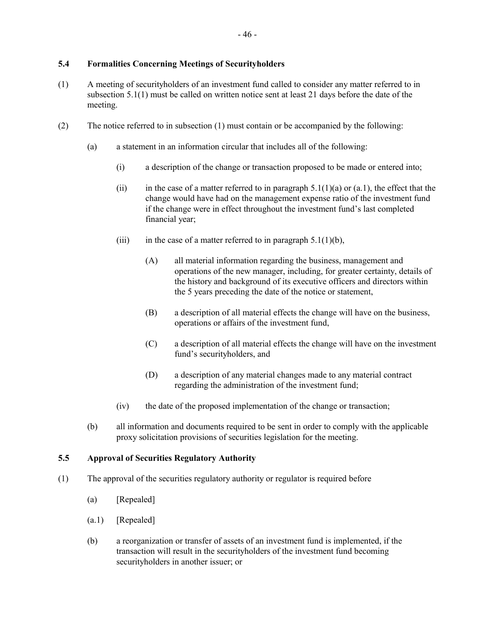# **5.4 Formalities Concerning Meetings of Securityholders**

- (1) A meeting of securityholders of an investment fund called to consider any matter referred to in subsection 5.1(1) must be called on written notice sent at least 21 days before the date of the meeting.
- (2) The notice referred to in subsection (1) must contain or be accompanied by the following:
	- (a) a statement in an information circular that includes all of the following:
		- (i) a description of the change or transaction proposed to be made or entered into;
		- (ii) in the case of a matter referred to in paragraph  $5.1(1)(a)$  or  $(a.1)$ , the effect that the change would have had on the management expense ratio of the investment fund if the change were in effect throughout the investment fund's last completed financial year;
		- (iii) in the case of a matter referred to in paragraph  $5.1(1)(b)$ ,
			- (A) all material information regarding the business, management and operations of the new manager, including, for greater certainty, details of the history and background of its executive officers and directors within the 5 years preceding the date of the notice or statement,
			- (B) a description of all material effects the change will have on the business, operations or affairs of the investment fund,
			- (C) a description of all material effects the change will have on the investment fund's securityholders, and
			- (D) a description of any material changes made to any material contract regarding the administration of the investment fund;
		- (iv) the date of the proposed implementation of the change or transaction;
	- (b) all information and documents required to be sent in order to comply with the applicable proxy solicitation provisions of securities legislation for the meeting.

## **5.5 Approval of Securities Regulatory Authority**

- (1) The approval of the securities regulatory authority or regulator is required before
	- (a) [Repealed]
	- (a.1) [Repealed]
	- (b) a reorganization or transfer of assets of an investment fund is implemented, if the transaction will result in the securityholders of the investment fund becoming securityholders in another issuer; or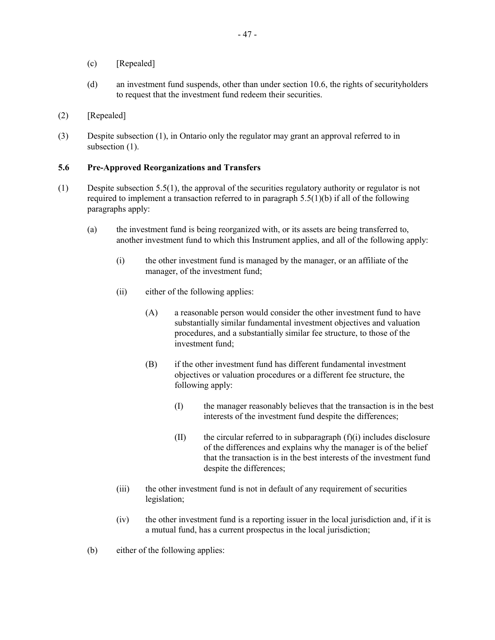- (c) [Repealed]
- (d) an investment fund suspends, other than under section 10.6, the rights of securityholders to request that the investment fund redeem their securities.
- (2) [Repealed]
- (3) Despite subsection (1), in Ontario only the regulator may grant an approval referred to in subsection  $(1)$ .

#### **5.6 Pre-Approved Reorganizations and Transfers**

- (1) Despite subsection 5.5(1), the approval of the securities regulatory authority or regulator is not required to implement a transaction referred to in paragraph  $5.5(1)(b)$  if all of the following paragraphs apply:
	- (a) the investment fund is being reorganized with, or its assets are being transferred to, another investment fund to which this Instrument applies, and all of the following apply:
		- (i) the other investment fund is managed by the manager, or an affiliate of the manager, of the investment fund;
		- (ii) either of the following applies:
			- (A) a reasonable person would consider the other investment fund to have substantially similar fundamental investment objectives and valuation procedures, and a substantially similar fee structure, to those of the investment fund;
			- (B) if the other investment fund has different fundamental investment objectives or valuation procedures or a different fee structure, the following apply:
				- (I) the manager reasonably believes that the transaction is in the best interests of the investment fund despite the differences;
				- $(II)$  the circular referred to in subparagraph  $(f)(i)$  includes disclosure of the differences and explains why the manager is of the belief that the transaction is in the best interests of the investment fund despite the differences;
		- (iii) the other investment fund is not in default of any requirement of securities legislation;
		- (iv) the other investment fund is a reporting issuer in the local jurisdiction and, if it is a mutual fund, has a current prospectus in the local jurisdiction;
	- (b) either of the following applies: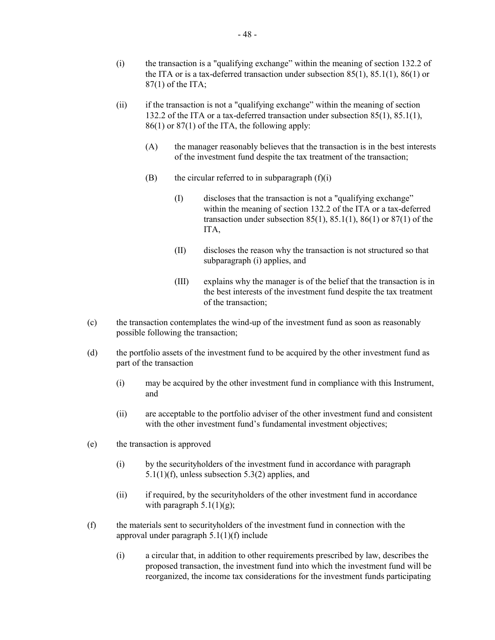- (i) the transaction is a "qualifying exchange" within the meaning of section 132.2 of the ITA or is a tax-deferred transaction under subsection  $85(1)$ ,  $85.1(1)$ ,  $86(1)$  or  $87(1)$  of the ITA;
- (ii) if the transaction is not a "qualifying exchange" within the meaning of section 132.2 of the ITA or a tax-deferred transaction under subsection 85(1), 85.1(1),  $86(1)$  or  $87(1)$  of the ITA, the following apply:
	- (A) the manager reasonably believes that the transaction is in the best interests of the investment fund despite the tax treatment of the transaction;
	- (B) the circular referred to in subparagraph  $(f)(i)$ 
		- (I) discloses that the transaction is not a "qualifying exchange" within the meaning of section 132.2 of the ITA or a tax-deferred transaction under subsection  $85(1)$ ,  $85.1(1)$ ,  $86(1)$  or  $87(1)$  of the ITA,
		- (II) discloses the reason why the transaction is not structured so that subparagraph (i) applies, and
		- (III) explains why the manager is of the belief that the transaction is in the best interests of the investment fund despite the tax treatment of the transaction;
- (c) the transaction contemplates the wind-up of the investment fund as soon as reasonably possible following the transaction;
- (d) the portfolio assets of the investment fund to be acquired by the other investment fund as part of the transaction
	- (i) may be acquired by the other investment fund in compliance with this Instrument, and
	- (ii) are acceptable to the portfolio adviser of the other investment fund and consistent with the other investment fund's fundamental investment objectives;
- (e) the transaction is approved
	- (i) by the securityholders of the investment fund in accordance with paragraph 5.1(1)(f), unless subsection 5.3(2) applies, and
	- (ii) if required, by the securityholders of the other investment fund in accordance with paragraph  $5.1(1)(g)$ ;
- (f) the materials sent to securityholders of the investment fund in connection with the approval under paragraph 5.1(1)(f) include
	- (i) a circular that, in addition to other requirements prescribed by law, describes the proposed transaction, the investment fund into which the investment fund will be reorganized, the income tax considerations for the investment funds participating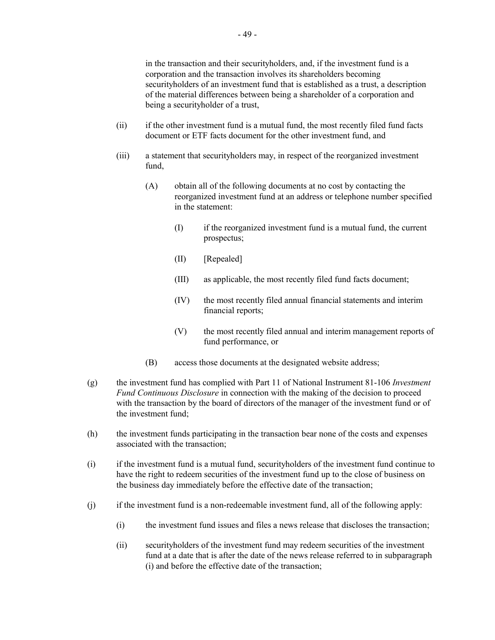in the transaction and their securityholders, and, if the investment fund is a corporation and the transaction involves its shareholders becoming securityholders of an investment fund that is established as a trust, a description of the material differences between being a shareholder of a corporation and being a securityholder of a trust,

- (ii) if the other investment fund is a mutual fund, the most recently filed fund facts document or ETF facts document for the other investment fund, and
- (iii) a statement that securityholders may, in respect of the reorganized investment fund,
	- (A) obtain all of the following documents at no cost by contacting the reorganized investment fund at an address or telephone number specified in the statement:
		- (I) if the reorganized investment fund is a mutual fund, the current prospectus;
		- (II) [Repealed]
		- (III) as applicable, the most recently filed fund facts document;
		- (IV) the most recently filed annual financial statements and interim financial reports;
		- (V) the most recently filed annual and interim management reports of fund performance, or
	- (B) access those documents at the designated website address;
- (g) the investment fund has complied with Part 11 of National Instrument 81-106 *Investment Fund Continuous Disclosure* in connection with the making of the decision to proceed with the transaction by the board of directors of the manager of the investment fund or of the investment fund;
- (h) the investment funds participating in the transaction bear none of the costs and expenses associated with the transaction;
- (i) if the investment fund is a mutual fund, securityholders of the investment fund continue to have the right to redeem securities of the investment fund up to the close of business on the business day immediately before the effective date of the transaction;
- (j) if the investment fund is a non-redeemable investment fund, all of the following apply:
	- (i) the investment fund issues and files a news release that discloses the transaction;
	- (ii) securityholders of the investment fund may redeem securities of the investment fund at a date that is after the date of the news release referred to in subparagraph (i) and before the effective date of the transaction;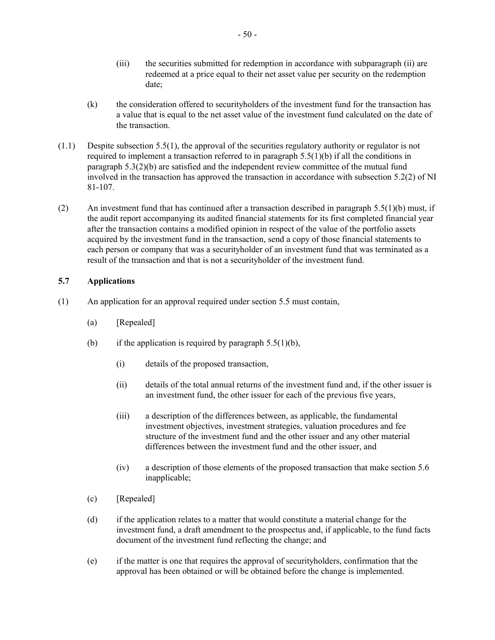- (iii) the securities submitted for redemption in accordance with subparagraph (ii) are redeemed at a price equal to their net asset value per security on the redemption date;
- (k) the consideration offered to securityholders of the investment fund for the transaction has a value that is equal to the net asset value of the investment fund calculated on the date of the transaction.
- (1.1) Despite subsection 5.5(1), the approval of the securities regulatory authority or regulator is not required to implement a transaction referred to in paragraph  $5.5(1)(b)$  if all the conditions in paragraph 5.3(2)(b) are satisfied and the independent review committee of the mutual fund involved in the transaction has approved the transaction in accordance with subsection 5.2(2) of NI 81-107.
- (2) An investment fund that has continued after a transaction described in paragraph 5.5(1)(b) must, if the audit report accompanying its audited financial statements for its first completed financial year after the transaction contains a modified opinion in respect of the value of the portfolio assets acquired by the investment fund in the transaction, send a copy of those financial statements to each person or company that was a securityholder of an investment fund that was terminated as a result of the transaction and that is not a securityholder of the investment fund.

## **5.7 Applications**

- (1) An application for an approval required under section 5.5 must contain,
	- (a) [Repealed]
	- (b) if the application is required by paragraph  $5.5(1)(b)$ ,
		- (i) details of the proposed transaction,
		- (ii) details of the total annual returns of the investment fund and, if the other issuer is an investment fund, the other issuer for each of the previous five years,
		- (iii) a description of the differences between, as applicable, the fundamental investment objectives, investment strategies, valuation procedures and fee structure of the investment fund and the other issuer and any other material differences between the investment fund and the other issuer, and
		- (iv) a description of those elements of the proposed transaction that make section 5.6 inapplicable;
	- (c) [Repealed]
	- (d) if the application relates to a matter that would constitute a material change for the investment fund, a draft amendment to the prospectus and, if applicable, to the fund facts document of the investment fund reflecting the change; and
	- (e) if the matter is one that requires the approval of securityholders, confirmation that the approval has been obtained or will be obtained before the change is implemented.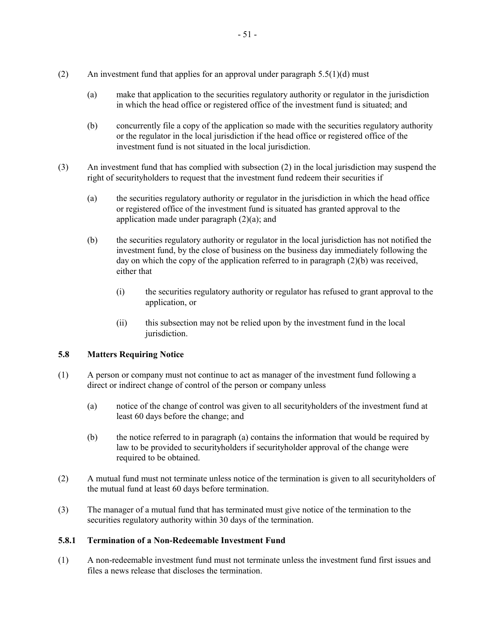- (2) An investment fund that applies for an approval under paragraph  $5.5(1)(d)$  must
	- (a) make that application to the securities regulatory authority or regulator in the jurisdiction in which the head office or registered office of the investment fund is situated; and
	- (b) concurrently file a copy of the application so made with the securities regulatory authority or the regulator in the local jurisdiction if the head office or registered office of the investment fund is not situated in the local jurisdiction.
- (3) An investment fund that has complied with subsection (2) in the local jurisdiction may suspend the right of securityholders to request that the investment fund redeem their securities if
	- (a) the securities regulatory authority or regulator in the jurisdiction in which the head office or registered office of the investment fund is situated has granted approval to the application made under paragraph (2)(a); and
	- (b) the securities regulatory authority or regulator in the local jurisdiction has not notified the investment fund, by the close of business on the business day immediately following the day on which the copy of the application referred to in paragraph (2)(b) was received, either that
		- (i) the securities regulatory authority or regulator has refused to grant approval to the application, or
		- (ii) this subsection may not be relied upon by the investment fund in the local jurisdiction.

## **5.8 Matters Requiring Notice**

- (1) A person or company must not continue to act as manager of the investment fund following a direct or indirect change of control of the person or company unless
	- (a) notice of the change of control was given to all securityholders of the investment fund at least 60 days before the change; and
	- (b) the notice referred to in paragraph (a) contains the information that would be required by law to be provided to securityholders if securityholder approval of the change were required to be obtained.
- (2) A mutual fund must not terminate unless notice of the termination is given to all securityholders of the mutual fund at least 60 days before termination.
- (3) The manager of a mutual fund that has terminated must give notice of the termination to the securities regulatory authority within 30 days of the termination.

## **5.8.1 Termination of a Non-Redeemable Investment Fund**

(1) A non-redeemable investment fund must not terminate unless the investment fund first issues and files a news release that discloses the termination.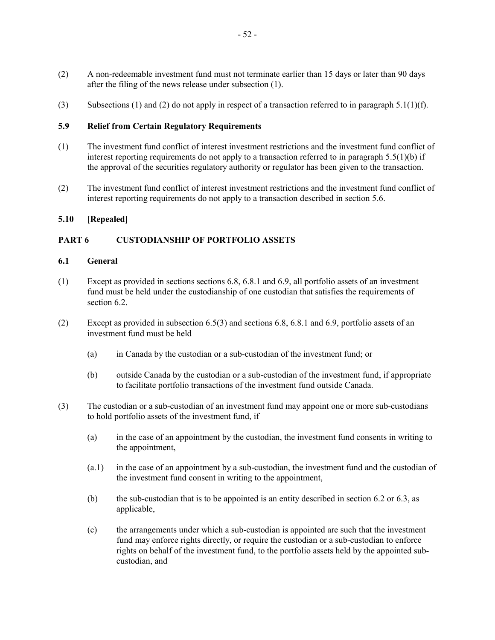- (2) A non-redeemable investment fund must not terminate earlier than 15 days or later than 90 days after the filing of the news release under subsection (1).
- (3) Subsections (1) and (2) do not apply in respect of a transaction referred to in paragraph 5.1(1)(f).

#### **5.9 Relief from Certain Regulatory Requirements**

- (1) The investment fund conflict of interest investment restrictions and the investment fund conflict of interest reporting requirements do not apply to a transaction referred to in paragraph  $5.5(1)(b)$  if the approval of the securities regulatory authority or regulator has been given to the transaction.
- (2) The investment fund conflict of interest investment restrictions and the investment fund conflict of interest reporting requirements do not apply to a transaction described in section 5.6.

#### **5.10 [Repealed]**

# **PART 6 CUSTODIANSHIP OF PORTFOLIO ASSETS**

#### **6.1 General**

- (1) Except as provided in sections sections 6.8, 6.8.1 and 6.9, all portfolio assets of an investment fund must be held under the custodianship of one custodian that satisfies the requirements of section 6.2.
- (2) Except as provided in subsection 6.5(3) and sections 6.8, 6.8.1 and 6.9, portfolio assets of an investment fund must be held
	- (a) in Canada by the custodian or a sub-custodian of the investment fund; or
	- (b) outside Canada by the custodian or a sub-custodian of the investment fund, if appropriate to facilitate portfolio transactions of the investment fund outside Canada.
- (3) The custodian or a sub-custodian of an investment fund may appoint one or more sub-custodians to hold portfolio assets of the investment fund, if
	- (a) in the case of an appointment by the custodian, the investment fund consents in writing to the appointment,
	- (a.1) in the case of an appointment by a sub-custodian, the investment fund and the custodian of the investment fund consent in writing to the appointment,
	- (b) the sub-custodian that is to be appointed is an entity described in section 6.2 or 6.3, as applicable,
	- (c) the arrangements under which a sub-custodian is appointed are such that the investment fund may enforce rights directly, or require the custodian or a sub-custodian to enforce rights on behalf of the investment fund, to the portfolio assets held by the appointed subcustodian, and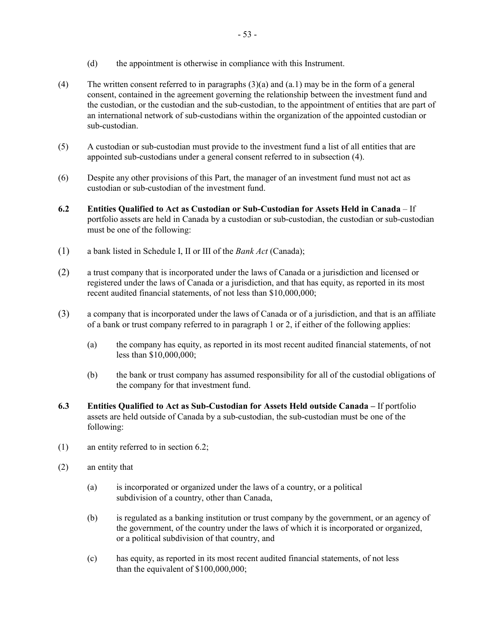- (d) the appointment is otherwise in compliance with this Instrument.
- (4) The written consent referred to in paragraphs (3)(a) and (a.1) may be in the form of a general consent, contained in the agreement governing the relationship between the investment fund and the custodian, or the custodian and the sub-custodian, to the appointment of entities that are part of an international network of sub-custodians within the organization of the appointed custodian or sub-custodian.
- (5) A custodian or sub-custodian must provide to the investment fund a list of all entities that are appointed sub-custodians under a general consent referred to in subsection (4).
- (6) Despite any other provisions of this Part, the manager of an investment fund must not act as custodian or sub-custodian of the investment fund.
- **6.2 Entities Qualified to Act as Custodian or Sub-Custodian for Assets Held in Canada** If portfolio assets are held in Canada by a custodian or sub-custodian, the custodian or sub-custodian must be one of the following:
- (1) a bank listed in Schedule I, II or III of the *Bank Act* (Canada);
- (2) a trust company that is incorporated under the laws of Canada or a jurisdiction and licensed or registered under the laws of Canada or a jurisdiction, and that has equity, as reported in its most recent audited financial statements, of not less than \$10,000,000;
- (3) a company that is incorporated under the laws of Canada or of a jurisdiction, and that is an affiliate of a bank or trust company referred to in paragraph 1 or 2, if either of the following applies:
	- (a) the company has equity, as reported in its most recent audited financial statements, of not less than \$10,000,000;
	- (b) the bank or trust company has assumed responsibility for all of the custodial obligations of the company for that investment fund.
- **6.3 Entities Qualified to Act as Sub-Custodian for Assets Held outside Canada –** If portfolio assets are held outside of Canada by a sub-custodian, the sub-custodian must be one of the following:
- (1) an entity referred to in section 6.2;
- (2) an entity that
	- (a) is incorporated or organized under the laws of a country, or a political subdivision of a country, other than Canada,
	- (b) is regulated as a banking institution or trust company by the government, or an agency of the government, of the country under the laws of which it is incorporated or organized, or a political subdivision of that country, and
	- (c) has equity, as reported in its most recent audited financial statements, of not less than the equivalent of \$100,000,000;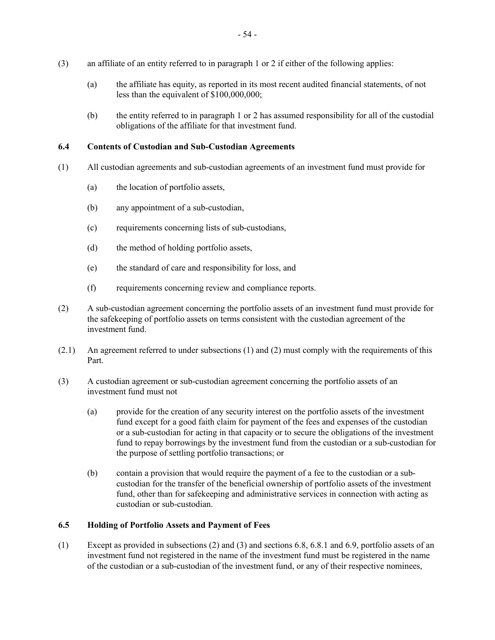- (3) an affiliate of an entity referred to in paragraph 1 or 2 if either of the following applies:
	- (a) the affiliate has equity, as reported in its most recent audited financial statements, of not less than the equivalent of \$100,000,000;
	- (b) the entity referred to in paragraph 1 or 2 has assumed responsibility for all of the custodial obligations of the affiliate for that investment fund.

#### **6.4 Contents of Custodian and Sub-Custodian Agreements**

- (1) All custodian agreements and sub-custodian agreements of an investment fund must provide for
	- (a) the location of portfolio assets,
	- (b) any appointment of a sub-custodian,
	- (c) requirements concerning lists of sub-custodians,
	- (d) the method of holding portfolio assets,
	- (e) the standard of care and responsibility for loss, and
	- (f) requirements concerning review and compliance reports.
- (2) A sub-custodian agreement concerning the portfolio assets of an investment fund must provide for the safekeeping of portfolio assets on terms consistent with the custodian agreement of the investment fund.
- (2.1) An agreement referred to under subsections (1) and (2) must comply with the requirements of this Part.
- (3) A custodian agreement or sub-custodian agreement concerning the portfolio assets of an investment fund must not
	- (a) provide for the creation of any security interest on the portfolio assets of the investment fund except for a good faith claim for payment of the fees and expenses of the custodian or a sub-custodian for acting in that capacity or to secure the obligations of the investment fund to repay borrowings by the investment fund from the custodian or a sub-custodian for the purpose of settling portfolio transactions; or
	- (b) contain a provision that would require the payment of a fee to the custodian or a subcustodian for the transfer of the beneficial ownership of portfolio assets of the investment fund, other than for safekeeping and administrative services in connection with acting as custodian or sub-custodian.

## **6.5 Holding of Portfolio Assets and Payment of Fees**

(1) Except as provided in subsections (2) and (3) and sections 6.8, 6.8.1 and 6.9, portfolio assets of an investment fund not registered in the name of the investment fund must be registered in the name of the custodian or a sub-custodian of the investment fund, or any of their respective nominees,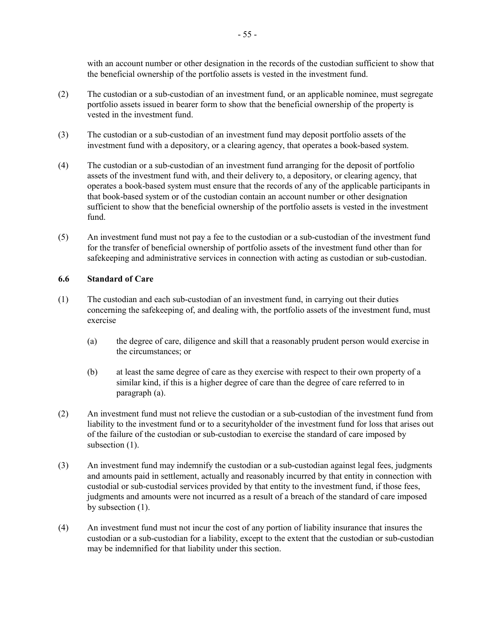with an account number or other designation in the records of the custodian sufficient to show that the beneficial ownership of the portfolio assets is vested in the investment fund.

- (2) The custodian or a sub-custodian of an investment fund, or an applicable nominee, must segregate portfolio assets issued in bearer form to show that the beneficial ownership of the property is vested in the investment fund.
- (3) The custodian or a sub-custodian of an investment fund may deposit portfolio assets of the investment fund with a depository, or a clearing agency, that operates a book-based system.
- (4) The custodian or a sub-custodian of an investment fund arranging for the deposit of portfolio assets of the investment fund with, and their delivery to, a depository, or clearing agency, that operates a book-based system must ensure that the records of any of the applicable participants in that book-based system or of the custodian contain an account number or other designation sufficient to show that the beneficial ownership of the portfolio assets is vested in the investment fund.
- (5) An investment fund must not pay a fee to the custodian or a sub-custodian of the investment fund for the transfer of beneficial ownership of portfolio assets of the investment fund other than for safekeeping and administrative services in connection with acting as custodian or sub-custodian.

#### **6.6 Standard of Care**

- (1) The custodian and each sub-custodian of an investment fund, in carrying out their duties concerning the safekeeping of, and dealing with, the portfolio assets of the investment fund, must exercise
	- (a) the degree of care, diligence and skill that a reasonably prudent person would exercise in the circumstances; or
	- (b) at least the same degree of care as they exercise with respect to their own property of a similar kind, if this is a higher degree of care than the degree of care referred to in paragraph (a).
- (2) An investment fund must not relieve the custodian or a sub-custodian of the investment fund from liability to the investment fund or to a securityholder of the investment fund for loss that arises out of the failure of the custodian or sub-custodian to exercise the standard of care imposed by subsection  $(1)$ .
- (3) An investment fund may indemnify the custodian or a sub-custodian against legal fees, judgments and amounts paid in settlement, actually and reasonably incurred by that entity in connection with custodial or sub-custodial services provided by that entity to the investment fund, if those fees, judgments and amounts were not incurred as a result of a breach of the standard of care imposed by subsection (1).
- (4) An investment fund must not incur the cost of any portion of liability insurance that insures the custodian or a sub-custodian for a liability, except to the extent that the custodian or sub-custodian may be indemnified for that liability under this section.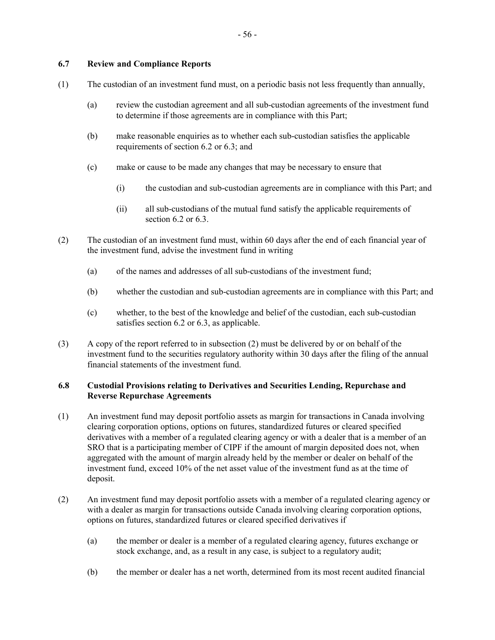#### **6.7 Review and Compliance Reports**

- (1) The custodian of an investment fund must, on a periodic basis not less frequently than annually,
	- (a) review the custodian agreement and all sub-custodian agreements of the investment fund to determine if those agreements are in compliance with this Part;
	- (b) make reasonable enquiries as to whether each sub-custodian satisfies the applicable requirements of section 6.2 or 6.3; and
	- (c) make or cause to be made any changes that may be necessary to ensure that
		- (i) the custodian and sub-custodian agreements are in compliance with this Part; and
		- (ii) all sub-custodians of the mutual fund satisfy the applicable requirements of section 6.2 or 6.3.
- (2) The custodian of an investment fund must, within 60 days after the end of each financial year of the investment fund, advise the investment fund in writing
	- (a) of the names and addresses of all sub-custodians of the investment fund;
	- (b) whether the custodian and sub-custodian agreements are in compliance with this Part; and
	- (c) whether, to the best of the knowledge and belief of the custodian, each sub-custodian satisfies section 6.2 or 6.3, as applicable.
- (3) A copy of the report referred to in subsection (2) must be delivered by or on behalf of the investment fund to the securities regulatory authority within 30 days after the filing of the annual financial statements of the investment fund.

## **6.8 Custodial Provisions relating to Derivatives and Securities Lending, Repurchase and Reverse Repurchase Agreements**

- (1) An investment fund may deposit portfolio assets as margin for transactions in Canada involving clearing corporation options, options on futures, standardized futures or cleared specified derivatives with a member of a regulated clearing agency or with a dealer that is a member of an SRO that is a participating member of CIPF if the amount of margin deposited does not, when aggregated with the amount of margin already held by the member or dealer on behalf of the investment fund, exceed 10% of the net asset value of the investment fund as at the time of deposit.
- (2) An investment fund may deposit portfolio assets with a member of a regulated clearing agency or with a dealer as margin for transactions outside Canada involving clearing corporation options, options on futures, standardized futures or cleared specified derivatives if
	- (a) the member or dealer is a member of a regulated clearing agency, futures exchange or stock exchange, and, as a result in any case, is subject to a regulatory audit;
	- (b) the member or dealer has a net worth, determined from its most recent audited financial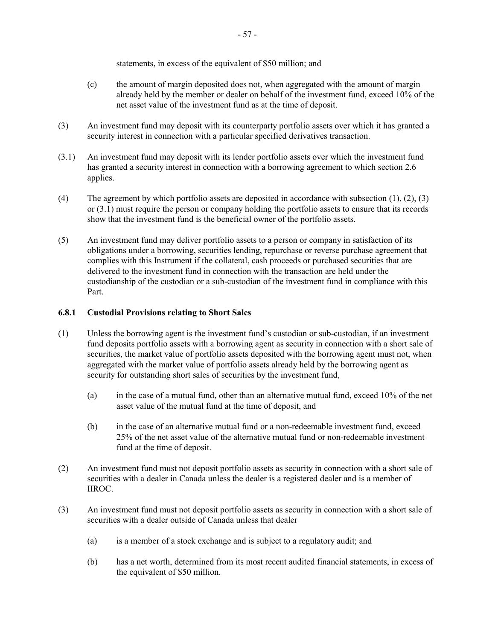statements, in excess of the equivalent of \$50 million; and

- (c) the amount of margin deposited does not, when aggregated with the amount of margin already held by the member or dealer on behalf of the investment fund, exceed 10% of the net asset value of the investment fund as at the time of deposit.
- (3) An investment fund may deposit with its counterparty portfolio assets over which it has granted a security interest in connection with a particular specified derivatives transaction.
- (3.1) An investment fund may deposit with its lender portfolio assets over which the investment fund has granted a security interest in connection with a borrowing agreement to which section 2.6 applies.
- (4) The agreement by which portfolio assets are deposited in accordance with subsection (1), (2), (3) or (3.1) must require the person or company holding the portfolio assets to ensure that its records show that the investment fund is the beneficial owner of the portfolio assets.
- (5) An investment fund may deliver portfolio assets to a person or company in satisfaction of its obligations under a borrowing, securities lending, repurchase or reverse purchase agreement that complies with this Instrument if the collateral, cash proceeds or purchased securities that are delivered to the investment fund in connection with the transaction are held under the custodianship of the custodian or a sub-custodian of the investment fund in compliance with this Part.

## **6.8.1 Custodial Provisions relating to Short Sales**

- (1) Unless the borrowing agent is the investment fund's custodian or sub-custodian, if an investment fund deposits portfolio assets with a borrowing agent as security in connection with a short sale of securities, the market value of portfolio assets deposited with the borrowing agent must not, when aggregated with the market value of portfolio assets already held by the borrowing agent as security for outstanding short sales of securities by the investment fund,
	- (a) in the case of a mutual fund, other than an alternative mutual fund, exceed 10% of the net asset value of the mutual fund at the time of deposit, and
	- (b) in the case of an alternative mutual fund or a non-redeemable investment fund, exceed 25% of the net asset value of the alternative mutual fund or non-redeemable investment fund at the time of deposit.
- (2) An investment fund must not deposit portfolio assets as security in connection with a short sale of securities with a dealer in Canada unless the dealer is a registered dealer and is a member of IIROC.
- (3) An investment fund must not deposit portfolio assets as security in connection with a short sale of securities with a dealer outside of Canada unless that dealer
	- (a) is a member of a stock exchange and is subject to a regulatory audit; and
	- (b) has a net worth, determined from its most recent audited financial statements, in excess of the equivalent of \$50 million.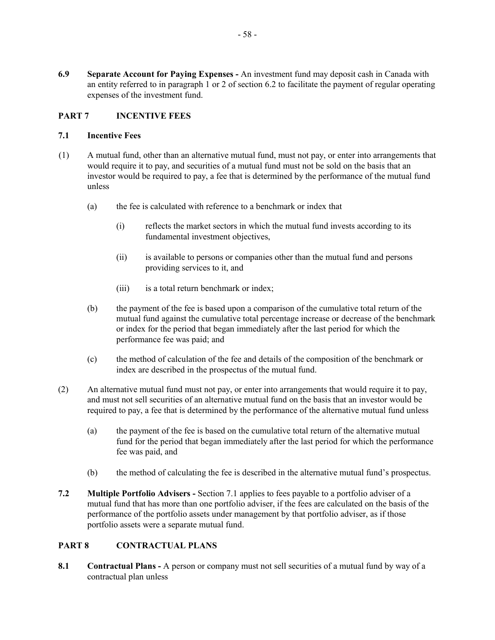**6.9 Separate Account for Paying Expenses -** An investment fund may deposit cash in Canada with an entity referred to in paragraph 1 or 2 of section 6.2 to facilitate the payment of regular operating expenses of the investment fund.

# **PART 7 INCENTIVE FEES**

## **7.1 Incentive Fees**

- (1) A mutual fund, other than an alternative mutual fund, must not pay, or enter into arrangements that would require it to pay, and securities of a mutual fund must not be sold on the basis that an investor would be required to pay, a fee that is determined by the performance of the mutual fund unless
	- (a) the fee is calculated with reference to a benchmark or index that
		- (i) reflects the market sectors in which the mutual fund invests according to its fundamental investment objectives,
		- (ii) is available to persons or companies other than the mutual fund and persons providing services to it, and
		- (iii) is a total return benchmark or index;
	- (b) the payment of the fee is based upon a comparison of the cumulative total return of the mutual fund against the cumulative total percentage increase or decrease of the benchmark or index for the period that began immediately after the last period for which the performance fee was paid; and
	- (c) the method of calculation of the fee and details of the composition of the benchmark or index are described in the prospectus of the mutual fund.
- (2) An alternative mutual fund must not pay, or enter into arrangements that would require it to pay, and must not sell securities of an alternative mutual fund on the basis that an investor would be required to pay, a fee that is determined by the performance of the alternative mutual fund unless
	- (a) the payment of the fee is based on the cumulative total return of the alternative mutual fund for the period that began immediately after the last period for which the performance fee was paid, and
	- (b) the method of calculating the fee is described in the alternative mutual fund's prospectus.
- **7.2 Multiple Portfolio Advisers -** Section 7.1 applies to fees payable to a portfolio adviser of a mutual fund that has more than one portfolio adviser, if the fees are calculated on the basis of the performance of the portfolio assets under management by that portfolio adviser, as if those portfolio assets were a separate mutual fund.

# **PART 8 CONTRACTUAL PLANS**

**8.1 Contractual Plans -** A person or company must not sell securities of a mutual fund by way of a contractual plan unless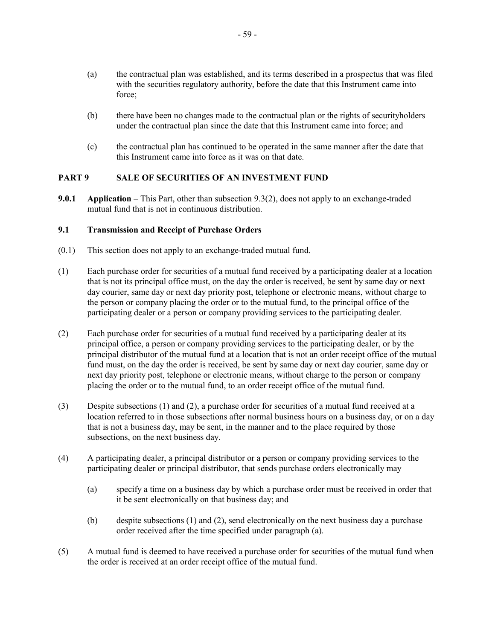- (a) the contractual plan was established, and its terms described in a prospectus that was filed with the securities regulatory authority, before the date that this Instrument came into force;
- (b) there have been no changes made to the contractual plan or the rights of securityholders under the contractual plan since the date that this Instrument came into force; and
- (c) the contractual plan has continued to be operated in the same manner after the date that this Instrument came into force as it was on that date.

## **PART 9 SALE OF SECURITIES OF AN INVESTMENT FUND**

**9.0.1 Application** – This Part, other than subsection 9.3(2), does not apply to an exchange-traded mutual fund that is not in continuous distribution.

#### **9.1 Transmission and Receipt of Purchase Orders**

- (0.1) This section does not apply to an exchange-traded mutual fund.
- (1) Each purchase order for securities of a mutual fund received by a participating dealer at a location that is not its principal office must, on the day the order is received, be sent by same day or next day courier, same day or next day priority post, telephone or electronic means, without charge to the person or company placing the order or to the mutual fund, to the principal office of the participating dealer or a person or company providing services to the participating dealer.
- (2) Each purchase order for securities of a mutual fund received by a participating dealer at its principal office, a person or company providing services to the participating dealer, or by the principal distributor of the mutual fund at a location that is not an order receipt office of the mutual fund must, on the day the order is received, be sent by same day or next day courier, same day or next day priority post, telephone or electronic means, without charge to the person or company placing the order or to the mutual fund, to an order receipt office of the mutual fund.
- (3) Despite subsections (1) and (2), a purchase order for securities of a mutual fund received at a location referred to in those subsections after normal business hours on a business day, or on a day that is not a business day, may be sent, in the manner and to the place required by those subsections, on the next business day.
- (4) A participating dealer, a principal distributor or a person or company providing services to the participating dealer or principal distributor, that sends purchase orders electronically may
	- (a) specify a time on a business day by which a purchase order must be received in order that it be sent electronically on that business day; and
	- (b) despite subsections (1) and (2), send electronically on the next business day a purchase order received after the time specified under paragraph (a).
- (5) A mutual fund is deemed to have received a purchase order for securities of the mutual fund when the order is received at an order receipt office of the mutual fund.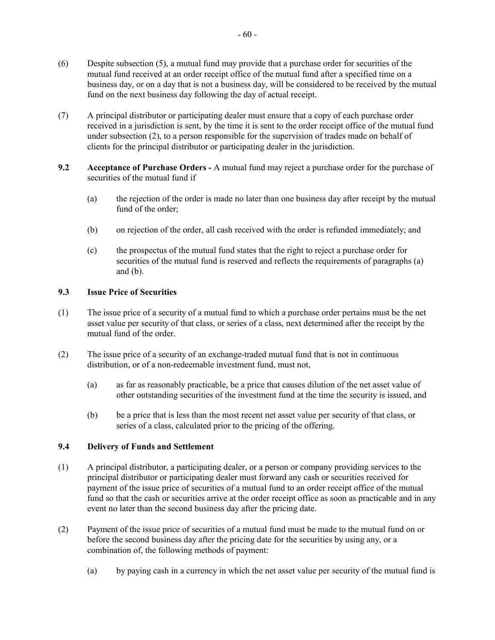- (6) Despite subsection (5), a mutual fund may provide that a purchase order for securities of the mutual fund received at an order receipt office of the mutual fund after a specified time on a business day, or on a day that is not a business day, will be considered to be received by the mutual fund on the next business day following the day of actual receipt.
- (7) A principal distributor or participating dealer must ensure that a copy of each purchase order received in a jurisdiction is sent, by the time it is sent to the order receipt office of the mutual fund under subsection (2), to a person responsible for the supervision of trades made on behalf of clients for the principal distributor or participating dealer in the jurisdiction.
- **9.2 Acceptance of Purchase Orders -** A mutual fund may reject a purchase order for the purchase of securities of the mutual fund if
	- (a) the rejection of the order is made no later than one business day after receipt by the mutual fund of the order;
	- (b) on rejection of the order, all cash received with the order is refunded immediately; and
	- (c) the prospectus of the mutual fund states that the right to reject a purchase order for securities of the mutual fund is reserved and reflects the requirements of paragraphs (a) and (b).

## **9.3 Issue Price of Securities**

- (1) The issue price of a security of a mutual fund to which a purchase order pertains must be the net asset value per security of that class, or series of a class, next determined after the receipt by the mutual fund of the order.
- (2) The issue price of a security of an exchange-traded mutual fund that is not in continuous distribution, or of a non-redeemable investment fund, must not,
	- (a) as far as reasonably practicable, be a price that causes dilution of the net asset value of other outstanding securities of the investment fund at the time the security is issued, and
	- (b) be a price that is less than the most recent net asset value per security of that class, or series of a class, calculated prior to the pricing of the offering.

## **9.4 Delivery of Funds and Settlement**

- (1) A principal distributor, a participating dealer, or a person or company providing services to the principal distributor or participating dealer must forward any cash or securities received for payment of the issue price of securities of a mutual fund to an order receipt office of the mutual fund so that the cash or securities arrive at the order receipt office as soon as practicable and in any event no later than the second business day after the pricing date.
- (2) Payment of the issue price of securities of a mutual fund must be made to the mutual fund on or before the second business day after the pricing date for the securities by using any, or a combination of, the following methods of payment:
	- (a) by paying cash in a currency in which the net asset value per security of the mutual fund is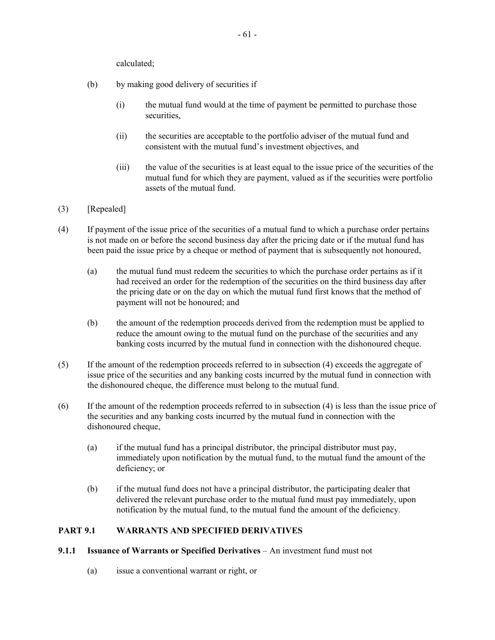calculated;

- (b) by making good delivery of securities if
	- (i) the mutual fund would at the time of payment be permitted to purchase those securities,
	- (ii) the securities are acceptable to the portfolio adviser of the mutual fund and consistent with the mutual fund's investment objectives, and
	- (iii) the value of the securities is at least equal to the issue price of the securities of the mutual fund for which they are payment, valued as if the securities were portfolio assets of the mutual fund.
- (3) [Repealed]
- (4) If payment of the issue price of the securities of a mutual fund to which a purchase order pertains is not made on or before the second business day after the pricing date or if the mutual fund has been paid the issue price by a cheque or method of payment that is subsequently not honoured,
	- (a) the mutual fund must redeem the securities to which the purchase order pertains as if it had received an order for the redemption of the securities on the third business day after the pricing date or on the day on which the mutual fund first knows that the method of payment will not be honoured; and
	- (b) the amount of the redemption proceeds derived from the redemption must be applied to reduce the amount owing to the mutual fund on the purchase of the securities and any banking costs incurred by the mutual fund in connection with the dishonoured cheque.
- (5) If the amount of the redemption proceeds referred to in subsection (4) exceeds the aggregate of issue price of the securities and any banking costs incurred by the mutual fund in connection with the dishonoured cheque, the difference must belong to the mutual fund.
- (6) If the amount of the redemption proceeds referred to in subsection (4) is less than the issue price of the securities and any banking costs incurred by the mutual fund in connection with the dishonoured cheque,
	- (a) if the mutual fund has a principal distributor, the principal distributor must pay, immediately upon notification by the mutual fund, to the mutual fund the amount of the deficiency; or
	- (b) if the mutual fund does not have a principal distributor, the participating dealer that delivered the relevant purchase order to the mutual fund must pay immediately, upon notification by the mutual fund, to the mutual fund the amount of the deficiency.

# **PART 9.1 WARRANTS AND SPECIFIED DERIVATIVES**

## **9.1.1 Issuance of Warrants or Specified Derivatives** – An investment fund must not

(a) issue a conventional warrant or right, or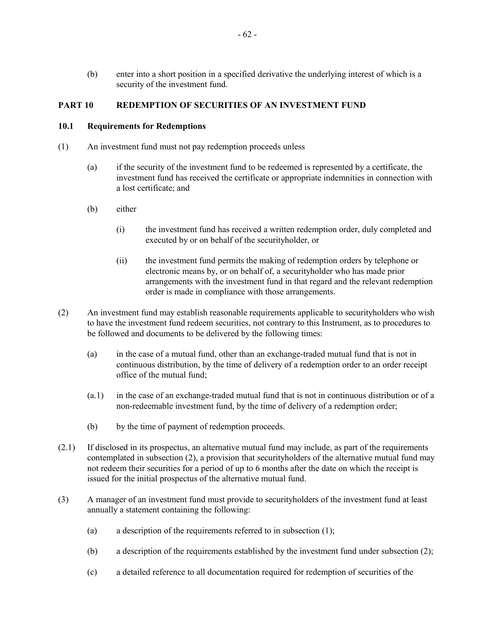(b) enter into a short position in a specified derivative the underlying interest of which is a security of the investment fund.

## **PART 10 REDEMPTION OF SECURITIES OF AN INVESTMENT FUND**

#### **10.1 Requirements for Redemptions**

- (1) An investment fund must not pay redemption proceeds unless
	- (a) if the security of the investment fund to be redeemed is represented by a certificate, the investment fund has received the certificate or appropriate indemnities in connection with a lost certificate; and
	- (b) either
		- (i) the investment fund has received a written redemption order, duly completed and executed by or on behalf of the securityholder, or
		- (ii) the investment fund permits the making of redemption orders by telephone or electronic means by, or on behalf of, a securityholder who has made prior arrangements with the investment fund in that regard and the relevant redemption order is made in compliance with those arrangements.
- (2) An investment fund may establish reasonable requirements applicable to securityholders who wish to have the investment fund redeem securities, not contrary to this Instrument, as to procedures to be followed and documents to be delivered by the following times:
	- (a) in the case of a mutual fund, other than an exchange-traded mutual fund that is not in continuous distribution, by the time of delivery of a redemption order to an order receipt office of the mutual fund;
	- (a.1) in the case of an exchange-traded mutual fund that is not in continuous distribution or of a non-redeemable investment fund, by the time of delivery of a redemption order;
	- (b) by the time of payment of redemption proceeds.
- (2.1) If disclosed in its prospectus, an alternative mutual fund may include, as part of the requirements contemplated in subsection (2), a provision that securityholders of the alternative mutual fund may not redeem their securities for a period of up to 6 months after the date on which the receipt is issued for the initial prospectus of the alternative mutual fund.
- (3) A manager of an investment fund must provide to securityholders of the investment fund at least annually a statement containing the following:
	- (a) a description of the requirements referred to in subsection (1);
	- (b) a description of the requirements established by the investment fund under subsection (2);
	- (c) a detailed reference to all documentation required for redemption of securities of the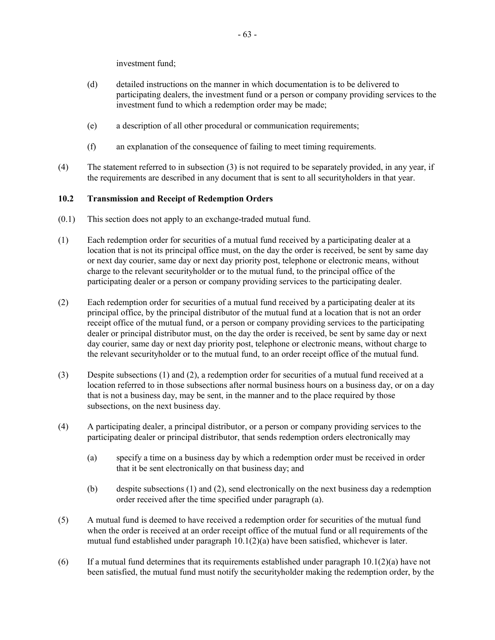investment fund;

- (d) detailed instructions on the manner in which documentation is to be delivered to participating dealers, the investment fund or a person or company providing services to the investment fund to which a redemption order may be made;
- (e) a description of all other procedural or communication requirements;
- (f) an explanation of the consequence of failing to meet timing requirements.
- (4) The statement referred to in subsection (3) is not required to be separately provided, in any year, if the requirements are described in any document that is sent to all securityholders in that year.

## **10.2 Transmission and Receipt of Redemption Orders**

- (0.1) This section does not apply to an exchange-traded mutual fund.
- (1) Each redemption order for securities of a mutual fund received by a participating dealer at a location that is not its principal office must, on the day the order is received, be sent by same day or next day courier, same day or next day priority post, telephone or electronic means, without charge to the relevant securityholder or to the mutual fund, to the principal office of the participating dealer or a person or company providing services to the participating dealer.
- (2) Each redemption order for securities of a mutual fund received by a participating dealer at its principal office, by the principal distributor of the mutual fund at a location that is not an order receipt office of the mutual fund, or a person or company providing services to the participating dealer or principal distributor must, on the day the order is received, be sent by same day or next day courier, same day or next day priority post, telephone or electronic means, without charge to the relevant securityholder or to the mutual fund, to an order receipt office of the mutual fund.
- (3) Despite subsections (1) and (2), a redemption order for securities of a mutual fund received at a location referred to in those subsections after normal business hours on a business day, or on a day that is not a business day, may be sent, in the manner and to the place required by those subsections, on the next business day.
- (4) A participating dealer, a principal distributor, or a person or company providing services to the participating dealer or principal distributor, that sends redemption orders electronically may
	- (a) specify a time on a business day by which a redemption order must be received in order that it be sent electronically on that business day; and
	- (b) despite subsections (1) and (2), send electronically on the next business day a redemption order received after the time specified under paragraph (a).
- (5) A mutual fund is deemed to have received a redemption order for securities of the mutual fund when the order is received at an order receipt office of the mutual fund or all requirements of the mutual fund established under paragraph  $10.1(2)(a)$  have been satisfied, whichever is later.
- (6) If a mutual fund determines that its requirements established under paragraph  $10.1(2)(a)$  have not been satisfied, the mutual fund must notify the securityholder making the redemption order, by the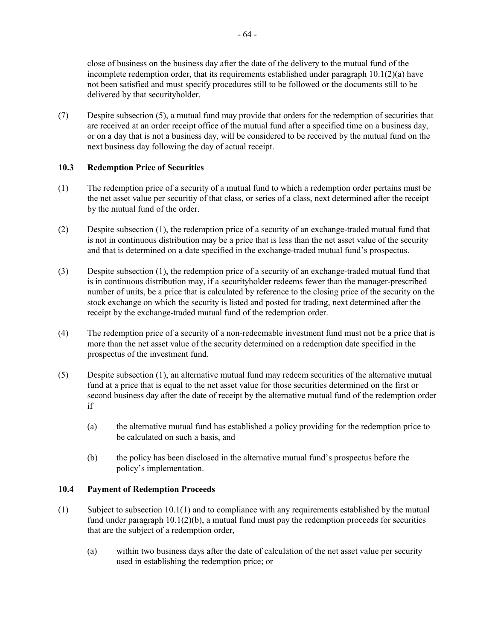close of business on the business day after the date of the delivery to the mutual fund of the incomplete redemption order, that its requirements established under paragraph  $10.1(2)(a)$  have not been satisfied and must specify procedures still to be followed or the documents still to be delivered by that securityholder.

(7) Despite subsection (5), a mutual fund may provide that orders for the redemption of securities that are received at an order receipt office of the mutual fund after a specified time on a business day, or on a day that is not a business day, will be considered to be received by the mutual fund on the next business day following the day of actual receipt.

# **10.3 Redemption Price of Securities**

- (1) The redemption price of a security of a mutual fund to which a redemption order pertains must be the net asset value per securitiy of that class, or series of a class, next determined after the receipt by the mutual fund of the order.
- (2) Despite subsection (1), the redemption price of a security of an exchange-traded mutual fund that is not in continuous distribution may be a price that is less than the net asset value of the security and that is determined on a date specified in the exchange-traded mutual fund's prospectus.
- (3) Despite subsection (1), the redemption price of a security of an exchange-traded mutual fund that is in continuous distribution may, if a securityholder redeems fewer than the manager-prescribed number of units, be a price that is calculated by reference to the closing price of the security on the stock exchange on which the security is listed and posted for trading, next determined after the receipt by the exchange-traded mutual fund of the redemption order.
- (4) The redemption price of a security of a non-redeemable investment fund must not be a price that is more than the net asset value of the security determined on a redemption date specified in the prospectus of the investment fund.
- (5) Despite subsection (1), an alternative mutual fund may redeem securities of the alternative mutual fund at a price that is equal to the net asset value for those securities determined on the first or second business day after the date of receipt by the alternative mutual fund of the redemption order if
	- (a) the alternative mutual fund has established a policy providing for the redemption price to be calculated on such a basis, and
	- (b) the policy has been disclosed in the alternative mutual fund's prospectus before the policy's implementation.

## **10.4 Payment of Redemption Proceeds**

- (1) Subject to subsection 10.1(1) and to compliance with any requirements established by the mutual fund under paragraph 10.1(2)(b), a mutual fund must pay the redemption proceeds for securities that are the subject of a redemption order,
	- (a) within two business days after the date of calculation of the net asset value per security used in establishing the redemption price; or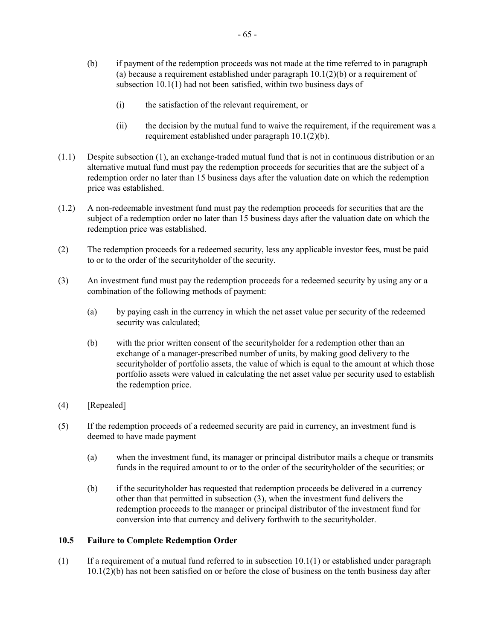- (b) if payment of the redemption proceeds was not made at the time referred to in paragraph (a) because a requirement established under paragraph 10.1(2)(b) or a requirement of subsection 10.1(1) had not been satisfied, within two business days of
	- (i) the satisfaction of the relevant requirement, or
	- (ii) the decision by the mutual fund to waive the requirement, if the requirement was a requirement established under paragraph 10.1(2)(b).
- (1.1) Despite subsection (1), an exchange-traded mutual fund that is not in continuous distribution or an alternative mutual fund must pay the redemption proceeds for securities that are the subject of a redemption order no later than 15 business days after the valuation date on which the redemption price was established.
- (1.2) A non-redeemable investment fund must pay the redemption proceeds for securities that are the subject of a redemption order no later than 15 business days after the valuation date on which the redemption price was established.
- (2) The redemption proceeds for a redeemed security, less any applicable investor fees, must be paid to or to the order of the securityholder of the security.
- (3) An investment fund must pay the redemption proceeds for a redeemed security by using any or a combination of the following methods of payment:
	- (a) by paying cash in the currency in which the net asset value per security of the redeemed security was calculated;
	- (b) with the prior written consent of the securityholder for a redemption other than an exchange of a manager-prescribed number of units, by making good delivery to the securityholder of portfolio assets, the value of which is equal to the amount at which those portfolio assets were valued in calculating the net asset value per security used to establish the redemption price.
- (4) [Repealed]
- (5) If the redemption proceeds of a redeemed security are paid in currency, an investment fund is deemed to have made payment
	- (a) when the investment fund, its manager or principal distributor mails a cheque or transmits funds in the required amount to or to the order of the securityholder of the securities; or
	- (b) if the securityholder has requested that redemption proceeds be delivered in a currency other than that permitted in subsection (3), when the investment fund delivers the redemption proceeds to the manager or principal distributor of the investment fund for conversion into that currency and delivery forthwith to the securityholder.

## **10.5 Failure to Complete Redemption Order**

 $(1)$  If a requirement of a mutual fund referred to in subsection 10.1(1) or established under paragraph 10.1(2)(b) has not been satisfied on or before the close of business on the tenth business day after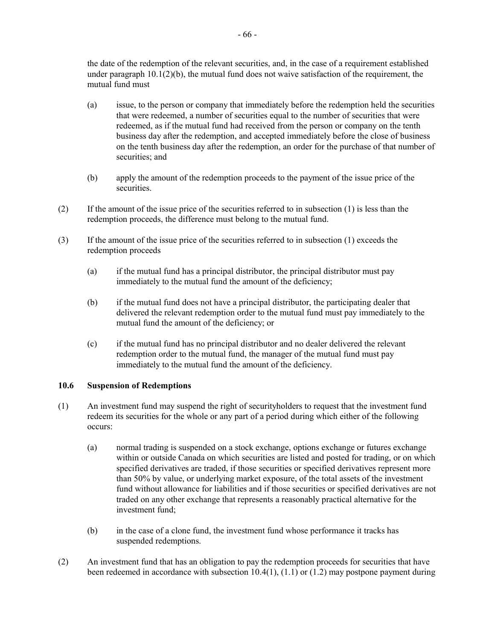the date of the redemption of the relevant securities, and, in the case of a requirement established under paragraph  $10.1(2)(b)$ , the mutual fund does not waive satisfaction of the requirement, the mutual fund must

- (a) issue, to the person or company that immediately before the redemption held the securities that were redeemed, a number of securities equal to the number of securities that were redeemed, as if the mutual fund had received from the person or company on the tenth business day after the redemption, and accepted immediately before the close of business on the tenth business day after the redemption, an order for the purchase of that number of securities; and
- (b) apply the amount of the redemption proceeds to the payment of the issue price of the securities.
- (2) If the amount of the issue price of the securities referred to in subsection (1) is less than the redemption proceeds, the difference must belong to the mutual fund.
- (3) If the amount of the issue price of the securities referred to in subsection (1) exceeds the redemption proceeds
	- (a) if the mutual fund has a principal distributor, the principal distributor must pay immediately to the mutual fund the amount of the deficiency;
	- (b) if the mutual fund does not have a principal distributor, the participating dealer that delivered the relevant redemption order to the mutual fund must pay immediately to the mutual fund the amount of the deficiency; or
	- (c) if the mutual fund has no principal distributor and no dealer delivered the relevant redemption order to the mutual fund, the manager of the mutual fund must pay immediately to the mutual fund the amount of the deficiency.

## **10.6 Suspension of Redemptions**

- (1) An investment fund may suspend the right of securityholders to request that the investment fund redeem its securities for the whole or any part of a period during which either of the following occurs:
	- (a) normal trading is suspended on a stock exchange, options exchange or futures exchange within or outside Canada on which securities are listed and posted for trading, or on which specified derivatives are traded, if those securities or specified derivatives represent more than 50% by value, or underlying market exposure, of the total assets of the investment fund without allowance for liabilities and if those securities or specified derivatives are not traded on any other exchange that represents a reasonably practical alternative for the investment fund;
	- (b) in the case of a clone fund, the investment fund whose performance it tracks has suspended redemptions.
- (2) An investment fund that has an obligation to pay the redemption proceeds for securities that have been redeemed in accordance with subsection 10.4(1), (1.1) or (1.2) may postpone payment during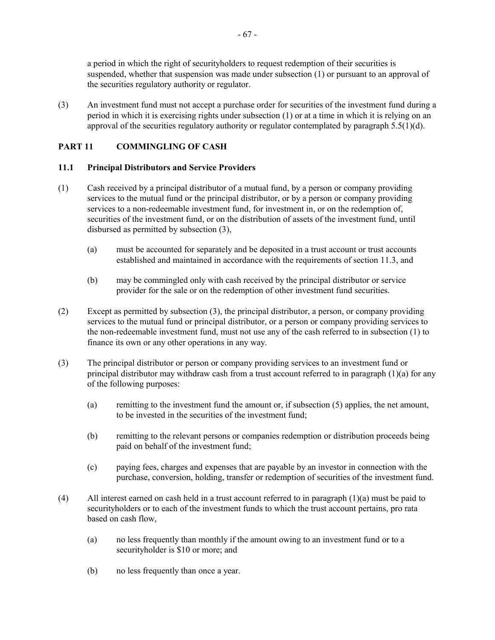a period in which the right of securityholders to request redemption of their securities is suspended, whether that suspension was made under subsection (1) or pursuant to an approval of the securities regulatory authority or regulator.

(3) An investment fund must not accept a purchase order for securities of the investment fund during a period in which it is exercising rights under subsection (1) or at a time in which it is relying on an approval of the securities regulatory authority or regulator contemplated by paragraph  $5.5(1)(d)$ .

# **PART 11 COMMINGLING OF CASH**

# **11.1 Principal Distributors and Service Providers**

- (1) Cash received by a principal distributor of a mutual fund, by a person or company providing services to the mutual fund or the principal distributor, or by a person or company providing services to a non-redeemable investment fund, for investment in, or on the redemption of, securities of the investment fund, or on the distribution of assets of the investment fund, until disbursed as permitted by subsection (3),
	- (a) must be accounted for separately and be deposited in a trust account or trust accounts established and maintained in accordance with the requirements of section 11.3, and
	- (b) may be commingled only with cash received by the principal distributor or service provider for the sale or on the redemption of other investment fund securities.
- (2) Except as permitted by subsection (3), the principal distributor, a person, or company providing services to the mutual fund or principal distributor, or a person or company providing services to the non-redeemable investment fund, must not use any of the cash referred to in subsection (1) to finance its own or any other operations in any way.
- (3) The principal distributor or person or company providing services to an investment fund or principal distributor may withdraw cash from a trust account referred to in paragraph (1)(a) for any of the following purposes:
	- (a) remitting to the investment fund the amount or, if subsection (5) applies, the net amount, to be invested in the securities of the investment fund;
	- (b) remitting to the relevant persons or companies redemption or distribution proceeds being paid on behalf of the investment fund;
	- (c) paying fees, charges and expenses that are payable by an investor in connection with the purchase, conversion, holding, transfer or redemption of securities of the investment fund.
- (4) All interest earned on cash held in a trust account referred to in paragraph (1)(a) must be paid to securityholders or to each of the investment funds to which the trust account pertains, pro rata based on cash flow,
	- (a) no less frequently than monthly if the amount owing to an investment fund or to a securityholder is \$10 or more; and
	- (b) no less frequently than once a year.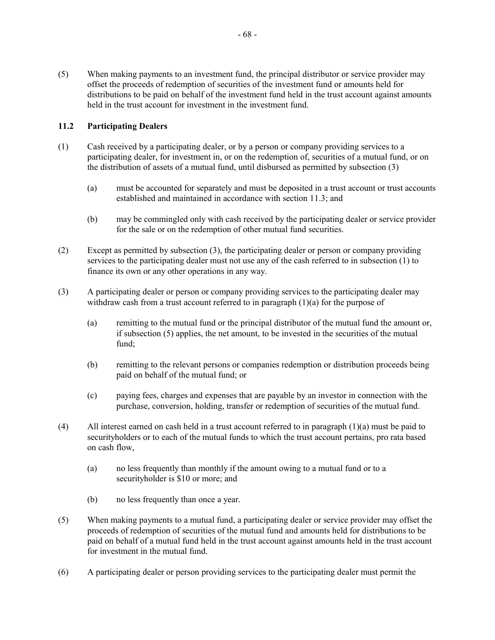(5) When making payments to an investment fund, the principal distributor or service provider may offset the proceeds of redemption of securities of the investment fund or amounts held for distributions to be paid on behalf of the investment fund held in the trust account against amounts held in the trust account for investment in the investment fund.

## **11.2 Participating Dealers**

- (1) Cash received by a participating dealer, or by a person or company providing services to a participating dealer, for investment in, or on the redemption of, securities of a mutual fund, or on the distribution of assets of a mutual fund, until disbursed as permitted by subsection (3)
	- (a) must be accounted for separately and must be deposited in a trust account or trust accounts established and maintained in accordance with section 11.3; and
	- (b) may be commingled only with cash received by the participating dealer or service provider for the sale or on the redemption of other mutual fund securities.
- (2) Except as permitted by subsection (3), the participating dealer or person or company providing services to the participating dealer must not use any of the cash referred to in subsection (1) to finance its own or any other operations in any way.
- (3) A participating dealer or person or company providing services to the participating dealer may withdraw cash from a trust account referred to in paragraph (1)(a) for the purpose of
	- (a) remitting to the mutual fund or the principal distributor of the mutual fund the amount or, if subsection (5) applies, the net amount, to be invested in the securities of the mutual fund;
	- (b) remitting to the relevant persons or companies redemption or distribution proceeds being paid on behalf of the mutual fund; or
	- (c) paying fees, charges and expenses that are payable by an investor in connection with the purchase, conversion, holding, transfer or redemption of securities of the mutual fund.
- (4) All interest earned on cash held in a trust account referred to in paragraph (1)(a) must be paid to securityholders or to each of the mutual funds to which the trust account pertains, pro rata based on cash flow,
	- (a) no less frequently than monthly if the amount owing to a mutual fund or to a securityholder is \$10 or more; and
	- (b) no less frequently than once a year.
- (5) When making payments to a mutual fund, a participating dealer or service provider may offset the proceeds of redemption of securities of the mutual fund and amounts held for distributions to be paid on behalf of a mutual fund held in the trust account against amounts held in the trust account for investment in the mutual fund.
- (6) A participating dealer or person providing services to the participating dealer must permit the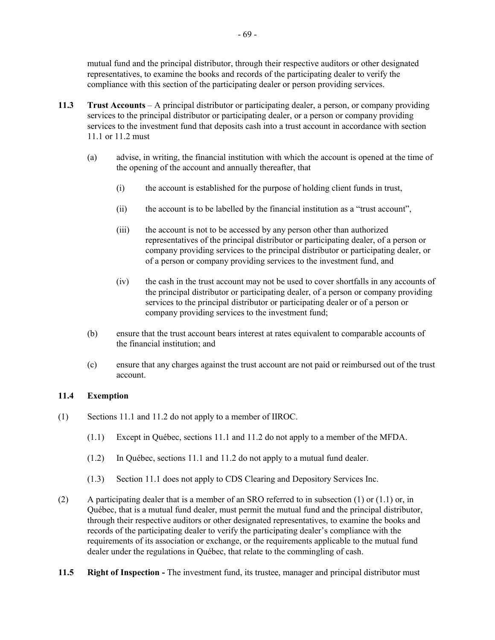mutual fund and the principal distributor, through their respective auditors or other designated representatives, to examine the books and records of the participating dealer to verify the compliance with this section of the participating dealer or person providing services.

- **11.3 Trust Accounts**  A principal distributor or participating dealer, a person, or company providing services to the principal distributor or participating dealer, or a person or company providing services to the investment fund that deposits cash into a trust account in accordance with section 11.1 or 11.2 must
	- (a) advise, in writing, the financial institution with which the account is opened at the time of the opening of the account and annually thereafter, that
		- (i) the account is established for the purpose of holding client funds in trust,
		- (ii) the account is to be labelled by the financial institution as a "trust account",
		- (iii) the account is not to be accessed by any person other than authorized representatives of the principal distributor or participating dealer, of a person or company providing services to the principal distributor or participating dealer, or of a person or company providing services to the investment fund, and
		- (iv) the cash in the trust account may not be used to cover shortfalls in any accounts of the principal distributor or participating dealer, of a person or company providing services to the principal distributor or participating dealer or of a person or company providing services to the investment fund;
	- (b) ensure that the trust account bears interest at rates equivalent to comparable accounts of the financial institution; and
	- (c) ensure that any charges against the trust account are not paid or reimbursed out of the trust account.

## **11.4 Exemption**

- (1) Sections 11.1 and 11.2 do not apply to a member of IIROC.
	- (1.1) Except in Québec, sections 11.1 and 11.2 do not apply to a member of the MFDA.
	- (1.2) In Québec, sections 11.1 and 11.2 do not apply to a mutual fund dealer.
	- (1.3) Section 11.1 does not apply to CDS Clearing and Depository Services Inc.
- (2) A participating dealer that is a member of an SRO referred to in subsection (1) or  $(1.1)$  or, in Québec, that is a mutual fund dealer, must permit the mutual fund and the principal distributor, through their respective auditors or other designated representatives, to examine the books and records of the participating dealer to verify the participating dealer's compliance with the requirements of its association or exchange, or the requirements applicable to the mutual fund dealer under the regulations in Québec, that relate to the commingling of cash.
- **11.5 Right of Inspection -** The investment fund, its trustee, manager and principal distributor must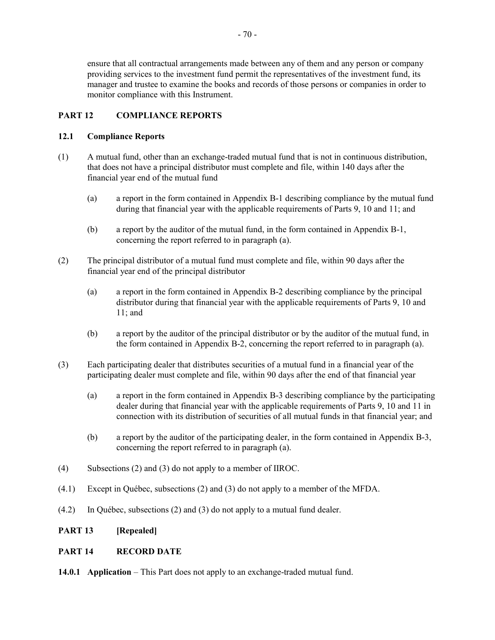ensure that all contractual arrangements made between any of them and any person or company providing services to the investment fund permit the representatives of the investment fund, its manager and trustee to examine the books and records of those persons or companies in order to monitor compliance with this Instrument.

# **PART 12 COMPLIANCE REPORTS**

## **12.1 Compliance Reports**

- (1) A mutual fund, other than an exchange-traded mutual fund that is not in continuous distribution, that does not have a principal distributor must complete and file, within 140 days after the financial year end of the mutual fund
	- (a) a report in the form contained in Appendix B-1 describing compliance by the mutual fund during that financial year with the applicable requirements of Parts 9, 10 and 11; and
	- (b) a report by the auditor of the mutual fund, in the form contained in Appendix B-1, concerning the report referred to in paragraph (a).
- (2) The principal distributor of a mutual fund must complete and file, within 90 days after the financial year end of the principal distributor
	- (a) a report in the form contained in Appendix B-2 describing compliance by the principal distributor during that financial year with the applicable requirements of Parts 9, 10 and 11; and
	- (b) a report by the auditor of the principal distributor or by the auditor of the mutual fund, in the form contained in Appendix B-2, concerning the report referred to in paragraph (a).
- (3) Each participating dealer that distributes securities of a mutual fund in a financial year of the participating dealer must complete and file, within 90 days after the end of that financial year
	- (a) a report in the form contained in Appendix B-3 describing compliance by the participating dealer during that financial year with the applicable requirements of Parts 9, 10 and 11 in connection with its distribution of securities of all mutual funds in that financial year; and
	- (b) a report by the auditor of the participating dealer, in the form contained in Appendix B-3, concerning the report referred to in paragraph (a).
- (4) Subsections (2) and (3) do not apply to a member of IIROC.
- (4.1) Except in Québec, subsections (2) and (3) do not apply to a member of the MFDA.
- (4.2) In Québec, subsections (2) and (3) do not apply to a mutual fund dealer.

## **PART 13** [Repealed]

## **PART 14 RECORD DATE**

**14.0.1 Application** – This Part does not apply to an exchange-traded mutual fund.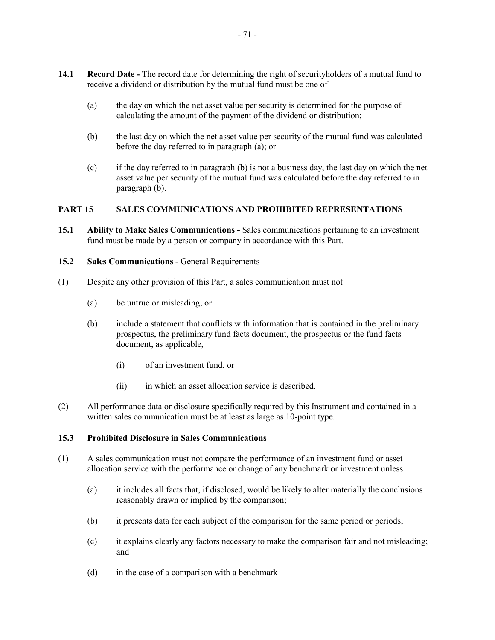- **14.1 Record Date -** The record date for determining the right of securityholders of a mutual fund to receive a dividend or distribution by the mutual fund must be one of
	- (a) the day on which the net asset value per security is determined for the purpose of calculating the amount of the payment of the dividend or distribution;
	- (b) the last day on which the net asset value per security of the mutual fund was calculated before the day referred to in paragraph (a); or
	- (c) if the day referred to in paragraph (b) is not a business day, the last day on which the net asset value per security of the mutual fund was calculated before the day referred to in paragraph (b).

## **PART 15 SALES COMMUNICATIONS AND PROHIBITED REPRESENTATIONS**

- **15.1 Ability to Make Sales Communications -** Sales communications pertaining to an investment fund must be made by a person or company in accordance with this Part.
- **15.2 Sales Communications -** General Requirements
- (1) Despite any other provision of this Part, a sales communication must not
	- (a) be untrue or misleading; or
	- (b) include a statement that conflicts with information that is contained in the preliminary prospectus, the preliminary fund facts document, the prospectus or the fund facts document, as applicable,
		- (i) of an investment fund, or
		- (ii) in which an asset allocation service is described.
- (2) All performance data or disclosure specifically required by this Instrument and contained in a written sales communication must be at least as large as 10-point type.

## **15.3 Prohibited Disclosure in Sales Communications**

- (1) A sales communication must not compare the performance of an investment fund or asset allocation service with the performance or change of any benchmark or investment unless
	- (a) it includes all facts that, if disclosed, would be likely to alter materially the conclusions reasonably drawn or implied by the comparison;
	- (b) it presents data for each subject of the comparison for the same period or periods;
	- (c) it explains clearly any factors necessary to make the comparison fair and not misleading; and
	- (d) in the case of a comparison with a benchmark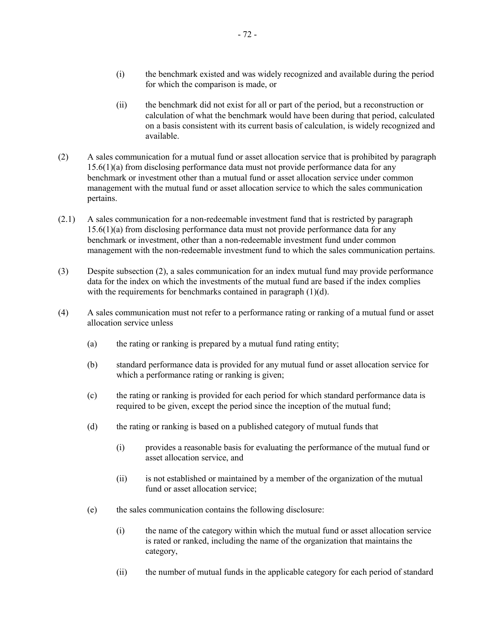- (i) the benchmark existed and was widely recognized and available during the period for which the comparison is made, or
- (ii) the benchmark did not exist for all or part of the period, but a reconstruction or calculation of what the benchmark would have been during that period, calculated on a basis consistent with its current basis of calculation, is widely recognized and available.
- (2) A sales communication for a mutual fund or asset allocation service that is prohibited by paragraph 15.6(1)(a) from disclosing performance data must not provide performance data for any benchmark or investment other than a mutual fund or asset allocation service under common management with the mutual fund or asset allocation service to which the sales communication pertains.
- (2.1) A sales communication for a non-redeemable investment fund that is restricted by paragraph 15.6(1)(a) from disclosing performance data must not provide performance data for any benchmark or investment, other than a non-redeemable investment fund under common management with the non-redeemable investment fund to which the sales communication pertains.
- (3) Despite subsection (2), a sales communication for an index mutual fund may provide performance data for the index on which the investments of the mutual fund are based if the index complies with the requirements for benchmarks contained in paragraph (1)(d).
- (4) A sales communication must not refer to a performance rating or ranking of a mutual fund or asset allocation service unless
	- (a) the rating or ranking is prepared by a mutual fund rating entity;
	- (b) standard performance data is provided for any mutual fund or asset allocation service for which a performance rating or ranking is given;
	- (c) the rating or ranking is provided for each period for which standard performance data is required to be given, except the period since the inception of the mutual fund;
	- (d) the rating or ranking is based on a published category of mutual funds that
		- (i) provides a reasonable basis for evaluating the performance of the mutual fund or asset allocation service, and
		- (ii) is not established or maintained by a member of the organization of the mutual fund or asset allocation service;
	- (e) the sales communication contains the following disclosure:
		- (i) the name of the category within which the mutual fund or asset allocation service is rated or ranked, including the name of the organization that maintains the category,
		- (ii) the number of mutual funds in the applicable category for each period of standard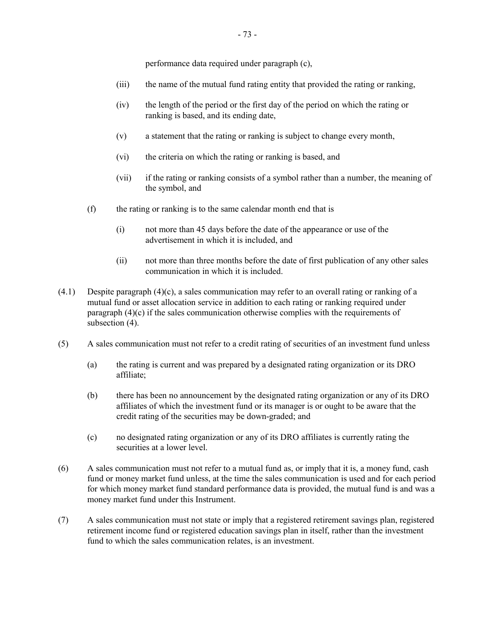performance data required under paragraph (c),

- (iii) the name of the mutual fund rating entity that provided the rating or ranking,
- (iv) the length of the period or the first day of the period on which the rating or ranking is based, and its ending date,
- (v) a statement that the rating or ranking is subject to change every month,
- (vi) the criteria on which the rating or ranking is based, and
- (vii) if the rating or ranking consists of a symbol rather than a number, the meaning of the symbol, and
- (f) the rating or ranking is to the same calendar month end that is
	- (i) not more than 45 days before the date of the appearance or use of the advertisement in which it is included, and
	- (ii) not more than three months before the date of first publication of any other sales communication in which it is included.
- (4.1) Despite paragraph (4)(c), a sales communication may refer to an overall rating or ranking of a mutual fund or asset allocation service in addition to each rating or ranking required under paragraph (4)(c) if the sales communication otherwise complies with the requirements of subsection (4).
- (5) A sales communication must not refer to a credit rating of securities of an investment fund unless
	- (a) the rating is current and was prepared by a designated rating organization or its DRO affiliate;
	- (b) there has been no announcement by the designated rating organization or any of its DRO affiliates of which the investment fund or its manager is or ought to be aware that the credit rating of the securities may be down-graded; and
	- (c) no designated rating organization or any of its DRO affiliates is currently rating the securities at a lower level.
- (6) A sales communication must not refer to a mutual fund as, or imply that it is, a money fund, cash fund or money market fund unless, at the time the sales communication is used and for each period for which money market fund standard performance data is provided, the mutual fund is and was a money market fund under this Instrument.
- (7) A sales communication must not state or imply that a registered retirement savings plan, registered retirement income fund or registered education savings plan in itself, rather than the investment fund to which the sales communication relates, is an investment.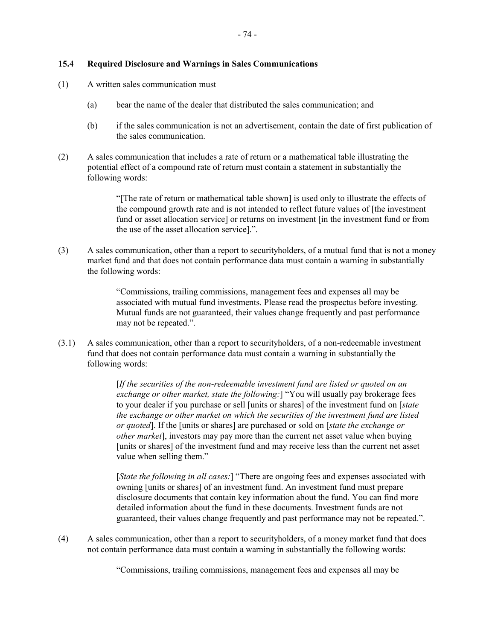#### **15.4 Required Disclosure and Warnings in Sales Communications**

- (1) A written sales communication must
	- (a) bear the name of the dealer that distributed the sales communication; and
	- (b) if the sales communication is not an advertisement, contain the date of first publication of the sales communication.
- (2) A sales communication that includes a rate of return or a mathematical table illustrating the potential effect of a compound rate of return must contain a statement in substantially the following words:

"[The rate of return or mathematical table shown] is used only to illustrate the effects of the compound growth rate and is not intended to reflect future values of [the investment fund or asset allocation service] or returns on investment [in the investment fund or from the use of the asset allocation service].".

(3) A sales communication, other than a report to securityholders, of a mutual fund that is not a money market fund and that does not contain performance data must contain a warning in substantially the following words:

> "Commissions, trailing commissions, management fees and expenses all may be associated with mutual fund investments. Please read the prospectus before investing. Mutual funds are not guaranteed, their values change frequently and past performance may not be repeated.".

(3.1) A sales communication, other than a report to securityholders, of a non-redeemable investment fund that does not contain performance data must contain a warning in substantially the following words:

> [*If the securities of the non-redeemable investment fund are listed or quoted on an exchange or other market, state the following:*] "You will usually pay brokerage fees to your dealer if you purchase or sell [units or shares] of the investment fund on [*state the exchange or other market on which the securities of the investment fund are listed or quoted*]. If the [units or shares] are purchased or sold on [*state the exchange or other market*], investors may pay more than the current net asset value when buying [units or shares] of the investment fund and may receive less than the current net asset value when selling them."

[*State the following in all cases:*] "There are ongoing fees and expenses associated with owning [units or shares] of an investment fund. An investment fund must prepare disclosure documents that contain key information about the fund. You can find more detailed information about the fund in these documents. Investment funds are not guaranteed, their values change frequently and past performance may not be repeated.".

(4) A sales communication, other than a report to securityholders, of a money market fund that does not contain performance data must contain a warning in substantially the following words:

"Commissions, trailing commissions, management fees and expenses all may be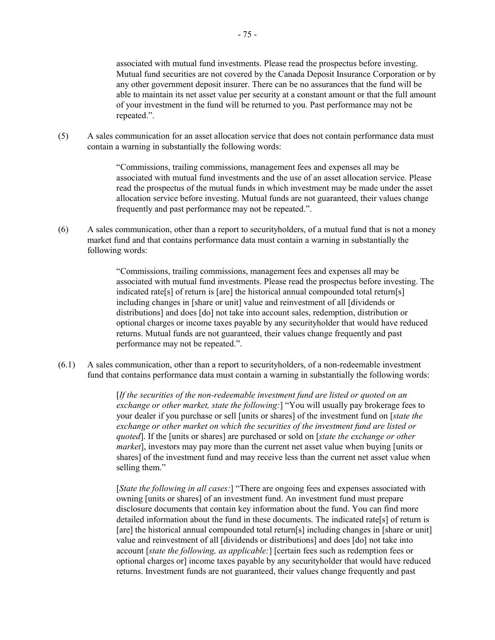Mutual fund securities are not covered by the Canada Deposit Insurance Corporation or by any other government deposit insurer. There can be no assurances that the fund will be able to maintain its net asset value per security at a constant amount or that the full amount of your investment in the fund will be returned to you. Past performance may not be repeated.".

(5) A sales communication for an asset allocation service that does not contain performance data must contain a warning in substantially the following words:

> "Commissions, trailing commissions, management fees and expenses all may be associated with mutual fund investments and the use of an asset allocation service. Please read the prospectus of the mutual funds in which investment may be made under the asset allocation service before investing. Mutual funds are not guaranteed, their values change frequently and past performance may not be repeated.".

(6) A sales communication, other than a report to securityholders, of a mutual fund that is not a money market fund and that contains performance data must contain a warning in substantially the following words:

> "Commissions, trailing commissions, management fees and expenses all may be associated with mutual fund investments. Please read the prospectus before investing. The indicated rate[s] of return is [are] the historical annual compounded total return[s] including changes in [share or unit] value and reinvestment of all [dividends or distributions] and does [do] not take into account sales, redemption, distribution or optional charges or income taxes payable by any securityholder that would have reduced returns. Mutual funds are not guaranteed, their values change frequently and past performance may not be repeated.".

(6.1) A sales communication, other than a report to securityholders, of a non-redeemable investment fund that contains performance data must contain a warning in substantially the following words:

> [*If the securities of the non-redeemable investment fund are listed or quoted on an exchange or other market, state the following:*] "You will usually pay brokerage fees to your dealer if you purchase or sell [units or shares] of the investment fund on [*state the exchange or other market on which the securities of the investment fund are listed or quoted*]. If the [units or shares] are purchased or sold on [*state the exchange or other market*], investors may pay more than the current net asset value when buying [units or shares] of the investment fund and may receive less than the current net asset value when selling them."

> [*State the following in all cases:*] "There are ongoing fees and expenses associated with owning [units or shares] of an investment fund. An investment fund must prepare disclosure documents that contain key information about the fund. You can find more detailed information about the fund in these documents. The indicated rate[s] of return is [are] the historical annual compounded total return[s] including changes in [share or unit] value and reinvestment of all [dividends or distributions] and does [do] not take into account [*state the following, as applicable:*] [certain fees such as redemption fees or optional charges or] income taxes payable by any securityholder that would have reduced returns. Investment funds are not guaranteed, their values change frequently and past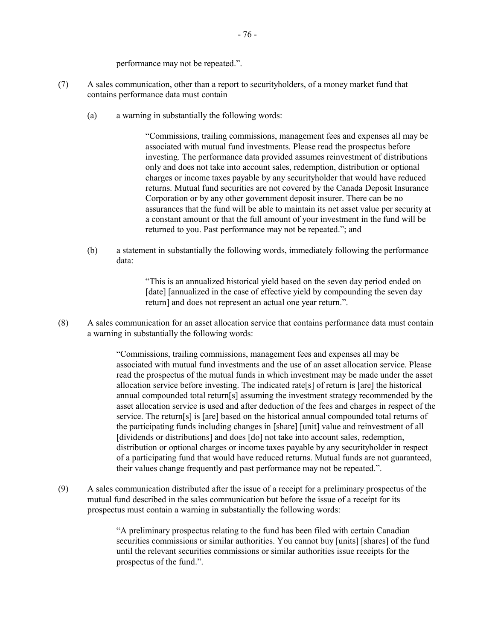performance may not be repeated.".

- (7) A sales communication, other than a report to securityholders, of a money market fund that contains performance data must contain
	- (a) a warning in substantially the following words:

"Commissions, trailing commissions, management fees and expenses all may be associated with mutual fund investments. Please read the prospectus before investing. The performance data provided assumes reinvestment of distributions only and does not take into account sales, redemption, distribution or optional charges or income taxes payable by any securityholder that would have reduced returns. Mutual fund securities are not covered by the Canada Deposit Insurance Corporation or by any other government deposit insurer. There can be no assurances that the fund will be able to maintain its net asset value per security at a constant amount or that the full amount of your investment in the fund will be returned to you. Past performance may not be repeated."; and

(b) a statement in substantially the following words, immediately following the performance data:

> "This is an annualized historical yield based on the seven day period ended on [date] [annualized in the case of effective yield by compounding the seven day return] and does not represent an actual one year return.".

(8) A sales communication for an asset allocation service that contains performance data must contain a warning in substantially the following words:

> "Commissions, trailing commissions, management fees and expenses all may be associated with mutual fund investments and the use of an asset allocation service. Please read the prospectus of the mutual funds in which investment may be made under the asset allocation service before investing. The indicated rate[s] of return is [are] the historical annual compounded total return[s] assuming the investment strategy recommended by the asset allocation service is used and after deduction of the fees and charges in respect of the service. The return[s] is [are] based on the historical annual compounded total returns of the participating funds including changes in [share] [unit] value and reinvestment of all [dividends or distributions] and does [do] not take into account sales, redemption, distribution or optional charges or income taxes payable by any securityholder in respect of a participating fund that would have reduced returns. Mutual funds are not guaranteed, their values change frequently and past performance may not be repeated.".

(9) A sales communication distributed after the issue of a receipt for a preliminary prospectus of the mutual fund described in the sales communication but before the issue of a receipt for its prospectus must contain a warning in substantially the following words:

> "A preliminary prospectus relating to the fund has been filed with certain Canadian securities commissions or similar authorities. You cannot buy [units] [shares] of the fund until the relevant securities commissions or similar authorities issue receipts for the prospectus of the fund.".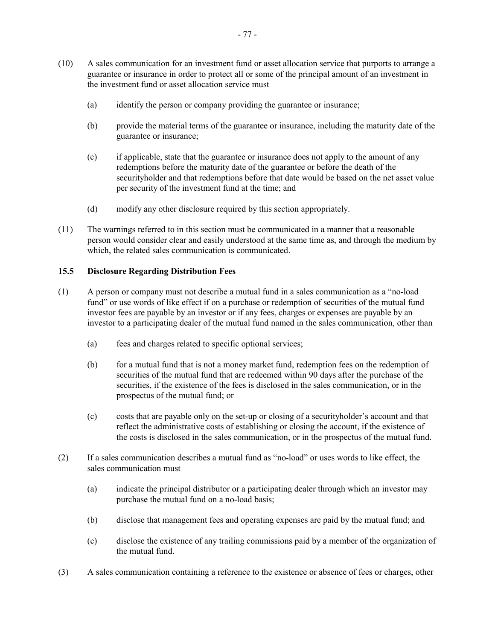- (10) A sales communication for an investment fund or asset allocation service that purports to arrange a guarantee or insurance in order to protect all or some of the principal amount of an investment in the investment fund or asset allocation service must
	- (a) identify the person or company providing the guarantee or insurance;
	- (b) provide the material terms of the guarantee or insurance, including the maturity date of the guarantee or insurance;
	- (c) if applicable, state that the guarantee or insurance does not apply to the amount of any redemptions before the maturity date of the guarantee or before the death of the securityholder and that redemptions before that date would be based on the net asset value per security of the investment fund at the time; and
	- (d) modify any other disclosure required by this section appropriately.
- (11) The warnings referred to in this section must be communicated in a manner that a reasonable person would consider clear and easily understood at the same time as, and through the medium by which, the related sales communication is communicated.

#### **15.5 Disclosure Regarding Distribution Fees**

- (1) A person or company must not describe a mutual fund in a sales communication as a "no-load fund" or use words of like effect if on a purchase or redemption of securities of the mutual fund investor fees are payable by an investor or if any fees, charges or expenses are payable by an investor to a participating dealer of the mutual fund named in the sales communication, other than
	- (a) fees and charges related to specific optional services;
	- (b) for a mutual fund that is not a money market fund, redemption fees on the redemption of securities of the mutual fund that are redeemed within 90 days after the purchase of the securities, if the existence of the fees is disclosed in the sales communication, or in the prospectus of the mutual fund; or
	- (c) costs that are payable only on the set-up or closing of a securityholder's account and that reflect the administrative costs of establishing or closing the account, if the existence of the costs is disclosed in the sales communication, or in the prospectus of the mutual fund.
- (2) If a sales communication describes a mutual fund as "no-load" or uses words to like effect, the sales communication must
	- (a) indicate the principal distributor or a participating dealer through which an investor may purchase the mutual fund on a no-load basis;
	- (b) disclose that management fees and operating expenses are paid by the mutual fund; and
	- (c) disclose the existence of any trailing commissions paid by a member of the organization of the mutual fund.
- (3) A sales communication containing a reference to the existence or absence of fees or charges, other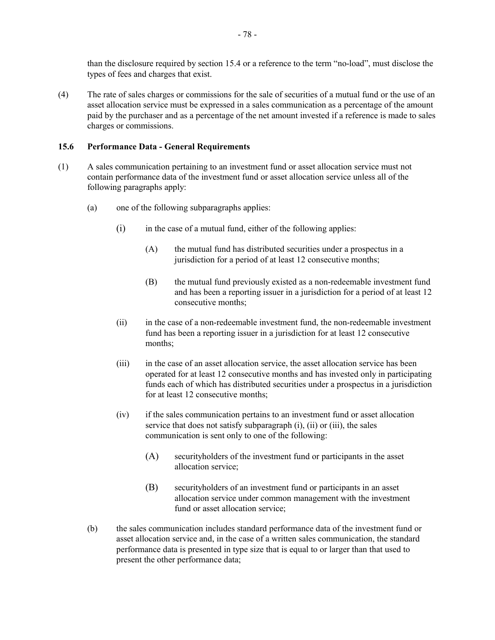than the disclosure required by section 15.4 or a reference to the term "no-load", must disclose the types of fees and charges that exist.

(4) The rate of sales charges or commissions for the sale of securities of a mutual fund or the use of an asset allocation service must be expressed in a sales communication as a percentage of the amount paid by the purchaser and as a percentage of the net amount invested if a reference is made to sales charges or commissions.

#### **15.6 Performance Data - General Requirements**

- (1) A sales communication pertaining to an investment fund or asset allocation service must not contain performance data of the investment fund or asset allocation service unless all of the following paragraphs apply:
	- (a) one of the following subparagraphs applies:
		- $(i)$  in the case of a mutual fund, either of the following applies:
			- (A) the mutual fund has distributed securities under a prospectus in a jurisdiction for a period of at least 12 consecutive months;
			- (B) the mutual fund previously existed as a non-redeemable investment fund and has been a reporting issuer in a jurisdiction for a period of at least 12 consecutive months;
		- (ii) in the case of a non-redeemable investment fund, the non-redeemable investment fund has been a reporting issuer in a jurisdiction for at least 12 consecutive months;
		- (iii) in the case of an asset allocation service, the asset allocation service has been operated for at least 12 consecutive months and has invested only in participating funds each of which has distributed securities under a prospectus in a jurisdiction for at least 12 consecutive months;
		- (iv) if the sales communication pertains to an investment fund or asset allocation service that does not satisfy subparagraph (i), (ii) or (iii), the sales communication is sent only to one of the following:
			- (A) securityholders of the investment fund or participants in the asset allocation service;
			- (B) securityholders of an investment fund or participants in an asset allocation service under common management with the investment fund or asset allocation service;
	- (b) the sales communication includes standard performance data of the investment fund or asset allocation service and, in the case of a written sales communication, the standard performance data is presented in type size that is equal to or larger than that used to present the other performance data;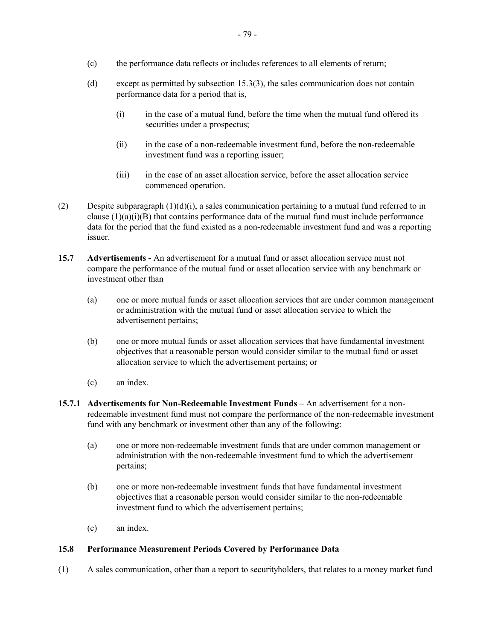- (d) except as permitted by subsection 15.3(3), the sales communication does not contain performance data for a period that is,
	- (i) in the case of a mutual fund, before the time when the mutual fund offered its securities under a prospectus;
	- (ii) in the case of a non-redeemable investment fund, before the non-redeemable investment fund was a reporting issuer;
	- (iii) in the case of an asset allocation service, before the asset allocation service commenced operation.
- (2) Despite subparagraph  $(1)(d)(i)$ , a sales communication pertaining to a mutual fund referred to in clause  $(1)(a)(i)(B)$  that contains performance data of the mutual fund must include performance data for the period that the fund existed as a non-redeemable investment fund and was a reporting issuer.
- **15.7 Advertisements -** An advertisement for a mutual fund or asset allocation service must not compare the performance of the mutual fund or asset allocation service with any benchmark or investment other than
	- (a) one or more mutual funds or asset allocation services that are under common management or administration with the mutual fund or asset allocation service to which the advertisement pertains;
	- (b) one or more mutual funds or asset allocation services that have fundamental investment objectives that a reasonable person would consider similar to the mutual fund or asset allocation service to which the advertisement pertains; or
	- (c) an index.
- **15.7.1 Advertisements for Non-Redeemable Investment Funds**  An advertisement for a nonredeemable investment fund must not compare the performance of the non-redeemable investment fund with any benchmark or investment other than any of the following:
	- (a) one or more non-redeemable investment funds that are under common management or administration with the non-redeemable investment fund to which the advertisement pertains;
	- (b) one or more non-redeemable investment funds that have fundamental investment objectives that a reasonable person would consider similar to the non-redeemable investment fund to which the advertisement pertains;
	- (c) an index.

## **15.8 Performance Measurement Periods Covered by Performance Data**

(1) A sales communication, other than a report to securityholders, that relates to a money market fund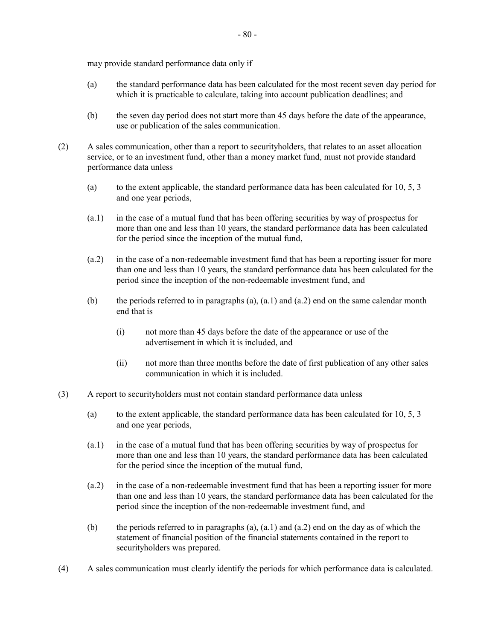may provide standard performance data only if

- (a) the standard performance data has been calculated for the most recent seven day period for which it is practicable to calculate, taking into account publication deadlines; and
- (b) the seven day period does not start more than 45 days before the date of the appearance, use or publication of the sales communication.
- (2) A sales communication, other than a report to securityholders, that relates to an asset allocation service, or to an investment fund, other than a money market fund, must not provide standard performance data unless
	- (a) to the extent applicable, the standard performance data has been calculated for 10, 5, 3 and one year periods,
	- (a.1) in the case of a mutual fund that has been offering securities by way of prospectus for more than one and less than 10 years, the standard performance data has been calculated for the period since the inception of the mutual fund,
	- (a.2) in the case of a non-redeemable investment fund that has been a reporting issuer for more than one and less than 10 years, the standard performance data has been calculated for the period since the inception of the non-redeemable investment fund, and
	- (b) the periods referred to in paragraphs (a), (a.1) and (a.2) end on the same calendar month end that is
		- (i) not more than 45 days before the date of the appearance or use of the advertisement in which it is included, and
		- (ii) not more than three months before the date of first publication of any other sales communication in which it is included.
- (3) A report to securityholders must not contain standard performance data unless
	- (a) to the extent applicable, the standard performance data has been calculated for 10, 5, 3 and one year periods,
	- (a.1) in the case of a mutual fund that has been offering securities by way of prospectus for more than one and less than 10 years, the standard performance data has been calculated for the period since the inception of the mutual fund,
	- (a.2) in the case of a non-redeemable investment fund that has been a reporting issuer for more than one and less than 10 years, the standard performance data has been calculated for the period since the inception of the non-redeemable investment fund, and
	- (b) the periods referred to in paragraphs  $(a)$ ,  $(a.1)$  and  $(a.2)$  end on the day as of which the statement of financial position of the financial statements contained in the report to securityholders was prepared.
- (4) A sales communication must clearly identify the periods for which performance data is calculated.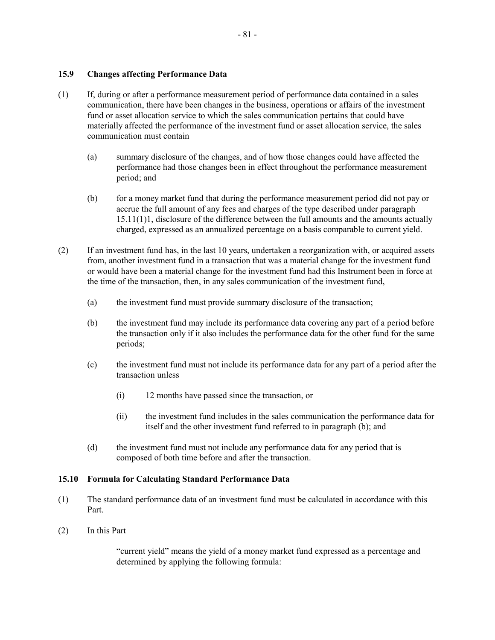#### **15.9 Changes affecting Performance Data**

- (1) If, during or after a performance measurement period of performance data contained in a sales communication, there have been changes in the business, operations or affairs of the investment fund or asset allocation service to which the sales communication pertains that could have materially affected the performance of the investment fund or asset allocation service, the sales communication must contain
	- (a) summary disclosure of the changes, and of how those changes could have affected the performance had those changes been in effect throughout the performance measurement period; and
	- (b) for a money market fund that during the performance measurement period did not pay or accrue the full amount of any fees and charges of the type described under paragraph 15.11(1)1, disclosure of the difference between the full amounts and the amounts actually charged, expressed as an annualized percentage on a basis comparable to current yield.
- (2) If an investment fund has, in the last 10 years, undertaken a reorganization with, or acquired assets from, another investment fund in a transaction that was a material change for the investment fund or would have been a material change for the investment fund had this Instrument been in force at the time of the transaction, then, in any sales communication of the investment fund,
	- (a) the investment fund must provide summary disclosure of the transaction;
	- (b) the investment fund may include its performance data covering any part of a period before the transaction only if it also includes the performance data for the other fund for the same periods;
	- (c) the investment fund must not include its performance data for any part of a period after the transaction unless
		- (i) 12 months have passed since the transaction, or
		- (ii) the investment fund includes in the sales communication the performance data for itself and the other investment fund referred to in paragraph (b); and
	- (d) the investment fund must not include any performance data for any period that is composed of both time before and after the transaction.

## **15.10 Formula for Calculating Standard Performance Data**

- (1) The standard performance data of an investment fund must be calculated in accordance with this Part.
- (2) In this Part

"current yield" means the yield of a money market fund expressed as a percentage and determined by applying the following formula: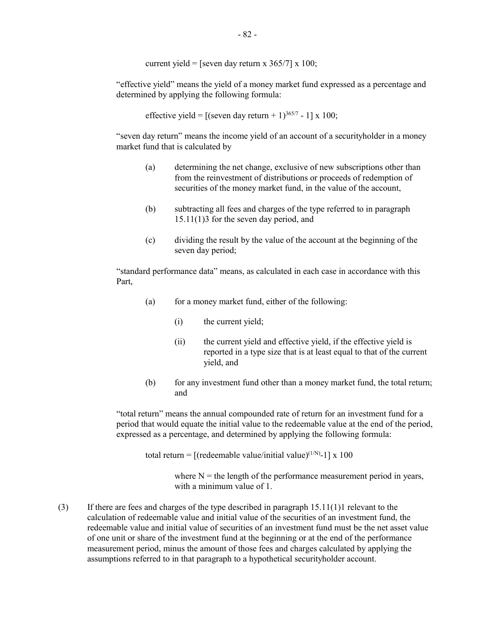current yield = [seven day return x  $365/7$ ] x 100;

"effective yield" means the yield of a money market fund expressed as a percentage and determined by applying the following formula:

effective yield =  $[(\text{seven day return} + 1)^{365/7} - 1] \times 100;$ 

"seven day return" means the income yield of an account of a securityholder in a money market fund that is calculated by

- (a) determining the net change, exclusive of new subscriptions other than from the reinvestment of distributions or proceeds of redemption of securities of the money market fund, in the value of the account,
- (b) subtracting all fees and charges of the type referred to in paragraph 15.11(1)3 for the seven day period, and
- (c) dividing the result by the value of the account at the beginning of the seven day period;

"standard performance data" means, as calculated in each case in accordance with this Part,

- (a) for a money market fund, either of the following:
	- (i) the current yield;
	- (ii) the current yield and effective yield, if the effective yield is reported in a type size that is at least equal to that of the current yield, and
- (b) for any investment fund other than a money market fund, the total return; and

"total return" means the annual compounded rate of return for an investment fund for a period that would equate the initial value to the redeemable value at the end of the period, expressed as a percentage, and determined by applying the following formula:

total return =  $[(redeemable value/initial value)^{(1/N)}-1] \times 100$ 

where  $N =$  the length of the performance measurement period in years, with a minimum value of 1.

(3) If there are fees and charges of the type described in paragraph 15.11(1)1 relevant to the calculation of redeemable value and initial value of the securities of an investment fund, the redeemable value and initial value of securities of an investment fund must be the net asset value of one unit or share of the investment fund at the beginning or at the end of the performance measurement period, minus the amount of those fees and charges calculated by applying the assumptions referred to in that paragraph to a hypothetical securityholder account.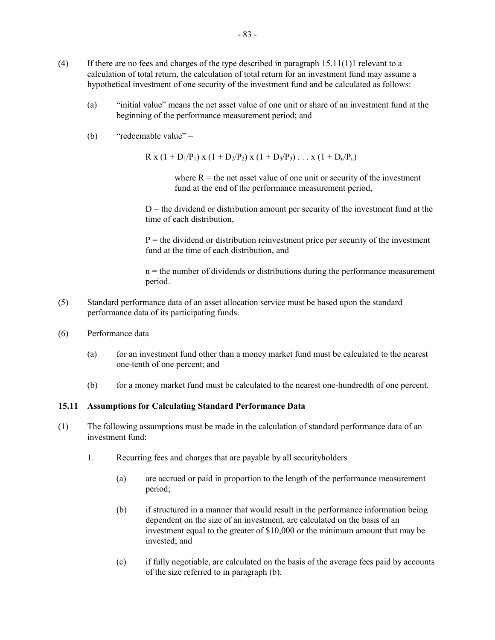- (4) If there are no fees and charges of the type described in paragraph  $15.11(1)1$  relevant to a calculation of total return, the calculation of total return for an investment fund may assume a hypothetical investment of one security of the investment fund and be calculated as follows:
	- (a) "initial value" means the net asset value of one unit or share of an investment fund at the beginning of the performance measurement period; and
	- (b) "redeemable value"  $=$

 $R x (1 + D<sub>1</sub>/P<sub>1</sub>) x (1 + D<sub>2</sub>/P<sub>2</sub>) x (1 + D<sub>3</sub>/P<sub>3</sub>) ... x (1 + D<sub>n</sub>/P<sub>n</sub>)$ 

where  $R =$  the net asset value of one unit or security of the investment fund at the end of the performance measurement period,

 $D =$  the dividend or distribution amount per security of the investment fund at the time of each distribution,

 $P =$  the dividend or distribution reinvestment price per security of the investment fund at the time of each distribution, and

 $n =$  the number of dividends or distributions during the performance measurement period.

- (5) Standard performance data of an asset allocation service must be based upon the standard performance data of its participating funds.
- (6) Performance data
	- (a) for an investment fund other than a money market fund must be calculated to the nearest one-tenth of one percent; and
	- (b) for a money market fund must be calculated to the nearest one-hundredth of one percent.

#### **15.11 Assumptions for Calculating Standard Performance Data**

- (1) The following assumptions must be made in the calculation of standard performance data of an investment fund:
	- 1. Recurring fees and charges that are payable by all securityholders
		- (a) are accrued or paid in proportion to the length of the performance measurement period;
		- (b) if structured in a manner that would result in the performance information being dependent on the size of an investment, are calculated on the basis of an investment equal to the greater of \$10,000 or the minimum amount that may be invested; and
		- (c) if fully negotiable, are calculated on the basis of the average fees paid by accounts of the size referred to in paragraph (b).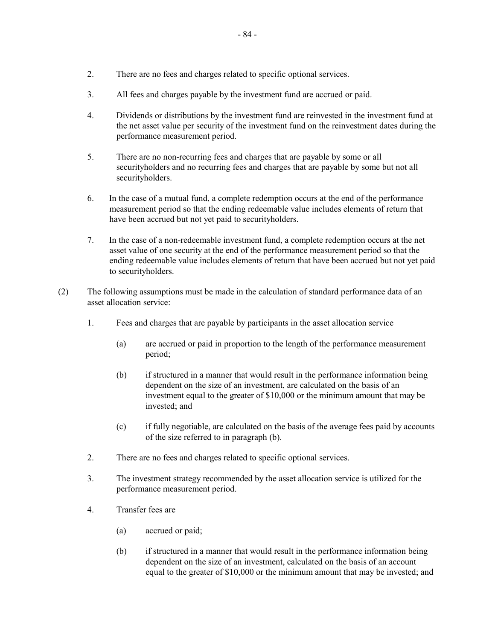- 2. There are no fees and charges related to specific optional services.
- 3. All fees and charges payable by the investment fund are accrued or paid.
- 4. Dividends or distributions by the investment fund are reinvested in the investment fund at the net asset value per security of the investment fund on the reinvestment dates during the performance measurement period.
- 5. There are no non-recurring fees and charges that are payable by some or all securityholders and no recurring fees and charges that are payable by some but not all securityholders.
- 6. In the case of a mutual fund, a complete redemption occurs at the end of the performance measurement period so that the ending redeemable value includes elements of return that have been accrued but not yet paid to securityholders.
- 7. In the case of a non-redeemable investment fund, a complete redemption occurs at the net asset value of one security at the end of the performance measurement period so that the ending redeemable value includes elements of return that have been accrued but not yet paid to securityholders.
- (2) The following assumptions must be made in the calculation of standard performance data of an asset allocation service:
	- 1. Fees and charges that are payable by participants in the asset allocation service
		- (a) are accrued or paid in proportion to the length of the performance measurement period;
		- (b) if structured in a manner that would result in the performance information being dependent on the size of an investment, are calculated on the basis of an investment equal to the greater of \$10,000 or the minimum amount that may be invested; and
		- (c) if fully negotiable, are calculated on the basis of the average fees paid by accounts of the size referred to in paragraph (b).
	- 2. There are no fees and charges related to specific optional services.
	- 3. The investment strategy recommended by the asset allocation service is utilized for the performance measurement period.
	- 4. Transfer fees are
		- (a) accrued or paid;
		- (b) if structured in a manner that would result in the performance information being dependent on the size of an investment, calculated on the basis of an account equal to the greater of \$10,000 or the minimum amount that may be invested; and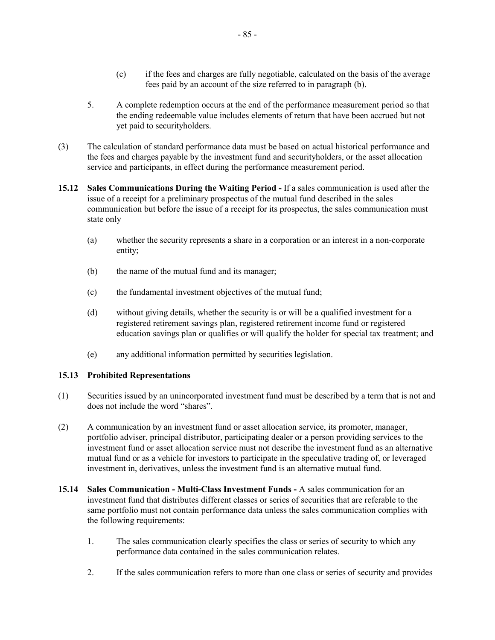- (c) if the fees and charges are fully negotiable, calculated on the basis of the average fees paid by an account of the size referred to in paragraph (b).
- 5. A complete redemption occurs at the end of the performance measurement period so that the ending redeemable value includes elements of return that have been accrued but not yet paid to securityholders.
- (3) The calculation of standard performance data must be based on actual historical performance and the fees and charges payable by the investment fund and securityholders, or the asset allocation service and participants, in effect during the performance measurement period.
- **15.12 Sales Communications During the Waiting Period -** If a sales communication is used after the issue of a receipt for a preliminary prospectus of the mutual fund described in the sales communication but before the issue of a receipt for its prospectus, the sales communication must state only
	- (a) whether the security represents a share in a corporation or an interest in a non-corporate entity;
	- (b) the name of the mutual fund and its manager;
	- (c) the fundamental investment objectives of the mutual fund;
	- (d) without giving details, whether the security is or will be a qualified investment for a registered retirement savings plan, registered retirement income fund or registered education savings plan or qualifies or will qualify the holder for special tax treatment; and
	- (e) any additional information permitted by securities legislation.

## **15.13 Prohibited Representations**

- (1) Securities issued by an unincorporated investment fund must be described by a term that is not and does not include the word "shares".
- (2) A communication by an investment fund or asset allocation service, its promoter, manager, portfolio adviser, principal distributor, participating dealer or a person providing services to the investment fund or asset allocation service must not describe the investment fund as an alternative mutual fund or as a vehicle for investors to participate in the speculative trading of, or leveraged investment in, derivatives, unless the investment fund is an alternative mutual fund*.*
- **15.14 Sales Communication - Multi-Class Investment Funds -** A sales communication for an investment fund that distributes different classes or series of securities that are referable to the same portfolio must not contain performance data unless the sales communication complies with the following requirements:
	- 1. The sales communication clearly specifies the class or series of security to which any performance data contained in the sales communication relates.
	- 2. If the sales communication refers to more than one class or series of security and provides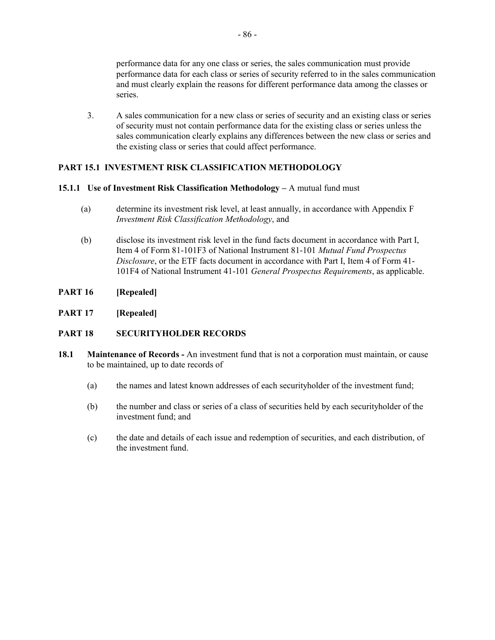performance data for any one class or series, the sales communication must provide performance data for each class or series of security referred to in the sales communication and must clearly explain the reasons for different performance data among the classes or series.

3. A sales communication for a new class or series of security and an existing class or series of security must not contain performance data for the existing class or series unless the sales communication clearly explains any differences between the new class or series and the existing class or series that could affect performance.

# **PART 15.1 INVESTMENT RISK CLASSIFICATION METHODOLOGY**

#### **15.1.1 Use of Investment Risk Classification Methodology –** A mutual fund must

- (a) determine its investment risk level, at least annually, in accordance with Appendix F *Investment Risk Classification Methodology*, and
- (b) disclose its investment risk level in the fund facts document in accordance with Part I, Item 4 of Form 81-101F3 of National Instrument 81-101 *Mutual Fund Prospectus Disclosure*, or the ETF facts document in accordance with Part I, Item 4 of Form 41- 101F4 of National Instrument 41-101 *General Prospectus Requirements*, as applicable.
- **PART 16 [Repealed]**

## **PART 17 [Repealed]**

## **PART 18 SECURITYHOLDER RECORDS**

- **18.1 Maintenance of Records -** An investment fund that is not a corporation must maintain, or cause to be maintained, up to date records of
	- (a) the names and latest known addresses of each securityholder of the investment fund;
	- (b) the number and class or series of a class of securities held by each securityholder of the investment fund; and
	- (c) the date and details of each issue and redemption of securities, and each distribution, of the investment fund.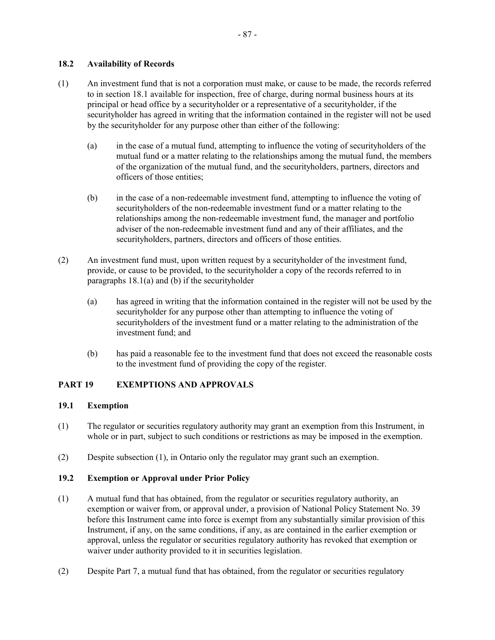## **18.2 Availability of Records**

- (1) An investment fund that is not a corporation must make, or cause to be made, the records referred to in section 18.1 available for inspection, free of charge, during normal business hours at its principal or head office by a securityholder or a representative of a securityholder, if the securityholder has agreed in writing that the information contained in the register will not be used by the securityholder for any purpose other than either of the following:
	- (a) in the case of a mutual fund, attempting to influence the voting of securityholders of the mutual fund or a matter relating to the relationships among the mutual fund, the members of the organization of the mutual fund, and the securityholders, partners, directors and officers of those entities;
	- (b) in the case of a non-redeemable investment fund, attempting to influence the voting of securityholders of the non-redeemable investment fund or a matter relating to the relationships among the non-redeemable investment fund, the manager and portfolio adviser of the non-redeemable investment fund and any of their affiliates, and the securityholders, partners, directors and officers of those entities.
- (2) An investment fund must, upon written request by a securityholder of the investment fund, provide, or cause to be provided, to the securityholder a copy of the records referred to in paragraphs  $18.1(a)$  and (b) if the security holder
	- (a) has agreed in writing that the information contained in the register will not be used by the securityholder for any purpose other than attempting to influence the voting of securityholders of the investment fund or a matter relating to the administration of the investment fund; and
	- (b) has paid a reasonable fee to the investment fund that does not exceed the reasonable costs to the investment fund of providing the copy of the register.

# **PART 19 EXEMPTIONS AND APPROVALS**

# **19.1 Exemption**

- (1) The regulator or securities regulatory authority may grant an exemption from this Instrument, in whole or in part, subject to such conditions or restrictions as may be imposed in the exemption.
- (2) Despite subsection (1), in Ontario only the regulator may grant such an exemption.

# **19.2 Exemption or Approval under Prior Policy**

- (1) A mutual fund that has obtained, from the regulator or securities regulatory authority, an exemption or waiver from, or approval under, a provision of National Policy Statement No. 39 before this Instrument came into force is exempt from any substantially similar provision of this Instrument, if any, on the same conditions, if any, as are contained in the earlier exemption or approval, unless the regulator or securities regulatory authority has revoked that exemption or waiver under authority provided to it in securities legislation.
- (2) Despite Part 7, a mutual fund that has obtained, from the regulator or securities regulatory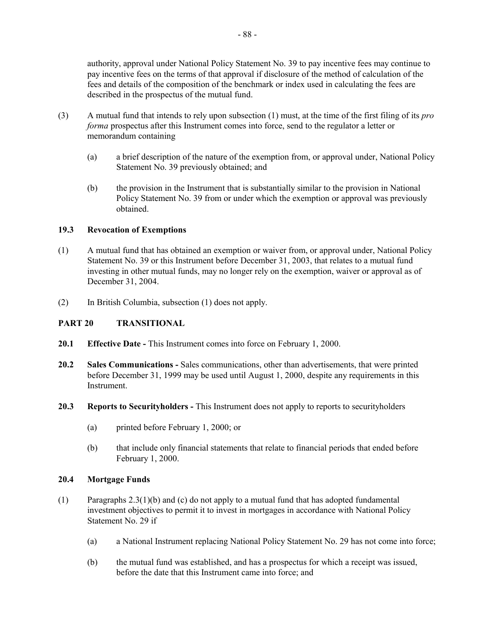authority, approval under National Policy Statement No. 39 to pay incentive fees may continue to pay incentive fees on the terms of that approval if disclosure of the method of calculation of the fees and details of the composition of the benchmark or index used in calculating the fees are described in the prospectus of the mutual fund.

- (3) A mutual fund that intends to rely upon subsection (1) must, at the time of the first filing of its *pro forma* prospectus after this Instrument comes into force, send to the regulator a letter or memorandum containing
	- (a) a brief description of the nature of the exemption from, or approval under, National Policy Statement No. 39 previously obtained; and
	- (b) the provision in the Instrument that is substantially similar to the provision in National Policy Statement No. 39 from or under which the exemption or approval was previously obtained.

#### **19.3 Revocation of Exemptions**

- (1) A mutual fund that has obtained an exemption or waiver from, or approval under, National Policy Statement No. 39 or this Instrument before December 31, 2003, that relates to a mutual fund investing in other mutual funds, may no longer rely on the exemption, waiver or approval as of December 31, 2004.
- (2) In British Columbia, subsection (1) does not apply.

## **PART 20 TRANSITIONAL**

- **20.1 Effective Date -** This Instrument comes into force on February 1, 2000.
- **20.2 Sales Communications -** Sales communications, other than advertisements, that were printed before December 31, 1999 may be used until August 1, 2000, despite any requirements in this Instrument.
- **20.3 Reports to Securityholders -** This Instrument does not apply to reports to securityholders
	- (a) printed before February 1, 2000; or
	- (b) that include only financial statements that relate to financial periods that ended before February 1, 2000.

#### **20.4 Mortgage Funds**

- (1) Paragraphs 2.3(1)(b) and (c) do not apply to a mutual fund that has adopted fundamental investment objectives to permit it to invest in mortgages in accordance with National Policy Statement No. 29 if
	- (a) a National Instrument replacing National Policy Statement No. 29 has not come into force;
	- (b) the mutual fund was established, and has a prospectus for which a receipt was issued, before the date that this Instrument came into force; and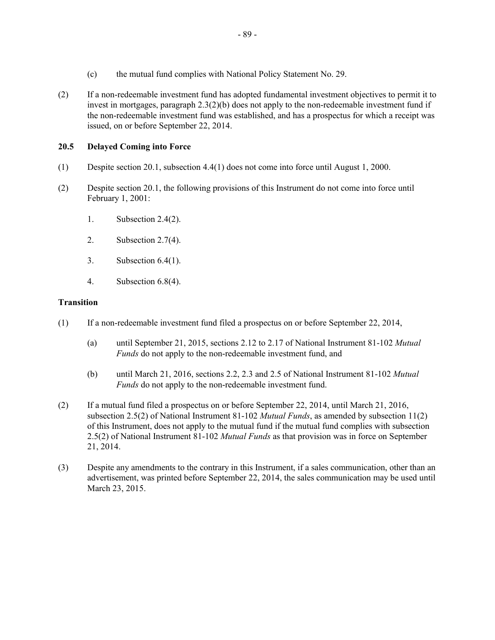- (c) the mutual fund complies with National Policy Statement No. 29.
- (2) If a non-redeemable investment fund has adopted fundamental investment objectives to permit it to invest in mortgages, paragraph  $2.3(2)(b)$  does not apply to the non-redeemable investment fund if the non-redeemable investment fund was established, and has a prospectus for which a receipt was issued, on or before September 22, 2014.

#### **20.5 Delayed Coming into Force**

- (1) Despite section 20.1, subsection 4.4(1) does not come into force until August 1, 2000.
- (2) Despite section 20.1, the following provisions of this Instrument do not come into force until February 1, 2001:
	- 1. Subsection 2.4(2).
	- 2. Subsection 2.7(4).
	- 3. Subsection 6.4(1).
	- 4. Subsection 6.8(4).

#### **Transition**

- (1) If a non-redeemable investment fund filed a prospectus on or before September 22, 2014,
	- (a) until September 21, 2015, sections 2.12 to 2.17 of National Instrument 81-102 *Mutual Funds* do not apply to the non-redeemable investment fund, and
	- (b) until March 21, 2016, sections 2.2, 2.3 and 2.5 of National Instrument 81-102 *Mutual Funds* do not apply to the non-redeemable investment fund.
- (2) If a mutual fund filed a prospectus on or before September 22, 2014, until March 21, 2016, subsection 2.5(2) of National Instrument 81-102 *Mutual Funds*, as amended by subsection 11(2) of this Instrument, does not apply to the mutual fund if the mutual fund complies with subsection 2.5(2) of National Instrument 81-102 *Mutual Funds* as that provision was in force on September 21, 2014.
- (3) Despite any amendments to the contrary in this Instrument, if a sales communication, other than an advertisement, was printed before September 22, 2014, the sales communication may be used until March 23, 2015.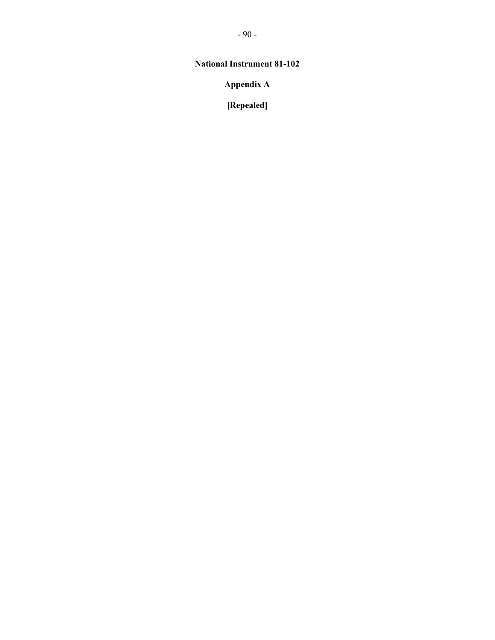# **Appendix A**

**[Repealed]**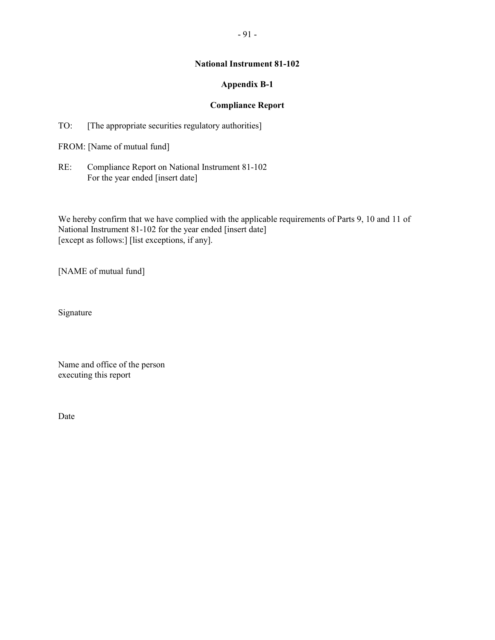# **Appendix B-1**

# **Compliance Report**

TO: [The appropriate securities regulatory authorities]

FROM: [Name of mutual fund]

RE: Compliance Report on National Instrument 81-102 For the year ended [insert date]

We hereby confirm that we have complied with the applicable requirements of Parts 9, 10 and 11 of National Instrument 81-102 for the year ended [insert date] [except as follows:] [list exceptions, if any].

[NAME of mutual fund]

Signature

Name and office of the person executing this report

Date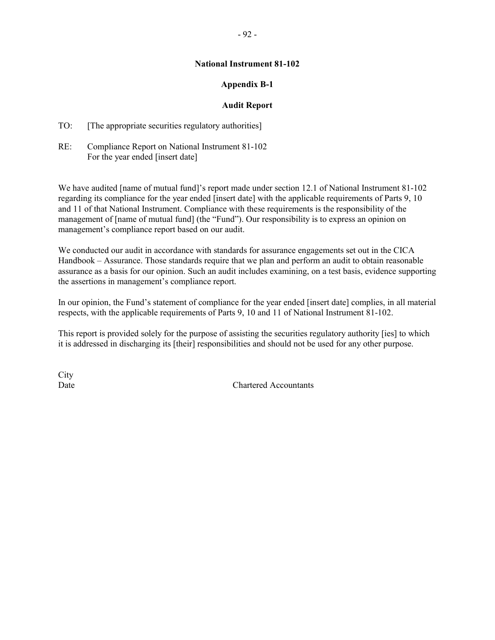# **Appendix B-1**

## **Audit Report**

TO: [The appropriate securities regulatory authorities]

RE: Compliance Report on National Instrument 81-102 For the year ended [insert date]

We have audited [name of mutual fund]'s report made under section 12.1 of National Instrument 81-102 regarding its compliance for the year ended [insert date] with the applicable requirements of Parts 9, 10 and 11 of that National Instrument. Compliance with these requirements is the responsibility of the management of [name of mutual fund] (the "Fund"). Our responsibility is to express an opinion on management's compliance report based on our audit.

We conducted our audit in accordance with standards for assurance engagements set out in the CICA Handbook – Assurance. Those standards require that we plan and perform an audit to obtain reasonable assurance as a basis for our opinion. Such an audit includes examining, on a test basis, evidence supporting the assertions in management's compliance report.

In our opinion, the Fund's statement of compliance for the year ended [insert date] complies, in all material respects, with the applicable requirements of Parts 9, 10 and 11 of National Instrument 81-102.

This report is provided solely for the purpose of assisting the securities regulatory authority [ies] to which it is addressed in discharging its [their] responsibilities and should not be used for any other purpose.

**City** 

Date Chartered Accountants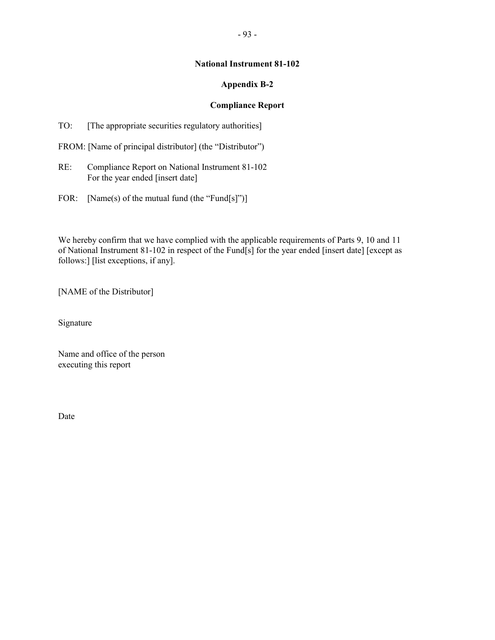# **Appendix B-2**

## **Compliance Report**

TO: [The appropriate securities regulatory authorities]

FROM: [Name of principal distributor] (the "Distributor")

- RE: Compliance Report on National Instrument 81-102 For the year ended [insert date]
- FOR: [Name(s) of the mutual fund (the "Fund[s]")]

We hereby confirm that we have complied with the applicable requirements of Parts 9, 10 and 11 of National Instrument 81-102 in respect of the Fund[s] for the year ended [insert date] [except as follows:] [list exceptions, if any].

[NAME of the Distributor]

Signature

Name and office of the person executing this report

Date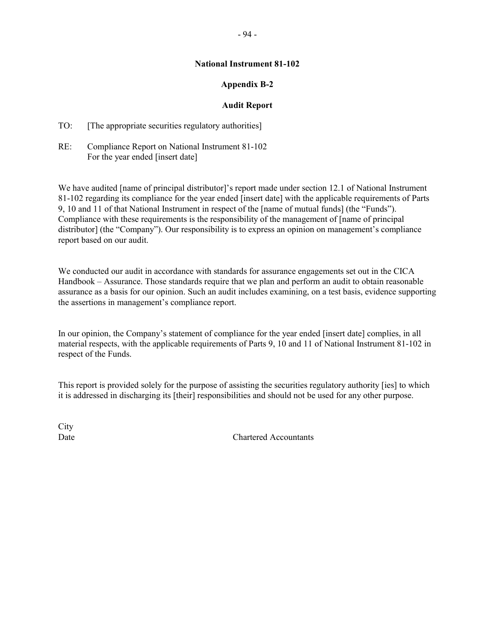# **Appendix B-2**

## **Audit Report**

TO: [The appropriate securities regulatory authorities]

RE: Compliance Report on National Instrument 81-102 For the year ended [insert date]

We have audited [name of principal distributor]'s report made under section 12.1 of National Instrument 81-102 regarding its compliance for the year ended [insert date] with the applicable requirements of Parts 9, 10 and 11 of that National Instrument in respect of the [name of mutual funds] (the "Funds"). Compliance with these requirements is the responsibility of the management of [name of principal distributor] (the "Company"). Our responsibility is to express an opinion on management's compliance report based on our audit.

We conducted our audit in accordance with standards for assurance engagements set out in the CICA Handbook – Assurance. Those standards require that we plan and perform an audit to obtain reasonable assurance as a basis for our opinion. Such an audit includes examining, on a test basis, evidence supporting the assertions in management's compliance report.

In our opinion, the Company's statement of compliance for the year ended [insert date] complies, in all material respects, with the applicable requirements of Parts 9, 10 and 11 of National Instrument 81-102 in respect of the Funds.

This report is provided solely for the purpose of assisting the securities regulatory authority [ies] to which it is addressed in discharging its [their] responsibilities and should not be used for any other purpose.

**City** 

Date Chartered Accountants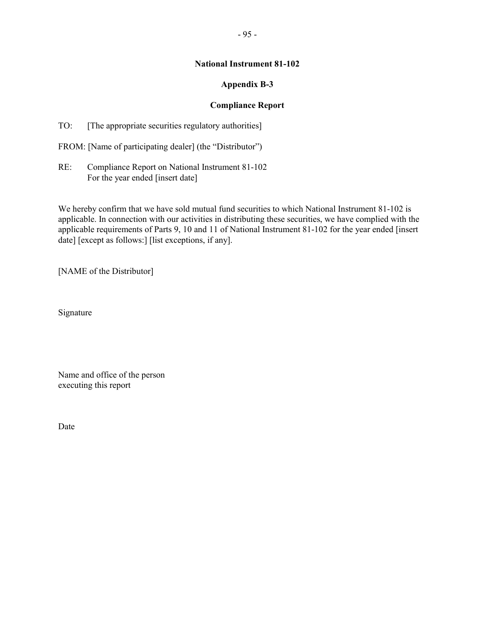# **Appendix B-3**

## **Compliance Report**

TO: [The appropriate securities regulatory authorities]

FROM: [Name of participating dealer] (the "Distributor")

RE: Compliance Report on National Instrument 81-102 For the year ended [insert date]

We hereby confirm that we have sold mutual fund securities to which National Instrument 81-102 is applicable. In connection with our activities in distributing these securities, we have complied with the applicable requirements of Parts 9, 10 and 11 of National Instrument 81-102 for the year ended [insert date] [except as follows:] [list exceptions, if any].

[NAME of the Distributor]

Signature

Name and office of the person executing this report

Date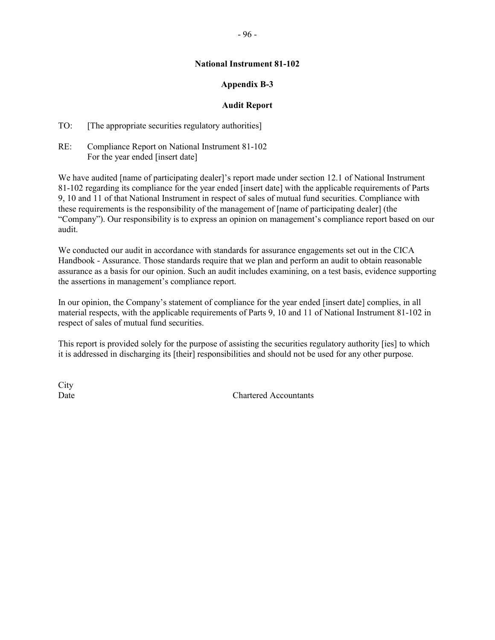# **Appendix B-3**

#### **Audit Report**

TO: [The appropriate securities regulatory authorities]

RE: Compliance Report on National Instrument 81-102 For the year ended [insert date]

We have audited [name of participating dealer]'s report made under section 12.1 of National Instrument 81-102 regarding its compliance for the year ended [insert date] with the applicable requirements of Parts 9, 10 and 11 of that National Instrument in respect of sales of mutual fund securities. Compliance with these requirements is the responsibility of the management of [name of participating dealer] (the "Company"). Our responsibility is to express an opinion on management's compliance report based on our audit.

We conducted our audit in accordance with standards for assurance engagements set out in the CICA Handbook - Assurance. Those standards require that we plan and perform an audit to obtain reasonable assurance as a basis for our opinion. Such an audit includes examining, on a test basis, evidence supporting the assertions in management's compliance report.

In our opinion, the Company's statement of compliance for the year ended [insert date] complies, in all material respects, with the applicable requirements of Parts 9, 10 and 11 of National Instrument 81-102 in respect of sales of mutual fund securities.

This report is provided solely for the purpose of assisting the securities regulatory authority [ies] to which it is addressed in discharging its [their] responsibilities and should not be used for any other purpose.

**City** 

Date Chartered Accountants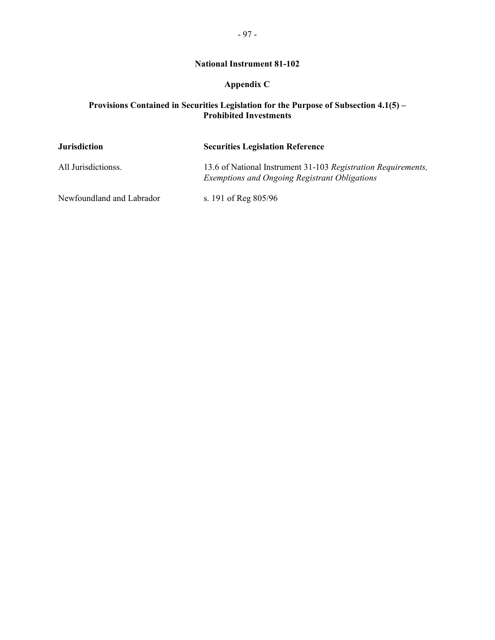# **Appendix C**

# **Provisions Contained in Securities Legislation for the Purpose of Subsection 4.1(5) – Prohibited Investments**

| <b>Jurisdiction</b>       | <b>Securities Legislation Reference</b>                                                                        |
|---------------------------|----------------------------------------------------------------------------------------------------------------|
| All Jurisdictionss.       | 13.6 of National Instrument 31-103 Registration Requirements,<br>Exemptions and Ongoing Registrant Obligations |
| Newfoundland and Labrador | s. 191 of Reg $805/96$                                                                                         |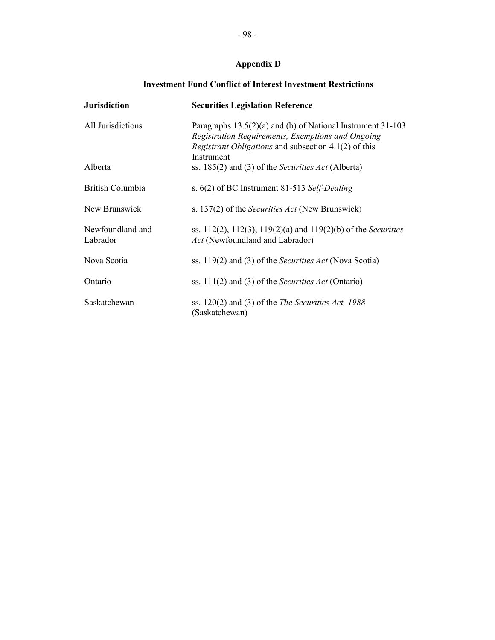# **Appendix D**

| <b>Jurisdiction</b>          | <b>Securities Legislation Reference</b>                                                                                                                                                         |
|------------------------------|-------------------------------------------------------------------------------------------------------------------------------------------------------------------------------------------------|
| All Jurisdictions            | Paragraphs $13.5(2)(a)$ and (b) of National Instrument 31-103<br>Registration Requirements, Exemptions and Ongoing<br><i>Registrant Obligations</i> and subsection 4.1(2) of this<br>Instrument |
| Alberta                      | ss. $185(2)$ and (3) of the <i>Securities Act</i> (Alberta)                                                                                                                                     |
| British Columbia             | s. $6(2)$ of BC Instrument 81-513 Self-Dealing                                                                                                                                                  |
| New Brunswick                | s. 137(2) of the <i>Securities Act</i> (New Brunswick)                                                                                                                                          |
| Newfoundland and<br>Labrador | ss. 112(2), 112(3), 119(2)(a) and 119(2)(b) of the <i>Securities</i><br>Act (Newfoundland and Labrador)                                                                                         |
| Nova Scotia                  | ss. 119(2) and (3) of the <i>Securities Act</i> (Nova Scotia)                                                                                                                                   |
| Ontario                      | ss. $111(2)$ and (3) of the <i>Securities Act</i> (Ontario)                                                                                                                                     |
| Saskatchewan                 | ss. $120(2)$ and (3) of the <i>The Securities Act</i> , 1988<br>(Saskatchewan)                                                                                                                  |

# **Investment Fund Conflict of Interest Investment Restrictions**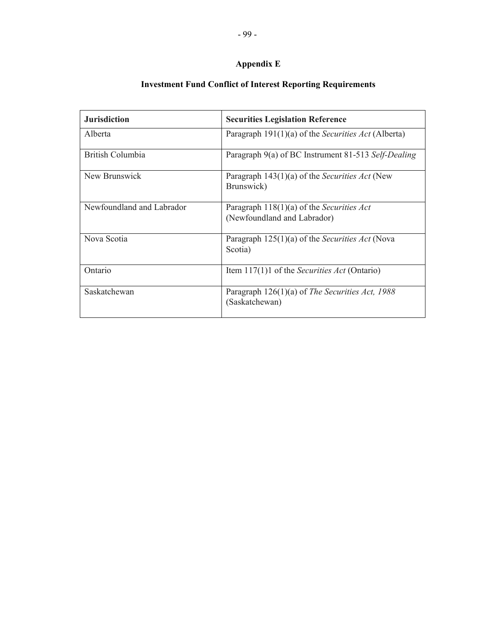# **Appendix E**

# **Investment Fund Conflict of Interest Reporting Requirements**

| <b>Jurisdiction</b>       | <b>Securities Legislation Reference</b>                                           |
|---------------------------|-----------------------------------------------------------------------------------|
| Alberta                   | Paragraph $191(1)(a)$ of the <i>Securities Act</i> (Alberta)                      |
| British Columbia          | Paragraph 9(a) of BC Instrument 81-513 Self-Dealing                               |
| New Brunswick             | Paragraph $143(1)(a)$ of the <i>Securities Act</i> (New<br>Brunswick)             |
| Newfoundland and Labrador | Paragraph $118(1)(a)$ of the <i>Securities Act</i><br>(Newfoundland and Labrador) |
| Nova Scotia               | Paragraph $125(1)(a)$ of the <i>Securities Act</i> (Nova<br>Scotia)               |
| Ontario                   | Item $117(1)1$ of the <i>Securities Act</i> (Ontario)                             |
| Saskatchewan              | Paragraph $126(1)(a)$ of <i>The Securities Act</i> , 1988<br>(Saskatchewan)       |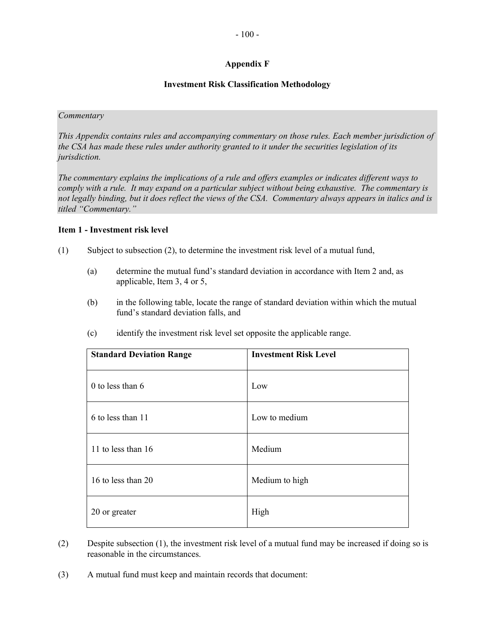# **Appendix F**

## **Investment Risk Classification Methodology**

#### *Commentary*

*This Appendix contains rules and accompanying commentary on those rules. Each member jurisdiction of the CSA has made these rules under authority granted to it under the securities legislation of its jurisdiction.*

*The commentary explains the implications of a rule and offers examples or indicates different ways to comply with a rule. It may expand on a particular subject without being exhaustive. The commentary is not legally binding, but it does reflect the views of the CSA. Commentary always appears in italics and is titled "Commentary."* 

#### **Item 1 - Investment risk level**

- (1) Subject to subsection (2), to determine the investment risk level of a mutual fund,
	- (a) determine the mutual fund's standard deviation in accordance with Item 2 and, as applicable, Item 3, 4 or 5,
	- (b) in the following table, locate the range of standard deviation within which the mutual fund's standard deviation falls, and
	- (c) identify the investment risk level set opposite the applicable range.

| <b>Standard Deviation Range</b> | <b>Investment Risk Level</b> |
|---------------------------------|------------------------------|
| 0 to less than $6$              | Low                          |
| 6 to less than 11               | Low to medium                |
| 11 to less than $16$            | Medium                       |
| 16 to less than 20              | Medium to high               |
| 20 or greater                   | High                         |

- (2) Despite subsection (1), the investment risk level of a mutual fund may be increased if doing so is reasonable in the circumstances.
- (3) A mutual fund must keep and maintain records that document: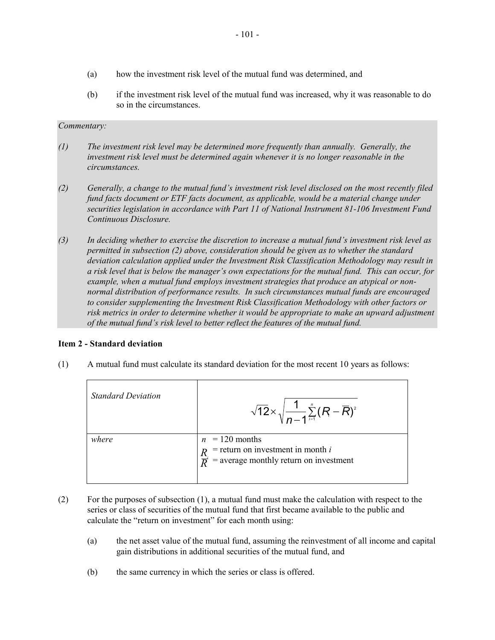- (a) how the investment risk level of the mutual fund was determined, and
- (b) if the investment risk level of the mutual fund was increased, why it was reasonable to do so in the circumstances.

- *(1) The investment risk level may be determined more frequently than annually. Generally, the investment risk level must be determined again whenever it is no longer reasonable in the circumstances.*
- *(2) Generally, a change to the mutual fund's investment risk level disclosed on the most recently filed fund facts document or ETF facts document, as applicable, would be a material change under securities legislation in accordance with Part 11 of National Instrument 81-106 Investment Fund Continuous Disclosure.*
- *(3) In deciding whether to exercise the discretion to increase a mutual fund's investment risk level as permitted in subsection (2) above, consideration should be given as to whether the standard deviation calculation applied under the Investment Risk Classification Methodology may result in a risk level that is below the manager's own expectations for the mutual fund. This can occur, for example, when a mutual fund employs investment strategies that produce an atypical or nonnormal distribution of performance results. In such circumstances mutual funds are encouraged to consider supplementing the Investment Risk Classification Methodology with other factors or risk metrics in order to determine whether it would be appropriate to make an upward adjustment of the mutual fund's risk level to better reflect the features of the mutual fund.*

## **Item 2 - Standard deviation**

(1) A mutual fund must calculate its standard deviation for the most recent 10 years as follows:

| <b>Standard Deviation</b> | $\sqrt{12} \times \sqrt{\frac{1}{n-1} \sum_{i=1}^{n} (R - \overline{R})^2}$                                                                                                |
|---------------------------|----------------------------------------------------------------------------------------------------------------------------------------------------------------------------|
| where                     | $n = 120$ months<br>$=$ return on investment in month $i$<br>$R_i =$ return on investment in month <i>i</i><br>$\overrightarrow{R}$ = average monthly return on investment |

- (2) For the purposes of subsection (1), a mutual fund must make the calculation with respect to the series or class of securities of the mutual fund that first became available to the public and calculate the "return on investment" for each month using:
	- (a) the net asset value of the mutual fund, assuming the reinvestment of all income and capital gain distributions in additional securities of the mutual fund, and
	- (b) the same currency in which the series or class is offered.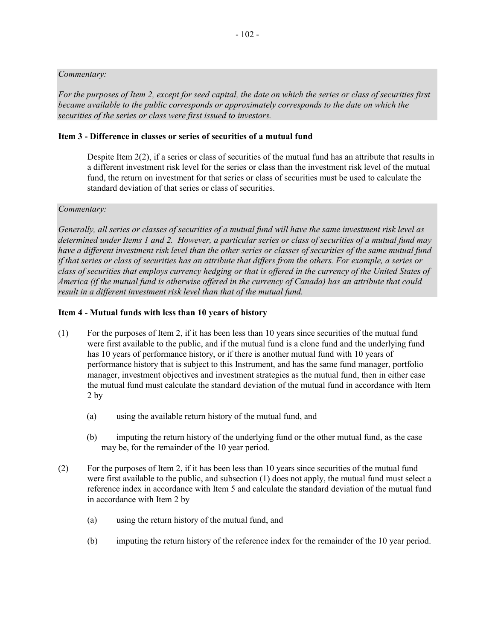*For the purposes of Item 2, except for seed capital, the date on which the series or class of securities first became available to the public corresponds or approximately corresponds to the date on which the securities of the series or class were first issued to investors.*

#### **Item 3 - Difference in classes or series of securities of a mutual fund**

Despite Item 2(2), if a series or class of securities of the mutual fund has an attribute that results in a different investment risk level for the series or class than the investment risk level of the mutual fund, the return on investment for that series or class of securities must be used to calculate the standard deviation of that series or class of securities.

#### *Commentary:*

*Generally, all series or classes of securities of a mutual fund will have the same investment risk level as determined under Items 1 and 2. However, a particular series or class of securities of a mutual fund may have a different investment risk level than the other series or classes of securities of the same mutual fund if that series or class of securities has an attribute that differs from the others. For example, a series or class of securities that employs currency hedging or that is offered in the currency of the United States of America (if the mutual fund is otherwise offered in the currency of Canada) has an attribute that could result in a different investment risk level than that of the mutual fund.* 

#### **Item 4 - Mutual funds with less than 10 years of history**

- (1) For the purposes of Item 2, if it has been less than 10 years since securities of the mutual fund were first available to the public, and if the mutual fund is a clone fund and the underlying fund has 10 years of performance history, or if there is another mutual fund with 10 years of performance history that is subject to this Instrument, and has the same fund manager, portfolio manager, investment objectives and investment strategies as the mutual fund, then in either case the mutual fund must calculate the standard deviation of the mutual fund in accordance with Item 2 by
	- (a) using the available return history of the mutual fund, and
	- (b) imputing the return history of the underlying fund or the other mutual fund, as the case may be, for the remainder of the 10 year period.
- (2) For the purposes of Item 2, if it has been less than 10 years since securities of the mutual fund were first available to the public, and subsection (1) does not apply, the mutual fund must select a reference index in accordance with Item 5 and calculate the standard deviation of the mutual fund in accordance with Item 2 by
	- (a) using the return history of the mutual fund, and
	- (b) imputing the return history of the reference index for the remainder of the 10 year period.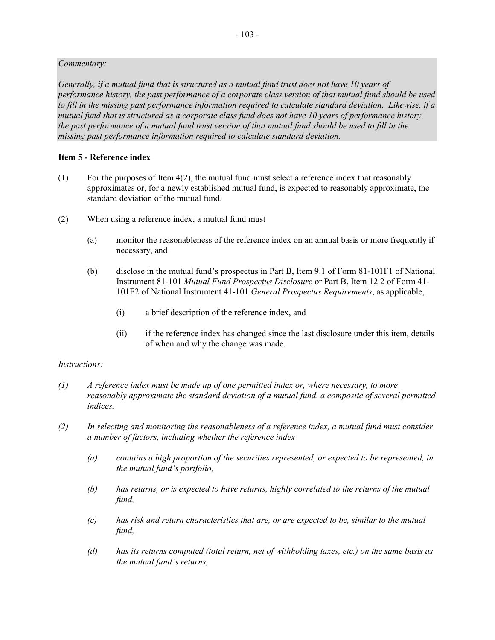*Generally, if a mutual fund that is structured as a mutual fund trust does not have 10 years of performance history, the past performance of a corporate class version of that mutual fund should be used to fill in the missing past performance information required to calculate standard deviation. Likewise, if a mutual fund that is structured as a corporate class fund does not have 10 years of performance history, the past performance of a mutual fund trust version of that mutual fund should be used to fill in the missing past performance information required to calculate standard deviation.* 

### **Item 5 - Reference index**

- (1) For the purposes of Item 4(2), the mutual fund must select a reference index that reasonably approximates or, for a newly established mutual fund, is expected to reasonably approximate, the standard deviation of the mutual fund.
- (2) When using a reference index, a mutual fund must
	- (a) monitor the reasonableness of the reference index on an annual basis or more frequently if necessary, and
	- (b) disclose in the mutual fund's prospectus in Part B, Item 9.1 of Form 81-101F1 of National Instrument 81-101 *Mutual Fund Prospectus Disclosure* or Part B, Item 12.2 of Form 41- 101F2 of National Instrument 41-101 *General Prospectus Requirements*, as applicable,
		- (i) a brief description of the reference index, and
		- (ii) if the reference index has changed since the last disclosure under this item, details of when and why the change was made.

## *Instructions:*

- *(1) A reference index must be made up of one permitted index or, where necessary, to more*  reasonably approximate the standard deviation of a mutual fund, a composite of several permitted *indices.*
- *(2) In selecting and monitoring the reasonableness of a reference index, a mutual fund must consider a number of factors, including whether the reference index*
	- *(a) contains a high proportion of the securities represented, or expected to be represented, in the mutual fund's portfolio,*
	- *(b) has returns, or is expected to have returns, highly correlated to the returns of the mutual fund,*
	- *(c) has risk and return characteristics that are, or are expected to be, similar to the mutual fund,*
	- *(d) has its returns computed (total return, net of withholding taxes, etc.) on the same basis as the mutual fund's returns,*